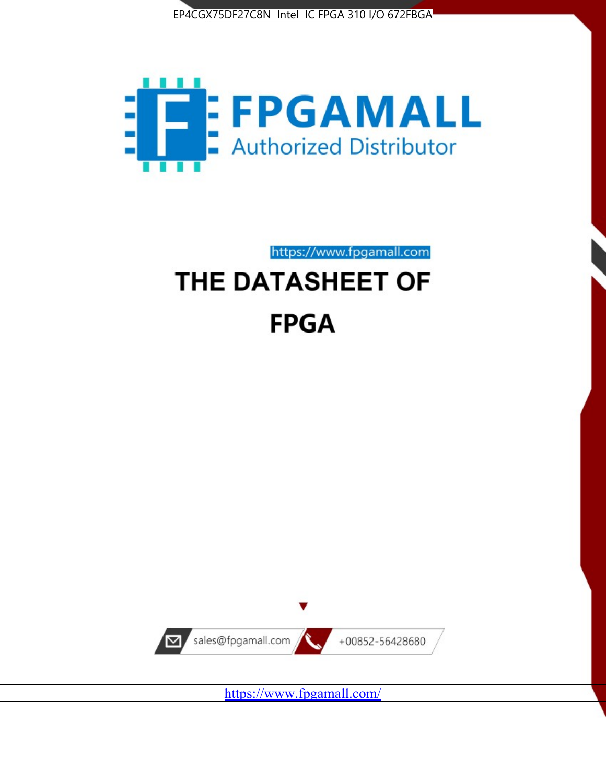



https://www.fpgamall.com

# THE DATASHEET OF **FPGA**



<https://www.fpgamall.com/>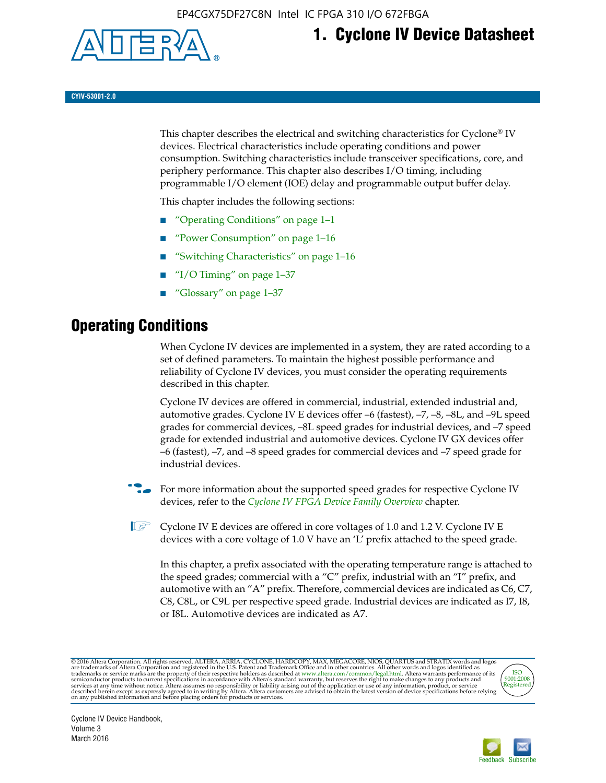

# **1. Cyclone IV Device Datasheet**

**CYIV-53001-2.0**

This chapter describes the electrical and switching characteristics for Cyclone<sup>®</sup> IV devices. Electrical characteristics include operating conditions and power consumption. Switching characteristics include transceiver specifications, core, and periphery performance. This chapter also describes I/O timing, including programmable I/O element (IOE) delay and programmable output buffer delay.

This chapter includes the following sections:

- "Operating Conditions" on page 1–1
- "Power Consumption" on page 1–16
- "Switching Characteristics" on page 1–16
- " $I/O$  Timing" on page  $1-37$
- "Glossary" on page 1–37

# **Operating Conditions**

When Cyclone IV devices are implemented in a system, they are rated according to a set of defined parameters. To maintain the highest possible performance and reliability of Cyclone IV devices, you must consider the operating requirements described in this chapter.

Cyclone IV devices are offered in commercial, industrial, extended industrial and, automotive grades. Cyclone IV E devices offer –6 (fastest), –7, –8, –8L, and –9L speed grades for commercial devices, –8L speed grades for industrial devices, and –7 speed grade for extended industrial and automotive devices. Cyclone IV GX devices offer –6 (fastest), –7, and –8 speed grades for commercial devices and –7 speed grade for industrial devices.

**For more information about the supported speed grades for respective Cyclone IV** devices, refer to the *[Cyclone IV FPGA Device Family Overview](http://www.altera.com/literature/hb/cyclone-iv/cyiv-51001.pdf)* chapter.

**1** Cyclone IV E devices are offered in core voltages of 1.0 and 1.2 V. Cyclone IV E devices with a core voltage of 1.0 V have an 'L' prefix attached to the speed grade.

In this chapter, a prefix associated with the operating temperature range is attached to the speed grades; commercial with a "C" prefix, industrial with an "I" prefix, and automotive with an "A" prefix. Therefore, commercial devices are indicated as C6, C7, C8, C8L, or C9L per respective speed grade. Industrial devices are indicated as I7, I8, or I8L. Automotive devices are indicated as A7.

@2016 Altera Corporation. All rights reserved. ALTERA, ARRIA, CYCLONE, HARDCOPY, MAX, MEGACORE, NIOS, QUARTUS and STRATIX words and logos are trademarks of Altera Corporation and registered in the U.S. Patent and Trademark



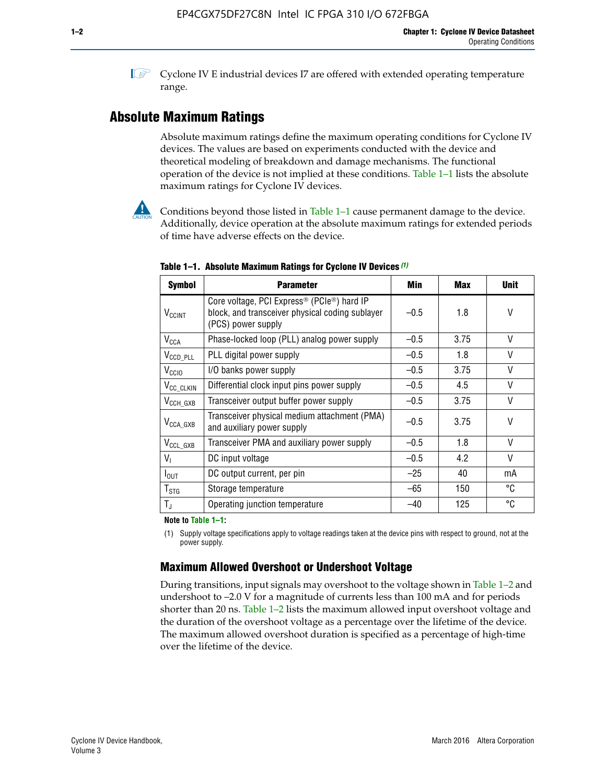**1 Cyclone IV E industrial devices I7 are offered with extended operating temperature** range.

### **Absolute Maximum Ratings**

Absolute maximum ratings define the maximum operating conditions for Cyclone IV devices. The values are based on experiments conducted with the device and theoretical modeling of breakdown and damage mechanisms. The functional operation of the device is not implied at these conditions. Table 1–1 lists the absolute maximum ratings for Cyclone IV devices.



Conditions beyond those listed in Table  $1-1$  cause permanent damage to the device. Additionally, device operation at the absolute maximum ratings for extended periods of time have adverse effects on the device.

| <b>Symbol</b>              | <b>Parameter</b>                                                                                                                             | Min    | Max  | <b>Unit</b>  |
|----------------------------|----------------------------------------------------------------------------------------------------------------------------------------------|--------|------|--------------|
| <b>V<sub>CCINT</sub></b>   | Core voltage, PCI Express <sup>®</sup> (PCIe <sup>®</sup> ) hard IP<br>block, and transceiver physical coding sublayer<br>(PCS) power supply | $-0.5$ | 1.8  | V            |
| $V_{CCA}$                  | Phase-locked loop (PLL) analog power supply                                                                                                  | $-0.5$ | 3.75 | V            |
| $V_{\text{CCD\_PLL}}$      | PLL digital power supply                                                                                                                     | $-0.5$ | 1.8  | V            |
| V <sub>CCIO</sub>          | I/O banks power supply                                                                                                                       | $-0.5$ | 3.75 | $\vee$       |
| V <sub>CC_CLKIN</sub>      | Differential clock input pins power supply                                                                                                   | $-0.5$ | 4.5  | $\mathsf{V}$ |
| $V_{CCH_GXB}$              | Transceiver output buffer power supply                                                                                                       | $-0.5$ | 3.75 | V            |
| $V_{\text{CCA\_GXB}}$      | Transceiver physical medium attachment (PMA)<br>and auxiliary power supply                                                                   | $-0.5$ | 3.75 | $\vee$       |
| $V_{CCL_GXB}$              | Transceiver PMA and auxiliary power supply                                                                                                   | $-0.5$ | 1.8  | $\mathsf{V}$ |
| $V_{1}$                    | DC input voltage                                                                                                                             | $-0.5$ | 4.2  | $\vee$       |
| $I_{\text{OUT}}$           | DC output current, per pin                                                                                                                   | $-25$  | 40   | mA           |
| ${\mathsf T}_{\text{STG}}$ | Storage temperature                                                                                                                          | $-65$  | 150  | °C           |
| $T_{\rm J}$                | Operating junction temperature                                                                                                               | $-40$  | 125  | °C           |

**Table 1–1. Absolute Maximum Ratings for Cyclone IV Devices** *(1)*

**Note to Table 1–1:**

(1) Supply voltage specifications apply to voltage readings taken at the device pins with respect to ground, not at the power supply.

### **Maximum Allowed Overshoot or Undershoot Voltage**

During transitions, input signals may overshoot to the voltage shown in Table 1–2 and undershoot to –2.0 V for a magnitude of currents less than 100 mA and for periods shorter than 20 ns. Table 1–2 lists the maximum allowed input overshoot voltage and the duration of the overshoot voltage as a percentage over the lifetime of the device. The maximum allowed overshoot duration is specified as a percentage of high-time over the lifetime of the device.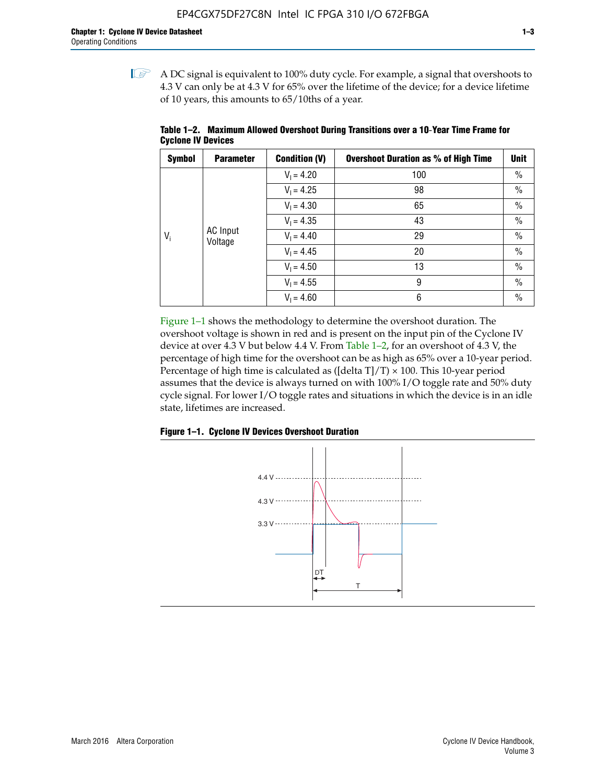$\mathbb{I}$  A DC signal is equivalent to 100% duty cycle. For example, a signal that overshoots to 4.3 V can only be at 4.3 V for 65% over the lifetime of the device; for a device lifetime of 10 years, this amounts to 65/10ths of a year.

| <b>Symbol</b> | <b>Parameter</b>           | <b>Condition (V)</b> | <b>Overshoot Duration as % of High Time</b> | <b>Unit</b>   |  |  |              |    |               |
|---------------|----------------------------|----------------------|---------------------------------------------|---------------|--|--|--------------|----|---------------|
|               |                            | $V_1 = 4.20$         | 100                                         | $\%$          |  |  |              |    |               |
|               |                            | $V_1 = 4.25$         | 98                                          | $\%$          |  |  |              |    |               |
|               | <b>AC</b> Input<br>Voltage | $V_1 = 4.30$         | 65                                          | $\%$          |  |  |              |    |               |
|               |                            | $V_1 = 4.35$         | 43                                          | $\frac{0}{0}$ |  |  |              |    |               |
| $V_i$         |                            |                      |                                             |               |  |  | $V_1 = 4.40$ | 29 | $\frac{0}{0}$ |
|               |                            | $V_1 = 4.45$         | 20                                          | $\%$          |  |  |              |    |               |
|               |                            | $V_1 = 4.50$         | 13                                          | $\%$          |  |  |              |    |               |
|               |                            | $V_1 = 4.55$         | 9                                           | $\%$          |  |  |              |    |               |
|               |                            | $V_1 = 4.60$         | 6                                           | $\%$          |  |  |              |    |               |

**Table 1–2. Maximum Allowed Overshoot During Transitions over a 10**-**Year Time Frame for Cyclone IV Devices**

Figure 1–1 shows the methodology to determine the overshoot duration. The overshoot voltage is shown in red and is present on the input pin of the Cyclone IV device at over 4.3 V but below 4.4 V. From Table 1–2, for an overshoot of 4.3 V, the percentage of high time for the overshoot can be as high as 65% over a 10-year period. Percentage of high time is calculated as ([delta  $T$ ]/T)  $\times$  100. This 10-year period assumes that the device is always turned on with 100% I/O toggle rate and 50% duty cycle signal. For lower I/O toggle rates and situations in which the device is in an idle state, lifetimes are increased.



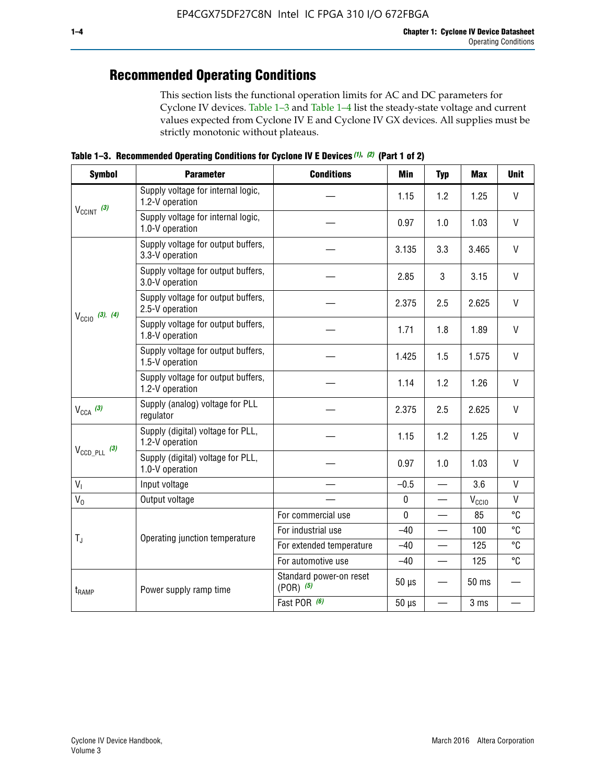# **Recommended Operating Conditions**

This section lists the functional operation limits for AC and DC parameters for Cyclone IV devices. Table 1–3 and Table 1–4 list the steady-state voltage and current values expected from Cyclone IV E and Cyclone IV GX devices. All supplies must be strictly monotonic without plateaus.

**Table 1–3. Recommended Operating Conditions for Cyclone IV E Devices** *(1)***,** *(2)* **(Part 1 of 2)**

| <b>Symbol</b>                                                                                                                                                                                                                                                                                                                                                                                               | <b>Parameter</b>                                      | <b>Conditions</b>                                                                                                                                                                                                                                                                                                                                                                                                                                                                       | <b>Min</b> | <b>Typ</b>   | <b>Max</b>                                                                                                                                            | <b>Unit</b>  |
|-------------------------------------------------------------------------------------------------------------------------------------------------------------------------------------------------------------------------------------------------------------------------------------------------------------------------------------------------------------------------------------------------------------|-------------------------------------------------------|-----------------------------------------------------------------------------------------------------------------------------------------------------------------------------------------------------------------------------------------------------------------------------------------------------------------------------------------------------------------------------------------------------------------------------------------------------------------------------------------|------------|--------------|-------------------------------------------------------------------------------------------------------------------------------------------------------|--------------|
|                                                                                                                                                                                                                                                                                                                                                                                                             | Supply voltage for internal logic,<br>1.2-V operation | 1.15<br>1.2<br>0.97<br>1.0<br>3.135<br>3.3<br>3<br>2.85<br>2.375<br>2.5<br>1.8<br>1.71<br>1.425<br>1.5<br>1.2<br>1.14<br>2.375<br>2.5<br>1.15<br>1.2<br>0.97<br>1.0<br>$-0.5$<br>$\overline{\phantom{0}}$<br>$\pmb{0}$<br>—<br>$\mathbf 0$<br>For commercial use<br>For industrial use<br>$-40$<br>For extended temperature<br>$-40$<br>For automotive use<br>$-40$<br>Standard power-on reset<br>$50 \mu s$<br>$(POR)$ $(5)$<br>Fast POR (6)<br>$50 \mu s$<br>$\overline{\phantom{0}}$ | 1.25       | $\mathsf{V}$ |                                                                                                                                                       |              |
|                                                                                                                                                                                                                                                                                                                                                                                                             | Supply voltage for internal logic,<br>1.0-V operation |                                                                                                                                                                                                                                                                                                                                                                                                                                                                                         |            |              | 1.03<br>3.465<br>3.15<br>2.625<br>1.89<br>1.575<br>1.26<br>2.625<br>1.25<br>1.03<br>3.6<br>$V_{\rm CClO}$<br>85<br>100<br>125<br>125<br>50 ms<br>3 ms | $\mathsf{V}$ |
|                                                                                                                                                                                                                                                                                                                                                                                                             | Supply voltage for output buffers,<br>3.3-V operation |                                                                                                                                                                                                                                                                                                                                                                                                                                                                                         |            |              |                                                                                                                                                       | $\vee$       |
| $V_{CClNT}$ (3)<br>3.0-V operation<br>2.5-V operation<br>$V_{\text{CC10}}$ (3), (4)<br>1.8-V operation<br>1.5-V operation<br>1.2-V operation<br>$V_{CCA}$ (3)<br>regulator<br>1.2-V operation<br>$V_{\text{CCD\_PLL}}$ (3)<br>1.0-V operation<br>V <sub>1</sub><br>Input voltage<br>$V_0$<br>Output voltage<br>$T_{\rm J}$<br>Operating junction temperature<br>Power supply ramp time<br>t <sub>RAMP</sub> | Supply voltage for output buffers,                    |                                                                                                                                                                                                                                                                                                                                                                                                                                                                                         |            |              |                                                                                                                                                       | V            |
|                                                                                                                                                                                                                                                                                                                                                                                                             | Supply voltage for output buffers,                    |                                                                                                                                                                                                                                                                                                                                                                                                                                                                                         |            |              |                                                                                                                                                       | $\vee$       |
|                                                                                                                                                                                                                                                                                                                                                                                                             | Supply voltage for output buffers,                    |                                                                                                                                                                                                                                                                                                                                                                                                                                                                                         |            |              |                                                                                                                                                       | V            |
|                                                                                                                                                                                                                                                                                                                                                                                                             | Supply voltage for output buffers,                    |                                                                                                                                                                                                                                                                                                                                                                                                                                                                                         |            |              |                                                                                                                                                       | $\vee$       |
|                                                                                                                                                                                                                                                                                                                                                                                                             | Supply voltage for output buffers,                    |                                                                                                                                                                                                                                                                                                                                                                                                                                                                                         |            |              |                                                                                                                                                       | $\mathsf{V}$ |
|                                                                                                                                                                                                                                                                                                                                                                                                             | Supply (analog) voltage for PLL                       |                                                                                                                                                                                                                                                                                                                                                                                                                                                                                         |            |              |                                                                                                                                                       | $\vee$       |
|                                                                                                                                                                                                                                                                                                                                                                                                             | Supply (digital) voltage for PLL,                     |                                                                                                                                                                                                                                                                                                                                                                                                                                                                                         |            |              |                                                                                                                                                       | V            |
|                                                                                                                                                                                                                                                                                                                                                                                                             | Supply (digital) voltage for PLL,                     |                                                                                                                                                                                                                                                                                                                                                                                                                                                                                         |            |              |                                                                                                                                                       | $\vee$       |
|                                                                                                                                                                                                                                                                                                                                                                                                             |                                                       |                                                                                                                                                                                                                                                                                                                                                                                                                                                                                         |            |              |                                                                                                                                                       | $\mathsf{V}$ |
|                                                                                                                                                                                                                                                                                                                                                                                                             |                                                       |                                                                                                                                                                                                                                                                                                                                                                                                                                                                                         |            |              |                                                                                                                                                       | $\mathsf{V}$ |
|                                                                                                                                                                                                                                                                                                                                                                                                             |                                                       |                                                                                                                                                                                                                                                                                                                                                                                                                                                                                         |            |              |                                                                                                                                                       | °C           |
|                                                                                                                                                                                                                                                                                                                                                                                                             |                                                       |                                                                                                                                                                                                                                                                                                                                                                                                                                                                                         |            |              |                                                                                                                                                       | °C           |
|                                                                                                                                                                                                                                                                                                                                                                                                             |                                                       |                                                                                                                                                                                                                                                                                                                                                                                                                                                                                         |            |              |                                                                                                                                                       | °C           |
|                                                                                                                                                                                                                                                                                                                                                                                                             |                                                       |                                                                                                                                                                                                                                                                                                                                                                                                                                                                                         |            |              |                                                                                                                                                       | °C           |
|                                                                                                                                                                                                                                                                                                                                                                                                             |                                                       |                                                                                                                                                                                                                                                                                                                                                                                                                                                                                         |            |              |                                                                                                                                                       |              |
|                                                                                                                                                                                                                                                                                                                                                                                                             |                                                       |                                                                                                                                                                                                                                                                                                                                                                                                                                                                                         |            |              |                                                                                                                                                       |              |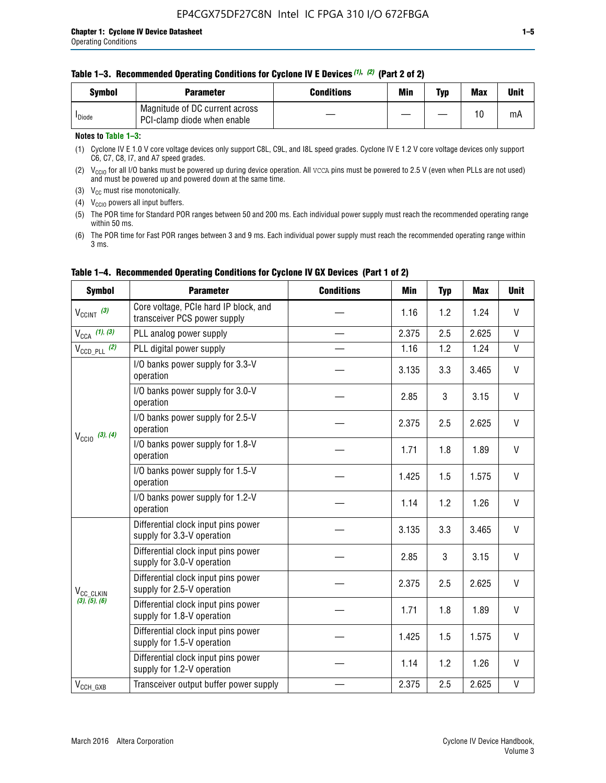| Svmbol             | <b>Parameter</b>                                              | <b>Conditions</b> | Min | Typ | <b>Max</b> | Unit |
|--------------------|---------------------------------------------------------------|-------------------|-----|-----|------------|------|
| <sup>I</sup> Diode | Magnitude of DC current across<br>PCI-clamp diode when enable |                   |     |     | 10         | mA   |

#### **Notes to Table 1–3:**

(1) Cyclone IV E 1.0 V core voltage devices only support C8L, C9L, and I8L speed grades. Cyclone IV E 1.2 V core voltage devices only support C6, C7, C8, I7, and A7 speed grades.

(2)  $V_{CCIO}$  for all I/O banks must be powered up during device operation. All vcca pins must be powered to 2.5 V (even when PLLs are not used) and must be powered up and powered down at the same time.

(3)  $V_{CC}$  must rise monotonically.

(4)  $V_{\text{CCIO}}$  powers all input buffers.

(5) The POR time for Standard POR ranges between 50 and 200 ms. Each individual power supply must reach the recommended operating range within 50 ms.

(6) The POR time for Fast POR ranges between 3 and 9 ms. Each individual power supply must reach the recommended operating range within 3 ms.

| <b>Symbol</b>                                                                                                                                                                                                                                                                                                                                                                                                                                                                                                                   | <b>Parameter</b>                                                      | <b>Conditions</b> | Min   | <b>Typ</b> | <b>Max</b> | <b>Unit</b>  |
|---------------------------------------------------------------------------------------------------------------------------------------------------------------------------------------------------------------------------------------------------------------------------------------------------------------------------------------------------------------------------------------------------------------------------------------------------------------------------------------------------------------------------------|-----------------------------------------------------------------------|-------------------|-------|------------|------------|--------------|
| $V_{\text{CCINT}}$ (3)                                                                                                                                                                                                                                                                                                                                                                                                                                                                                                          | Core voltage, PCIe hard IP block, and<br>transceiver PCS power supply |                   | 1.16  | 1.2        | 1.24       | V            |
| $V_{CCA}$ (1), (3)                                                                                                                                                                                                                                                                                                                                                                                                                                                                                                              | PLL analog power supply                                               |                   | 2.375 | 2.5        | 2.625      | V            |
| $V_{\text{CCD\_PLL}}$ (2)                                                                                                                                                                                                                                                                                                                                                                                                                                                                                                       | PLL digital power supply                                              |                   | 1.16  | 1.2        | 1.24       | $\mathsf{V}$ |
|                                                                                                                                                                                                                                                                                                                                                                                                                                                                                                                                 | I/O banks power supply for 3.3-V<br>operation                         |                   | 3.135 | 3.3        | 3.465      | V            |
| $V_{\text{CC10}}$ (3), (4)                                                                                                                                                                                                                                                                                                                                                                                                                                                                                                      | I/O banks power supply for 3.0-V<br>operation                         |                   | 2.85  | 3          | 3.15       | V            |
|                                                                                                                                                                                                                                                                                                                                                                                                                                                                                                                                 | I/O banks power supply for 2.5-V<br>operation                         |                   | 2.375 | 2.5        | 2.625      | V            |
|                                                                                                                                                                                                                                                                                                                                                                                                                                                                                                                                 | I/O banks power supply for 1.8-V<br>operation                         |                   | 1.71  | 1.8        | 1.89       | V            |
|                                                                                                                                                                                                                                                                                                                                                                                                                                                                                                                                 | I/O banks power supply for 1.5-V<br>operation                         |                   | 1.425 | 1.5        | 1.575      | V            |
|                                                                                                                                                                                                                                                                                                                                                                                                                                                                                                                                 | I/O banks power supply for 1.2-V<br>operation                         |                   | 1.14  | 1.2        | 1.26       | V            |
| Differential clock input pins power<br>supply for 3.3-V operation<br>Differential clock input pins power<br>supply for 3.0-V operation<br>Differential clock input pins power<br>supply for 2.5-V operation<br>V <sub>CC_CLKIN</sub><br>(3), (5), (6)<br>Differential clock input pins power<br>supply for 1.8-V operation<br>Differential clock input pins power<br>supply for 1.5-V operation<br>Differential clock input pins power<br>supply for 1.2-V operation<br>Transceiver output buffer power supply<br>$V_{CCH_GXB}$ |                                                                       |                   | 3.135 | 3.3        | 3.465      | V            |
|                                                                                                                                                                                                                                                                                                                                                                                                                                                                                                                                 |                                                                       |                   | 2.85  | 3          | 3.15       | V            |
|                                                                                                                                                                                                                                                                                                                                                                                                                                                                                                                                 | 2.375                                                                 | 2.5               | 2.625 | V          |            |              |
|                                                                                                                                                                                                                                                                                                                                                                                                                                                                                                                                 |                                                                       |                   | 1.71  | 1.8        | 1.89       | V            |
|                                                                                                                                                                                                                                                                                                                                                                                                                                                                                                                                 |                                                                       |                   | 1.425 | 1.5        | 1.575      | V            |
|                                                                                                                                                                                                                                                                                                                                                                                                                                                                                                                                 |                                                                       |                   | 1.14  | 1.2        | 1.26       | V            |
|                                                                                                                                                                                                                                                                                                                                                                                                                                                                                                                                 |                                                                       |                   | 2.375 | 2.5        | 2.625      | V            |

#### **Table 1–4. Recommended Operating Conditions for Cyclone IV GX Devices (Part 1 of 2)**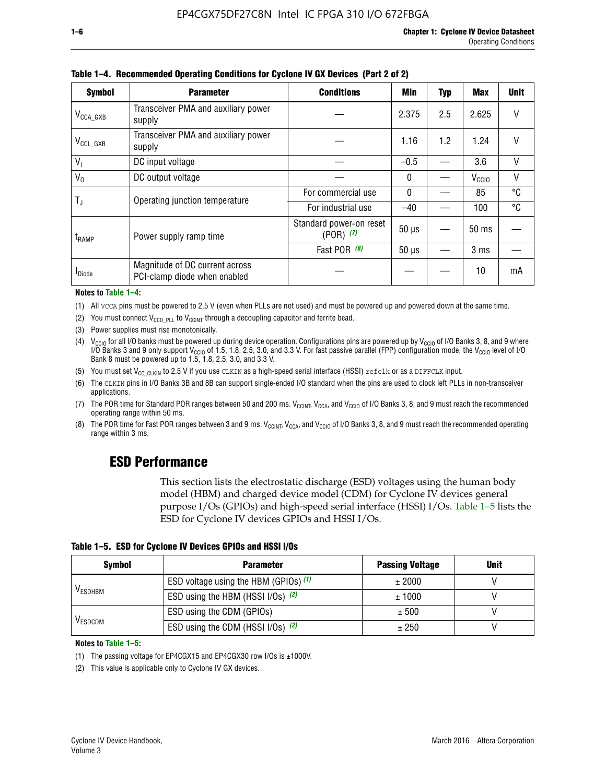| <b>Symbol</b>         | <b>Parameter</b>                                               | <b>Conditions</b>                                                                                                                                                                                                              | Min   | <b>Typ</b> | <b>Max</b>        | <b>Unit</b> |
|-----------------------|----------------------------------------------------------------|--------------------------------------------------------------------------------------------------------------------------------------------------------------------------------------------------------------------------------|-------|------------|-------------------|-------------|
| $V_{\text{CCA\_GXB}}$ | Transceiver PMA and auxiliary power<br>supply                  |                                                                                                                                                                                                                                | 2.375 | 2.5        | 2.625             | V           |
| $V_{CCL_GXB}$         | Transceiver PMA and auxiliary power<br>supply                  | 1.2<br>1.16<br>1.24<br>3.6<br>$-0.5$<br>$\mathbf{0}$<br>85<br>For commercial use<br>$\mathbf{0}$<br>100<br>For industrial use<br>$-40$<br>Standard power-on reset<br>$50 \mu s$<br>$(POR)$ $(7)$<br>Fast POR (8)<br>$50 \mu s$ |       |            |                   | V           |
| $V_{1}$               | DC input voltage                                               |                                                                                                                                                                                                                                |       |            |                   | $\vee$      |
| $V_0$                 | DC output voltage                                              |                                                                                                                                                                                                                                |       |            | V <sub>CCIO</sub> | $\vee$      |
|                       | Operating junction temperature                                 |                                                                                                                                                                                                                                |       |            |                   | °C          |
| T,                    |                                                                |                                                                                                                                                                                                                                |       |            |                   | °C          |
| $t_{\sf{RAMP}}$       | Power supply ramp time                                         |                                                                                                                                                                                                                                |       |            | $50 \text{ ms}$   |             |
|                       |                                                                |                                                                                                                                                                                                                                |       |            | 3 <sub>ms</sub>   |             |
| <b>I</b> Diode        | Magnitude of DC current across<br>PCI-clamp diode when enabled |                                                                                                                                                                                                                                |       |            | 10                | mA          |

**Table 1–4. Recommended Operating Conditions for Cyclone IV GX Devices (Part 2 of 2)**

**Notes to Table 1–4:**

- (1) All VCCA pins must be powered to 2.5 V (even when PLLs are not used) and must be powered up and powered down at the same time.
- (2) You must connect  $V_{CCD-PLL}$  to  $V_{CCINT}$  through a decoupling capacitor and ferrite bead.
- (3) Power supplies must rise monotonically.
- (4)  $V_{\text{CCIO}}$  for all I/O banks must be powered up during device operation. Configurations pins are powered up by V<sub>CCIO</sub> of I/O Banks 3, 8, and 9 where I/O Banks 3 and 9 only support V<sub>CCIO</sub> of 1.5, 1.8, 2.5, 3.0, and 3.3 V. For fast passive parallel (FPP) configuration mode, the V<sub>CCIO</sub> level of I/O<br>Bank 8 must be powered up to 1.5, 1.8, 2.5, 3.0, and 3.3 V.
- (5) You must set  $V_{CC_CCLKIN}$  to 2.5 V if you use CLKIN as a high-speed serial interface (HSSI) refclk or as a DIFFCLK input.
- (6) The CLKIN pins in I/O Banks 3B and 8B can support single-ended I/O standard when the pins are used to clock left PLLs in non-transceiver applications.
- (7) The POR time for Standard POR ranges between 50 and 200 ms.  $V_{\text{CCIA}}$ ,  $V_{\text{CCIA}}$ , and  $V_{\text{CCIO}}$  of I/O Banks 3, 8, and 9 must reach the recommended operating range within 50 ms.
- (8) The POR time for Fast POR ranges between 3 and 9 ms.  $V_{\text{CCH},T}$ ,  $V_{\text{CCA}}$ , and  $V_{\text{CCI}}$  of I/O Banks 3, 8, and 9 must reach the recommended operating range within 3 ms.

### **ESD Performance**

This section lists the electrostatic discharge (ESD) voltages using the human body model (HBM) and charged device model (CDM) for Cyclone IV devices general purpose I/Os (GPIOs) and high-speed serial interface (HSSI) I/Os. Table 1–5 lists the ESD for Cyclone IV devices GPIOs and HSSI I/Os.

| Table 1–5. ESD for Cyclone IV Devices GPIOs and HSSI I/Os |
|-----------------------------------------------------------|
|-----------------------------------------------------------|

| <b>Symbol</b>  | <b>Parameter</b>                      | <b>Passing Voltage</b> | <b>Unit</b> |
|----------------|---------------------------------------|------------------------|-------------|
|                | ESD voltage using the HBM (GPIOs) (1) | ± 2000                 |             |
| <b>VESDHBM</b> | ESD using the HBM (HSSI I/Os) (2)     | ± 1000                 |             |
|                | ESD using the CDM (GPIOs)             | ± 500                  |             |
| <b>VESDCDM</b> | ESD using the CDM (HSSI I/Os) (2)     | ± 250                  |             |

#### **Notes to Table 1–5:**

(1) The passing voltage for EP4CGX15 and EP4CGX30 row I/Os is ±1000V.

(2) This value is applicable only to Cyclone IV GX devices.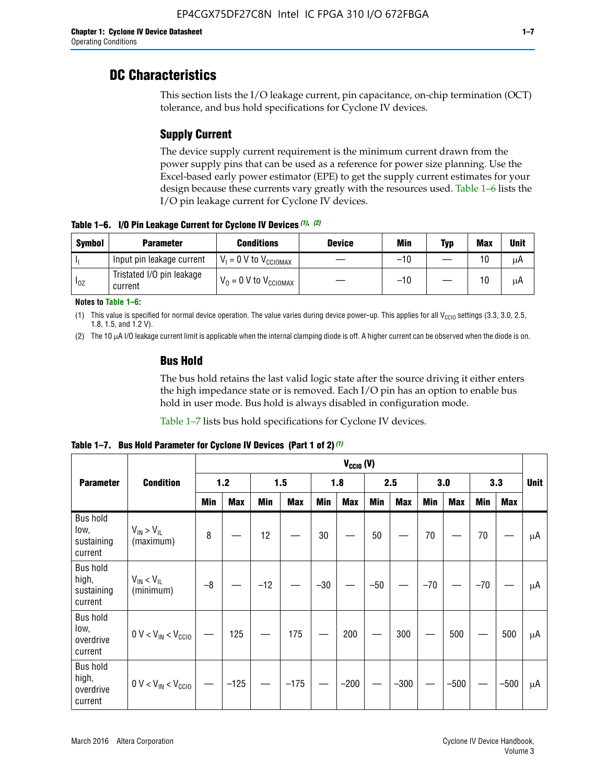### **DC Characteristics**

This section lists the I/O leakage current, pin capacitance, on-chip termination (OCT) tolerance, and bus hold specifications for Cyclone IV devices.

### **Supply Current**

The device supply current requirement is the minimum current drawn from the power supply pins that can be used as a reference for power size planning. Use the Excel-based early power estimator (EPE) to get the supply current estimates for your design because these currents vary greatly with the resources used. Table 1–6 lists the I/O pin leakage current for Cyclone IV devices.

**Table 1–6. I/O Pin Leakage Current for Cyclone IV Devices** *(1)***,** *(2)*

| <b>Symbol</b> | <b>Parameter</b>                     | <b>Conditions</b>                     | <b>Device</b> | Min   | Typ | <b>Max</b> | <b>Unit</b> |
|---------------|--------------------------------------|---------------------------------------|---------------|-------|-----|------------|-------------|
| -lı           | Input pin leakage current            | $V_1 = 0$ V to $V_{\text{CCIOMAX}}$   |               | $-10$ |     | 10         | μA          |
| $I_{0Z}$      | Tristated I/O pin leakage<br>current | $V_0 = 0 V$ to $V_{\text{CCIOMAX}}$ I |               | $-10$ |     | 10         | μA          |

**Notes to Table 1–6:**

(1) This value is specified for normal device operation. The value varies during device power-up. This applies for all V<sub>CCIO</sub> settings (3.3, 3.0, 2.5, 1.8, 1.5, and 1.2 V).

(2) The 10 µA I/O leakage current limit is applicable when the internal clamping diode is off. A higher current can be observed when the diode is on.

#### **Bus Hold**

The bus hold retains the last valid logic state after the source driving it either enters the high impedance state or is removed. Each I/O pin has an option to enable bus hold in user mode. Bus hold is always disabled in configuration mode.

Table 1–7 lists bus hold specifications for Cyclone IV devices.

|                                                   |                                  | $V_{CCIO} (V)$ |            |       |            |            |            |            |            |       |            |       |            |             |
|---------------------------------------------------|----------------------------------|----------------|------------|-------|------------|------------|------------|------------|------------|-------|------------|-------|------------|-------------|
| <b>Parameter</b>                                  | <b>Condition</b>                 |                | 1.2        |       | 1.5        |            | 1.8        |            | 2.5        |       | 3.0        |       | 3.3        | <b>Unit</b> |
|                                                   |                                  | <b>Min</b>     | <b>Max</b> | Min   | <b>Max</b> | <b>Min</b> | <b>Max</b> | <b>Min</b> | <b>Max</b> | Min   | <b>Max</b> | Min   | <b>Max</b> |             |
| <b>Bus hold</b><br>low,<br>sustaining<br>current  | $V_{IN}$ > $V_{IL}$<br>(maximum) | 8              |            | 12    |            | 30         |            | 50         |            | 70    |            | 70    |            | μA          |
| <b>Bus hold</b><br>high,<br>sustaining<br>current | $V_{IN}$ < $V_{IL}$<br>(minimum) | $-8$           |            | $-12$ |            | $-30$      |            | $-50$      |            | $-70$ |            | $-70$ |            | μA          |
| <b>Bus hold</b><br>low,<br>overdrive<br>current   | $0 V < V_{IN} < V_{CG10}$        |                | 125        |       | 175        |            | 200        |            | 300        |       | 500        |       | 500        | μA          |
| <b>Bus hold</b><br>high,<br>overdrive<br>current  | $0 V < V_{IN} < V_{CG10}$        |                | $-125$     |       | $-175$     |            | $-200$     |            | $-300$     |       | $-500$     |       | $-500$     | μA          |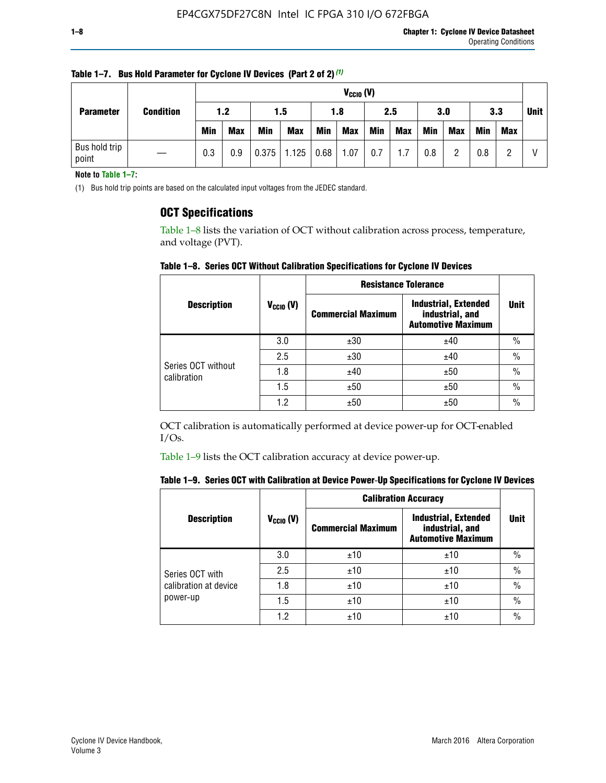| <b>Parameter</b>       |                  |            | $V_{CClO}$ (V) |            |            |      |            |     |     |     |            |            |     |             |
|------------------------|------------------|------------|----------------|------------|------------|------|------------|-----|-----|-----|------------|------------|-----|-------------|
|                        | <b>Condition</b> | 1.2        |                |            | 1.5<br>1.8 |      |            |     | 2.5 |     | 3.3<br>3.0 |            |     | <b>Unit</b> |
|                        |                  | <b>Min</b> | <b>Max</b>     | <b>Min</b> | <b>Max</b> | Min  | <b>Max</b> | Min | Max | Min | <b>Max</b> | <b>Min</b> | Max |             |
| Bus hold trip<br>point |                  | 0.3        | 0.9            | 0.375      | 1.125      | 0.68 | 1.07       | 0.7 | 1.7 | 0.8 | റ          | 0.8        |     |             |

**Table 1–7. Bus Hold Parameter for Cyclone IV Devices (Part 2 of 2)** *(1)*

**Note to Table 1–7:**

(1) Bus hold trip points are based on the calculated input voltages from the JEDEC standard.

#### **OCT Specifications**

Table 1–8 lists the variation of OCT without calibration across process, temperature, and voltage (PVT).

**Table 1–8. Series OCT Without Calibration Specifications for Cyclone IV Devices**

|                                   |                | <b>Resistance Tolerance</b> |                                                                             |               |
|-----------------------------------|----------------|-----------------------------|-----------------------------------------------------------------------------|---------------|
| <b>Description</b>                | $V_{CCIO} (V)$ | <b>Commercial Maximum</b>   | <b>Industrial, Extended</b><br>industrial, and<br><b>Automotive Maximum</b> | <b>Unit</b>   |
|                                   | 3.0            | ±30                         | ±40                                                                         | $\%$          |
|                                   | 2.5            | ±30                         | ±40                                                                         | $\frac{0}{0}$ |
| Series OCT without<br>calibration | 1.8            | ±40                         | ±50                                                                         | $\frac{0}{0}$ |
|                                   | 1.5            | ±50                         | ±50                                                                         | $\frac{0}{0}$ |
|                                   | 1.2            | ±50                         | ±50                                                                         | $\frac{0}{0}$ |

OCT calibration is automatically performed at device power-up for OCT-enabled I/Os.

Table 1–9 lists the OCT calibration accuracy at device power-up.

|  | Table 1–9.  Series OCT with Calibration at Device Power-Up Specifications for Cyclone IV Devices |  |  |  |
|--|--------------------------------------------------------------------------------------------------|--|--|--|
|--|--------------------------------------------------------------------------------------------------|--|--|--|

|                       |                | <b>Calibration Accuracy</b> |                                                                             |               |
|-----------------------|----------------|-----------------------------|-----------------------------------------------------------------------------|---------------|
| <b>Description</b>    | $V_{CGI0} (V)$ | <b>Commercial Maximum</b>   | <b>Industrial, Extended</b><br>industrial, and<br><b>Automotive Maximum</b> | Unit          |
|                       | 3.0            | ±10                         | ±10                                                                         | $\%$          |
| Series OCT with       | 2.5            | ±10                         | ±10                                                                         | $\%$          |
| calibration at device | 1.8            | ±10                         | ±10                                                                         | $\frac{0}{0}$ |
| power-up              | 1.5            | ±10                         | ±10                                                                         | $\frac{0}{0}$ |
|                       | 1.2            | ±10                         | ±10                                                                         | $\frac{0}{0}$ |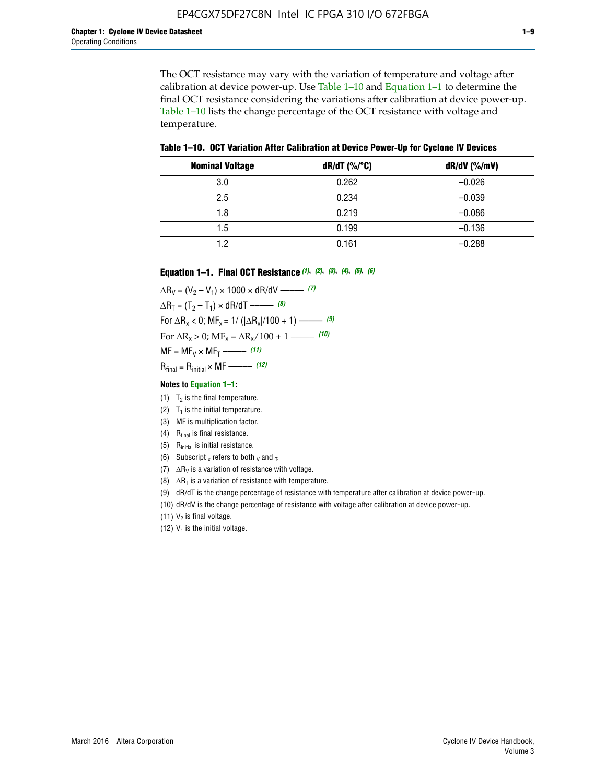The OCT resistance may vary with the variation of temperature and voltage after calibration at device power-up. Use Table 1–10 and Equation 1–1 to determine the final OCT resistance considering the variations after calibration at device power-up. Table 1–10 lists the change percentage of the OCT resistance with voltage and temperature.

**Table 1–10. OCT Variation After Calibration at Device Power**-**Up for Cyclone IV Devices**

| <b>Nominal Voltage</b> | dR/dT (%/°C) | $dR/dV$ (%/mV) |
|------------------------|--------------|----------------|
| 3.0                    | 0.262        | $-0.026$       |
| 2.5                    | 0.234        | $-0.039$       |
| 1.8                    | 0.219        | $-0.086$       |
| 1.5                    | 0.199        | $-0.136$       |
| 1.2                    | 0.161        | $-0.288$       |

#### **Equation 1–1. Final OCT Resistance** *(1)***,** *(2)***,** *(3)***,** *(4)***,** *(5)***,** *(6)*

 $\Delta R_V = (V_2 - V_1) \times 1000 \times dR/dV$  ––––––––––––(7)  $\Delta R_T = (T_2 - T_1) \times dR/dT$  ––––––– (8) For  $\Delta R_x < 0$ ; MF<sub>x</sub> = 1/ ( $|\Delta R_x|/100 + 1$ ) –––––– (9) For  $\Delta R_x > 0$ ;  $\text{MF}_x = \Delta R_x / 100 + 1$  ——– (10)  $MF = MF_V \times MF_T$  –––––––––––(11) Rfinal = Rinitial × MF ––––– *(12)*

#### **Notes to Equation 1–1:**

- (1)  $T_2$  is the final temperature.
- (2)  $T_1$  is the initial temperature.
- (3) MF is multiplication factor.
- (4)  $R<sub>final</sub>$  is final resistance.
- (5) Rinitial is initial resistance.
- (6) Subscript x refers to both  $\sqrt{v}$  and  $\sqrt{v}$ .
- (7)  $\Delta R_V$  is a variation of resistance with voltage.
- (8)  $\Delta R_T$  is a variation of resistance with temperature.
- (9) dR/dT is the change percentage of resistance with temperature after calibration at device power-up.
- (10) dR/dV is the change percentage of resistance with voltage after calibration at device power-up.
- (11)  $V_2$  is final voltage.
- (12)  $V_1$  is the initial voltage.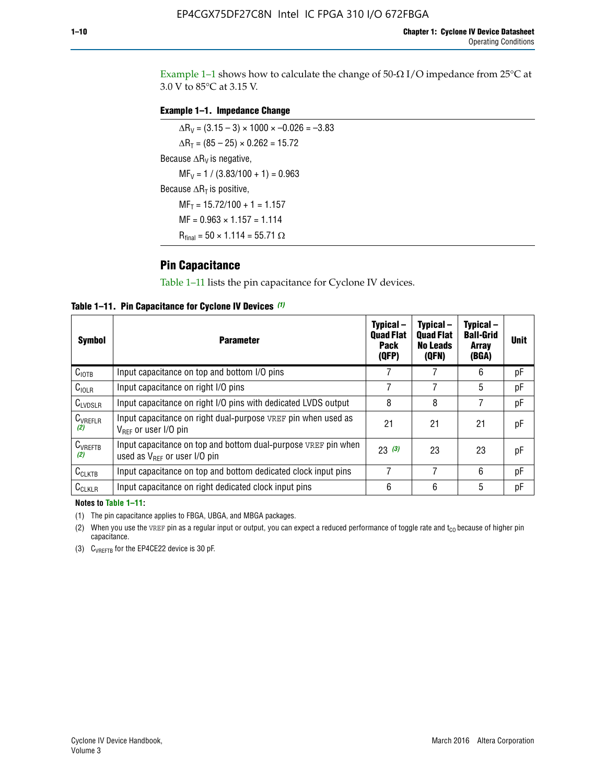Example 1-1 shows how to calculate the change of  $50$ - $\Omega$  I/O impedance from 25°C at 3.0 V to 85°C at 3.15 V.

#### **Example 1–1. Impedance Change**

 $\Delta R_V = (3.15 - 3) \times 1000 \times -0.026 = -3.83$  $\Delta R_T = (85 - 25) \times 0.262 = 15.72$ Because  $\Delta R_V$  is negative,  $MF_V = 1 / (3.83/100 + 1) = 0.963$ Because  $\Delta R_T$  is positive,  $MF_T = 15.72/100 + 1 = 1.157$  $MF = 0.963 \times 1.157 = 1.114$  $R_{final} = 50 \times 1.114 = 55.71 \Omega$ 

### **Pin Capacitance**

Table 1–11 lists the pin capacitance for Cyclone IV devices.

**Table 1–11. Pin Capacitance for Cyclone IV Devices** *(1)*

| <b>Symbol</b>       | <b>Parameter</b>                                                                                    | Typical-<br><b>Quad Flat</b><br><b>Pack</b><br>(QFP) | Typical-<br><b>Quad Flat</b><br><b>No Leads</b><br>(QFN) | Typical-<br><b>Ball-Grid</b><br><b>Array</b><br>(BGA) | <b>Unit</b> |
|---------------------|-----------------------------------------------------------------------------------------------------|------------------------------------------------------|----------------------------------------------------------|-------------------------------------------------------|-------------|
| C <sub>IOTB</sub>   | Input capacitance on top and bottom I/O pins                                                        |                                                      |                                                          | 6                                                     | рF          |
| $C_{IOLR}$          | Input capacitance on right I/O pins                                                                 |                                                      |                                                          | 5                                                     | pF          |
| $C_{LVDSLR}$        | Input capacitance on right I/O pins with dedicated LVDS output                                      | 8                                                    | 8                                                        | 7                                                     | рF          |
| $C_{VREFLR}$<br>(2) | Input capacitance on right dual-purpose VREF pin when used as<br>$V_{BFF}$ or user I/O pin          | 21                                                   | 21                                                       | 21                                                    | pF          |
| $C_{VREFTB}$<br>(2) | Input capacitance on top and bottom dual-purpose VREF pin when<br>used as $V_{BFF}$ or user I/O pin | 23(3)                                                | 23                                                       | 23                                                    | рF          |
| $C_{CLKTB}$         | Input capacitance on top and bottom dedicated clock input pins                                      |                                                      | 7                                                        | 6                                                     | рF          |
| $C_{CLKLR}$         | Input capacitance on right dedicated clock input pins                                               | 6                                                    | 6                                                        | 5                                                     | рF          |

#### **Notes to Table 1–11:**

(1) The pin capacitance applies to FBGA, UBGA, and MBGA packages.

(2) When you use the VREF pin as a regular input or output, you can expect a reduced performance of toggle rate and  $t_{\rm CO}$  because of higher pin capacitance.

(3) CVREFTB for the EP4CE22 device is 30 pF.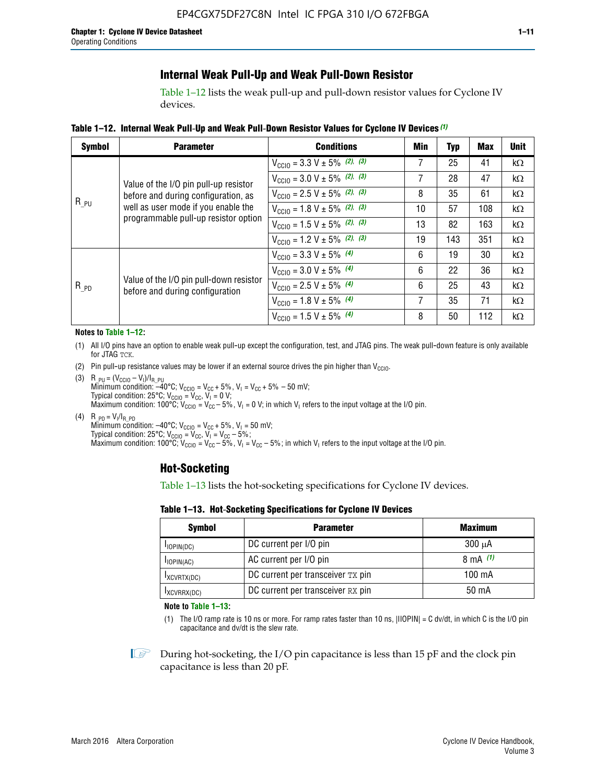### **Internal Weak Pull-Up and Weak Pull-Down Resistor**

Table 1–12 lists the weak pull-up and pull-down resistor values for Cyclone IV devices.

**Table 1–12. Internal Weak Pull**-**Up and Weak Pull**-**Down Resistor Values for Cyclone IV Devices** *(1)*

| <b>Symbol</b> | <b>Parameter</b>                                                            | <b>Conditions</b>                                  | Min | <b>Typ</b> | <b>Max</b> | <b>Unit</b> |
|---------------|-----------------------------------------------------------------------------|----------------------------------------------------|-----|------------|------------|-------------|
|               |                                                                             | $V_{\text{CC10}} = 3.3 \text{ V} \pm 5\%$ (2), (3) | 7   | 25         | 41         | $k\Omega$   |
|               | Value of the I/O pin pull-up resistor                                       | $V_{\text{CC10}} = 3.0 \text{ V} \pm 5\%$ (2), (3) | 7   | 28         | 47         | kΩ          |
|               | before and during configuration, as                                         | $V_{\text{CC10}} = 2.5 V \pm 5\%$ (2), (3)         | 8   | 35         | 61         | kΩ          |
| $R_{PU}$      | well as user mode if you enable the<br>programmable pull-up resistor option | $V_{\text{CGI0}} = 1.8 V \pm 5\%$ (2), (3)         | 10  | 57         | 108        | $k\Omega$   |
|               |                                                                             | $V_{\text{CC10}} = 1.5 V \pm 5\%$ (2), (3)         | 13  | 82         | 163        | $k\Omega$   |
|               |                                                                             | $V_{\text{CC10}} = 1.2 V \pm 5\%$ (2), (3)         | 19  | 143        | 351        | kΩ          |
|               |                                                                             | $V_{\text{CC10}} = 3.3 V \pm 5\%$ (4)              | 6   | 19         | 30         | kΩ          |
| $R_{PD}$      |                                                                             | $V_{\text{CC10}} = 3.0 V \pm 5\%$ (4)              | 6   | 22         | 36         | $k\Omega$   |
|               | Value of the I/O pin pull-down resistor<br>before and during configuration  | $V_{\text{CC10}} = 2.5 V \pm 5\%$ (4)              | 6   | 25         | 43         | kΩ          |
|               |                                                                             | $V_{\text{CC10}} = 1.8 V \pm 5\%$ (4)              | 7   | 35         | 71         | $k\Omega$   |
|               |                                                                             | $V_{\text{CC10}} = 1.5 V \pm 5\%$ (4)              | 8   | 50         | 112        | kΩ          |

#### **Notes to Table 1–12:**

- (1) All I/O pins have an option to enable weak pull-up except the configuration, test, and JTAG pins. The weak pull-down feature is only available for JTAG TCK.
- (2) Pin pull-up resistance values may be lower if an external source drives the pin higher than  $V_{\text{CCIO}}$ .
- (3)  $R_{PU} = (V_{CC10} V_1)/I_{R_PU}$ Minimum condition: –40°C; V<sub>CCIO</sub> = V<sub>CC</sub> + 5%, V<sub>I</sub> = V<sub>CC</sub> + 5% – 50 mV; Typical condition: 25°C; V<sub>CCIO</sub> = V<sub>CC</sub>, V<sub>I</sub> = 0 V; Maximum condition: 100°C;  $V_{\text{CCIO}} = V_{\text{CC}} - 5\%$ ,  $V_1 = 0$  V; in which V<sub>I</sub> refers to the input voltage at the I/O pin.
- (4)  $R_{PD} = V_I/I_{R_PD}$ Minimum condition:  $-40^{\circ}$ C; V<sub>CCIO</sub> = V<sub>CC</sub> + 5%, V<sub>I</sub> = 50 mV; Typical condition: 25°C;  $V_{\text{CCIO}} = V_{\text{CC}}$ ,  $V_{\text{I}} = V_{\text{CC}} - 5\%$ ; Maximum condition: 100°C; V<sub>CClO</sub> = V<sub>CC</sub> – 5%, V<sub>I</sub> = V<sub>CC</sub> – 5%; in which V<sub>I</sub> refers to the input voltage at the I/O pin.

#### **Hot-Socketing**

Table 1–13 lists the hot-socketing specifications for Cyclone IV devices.

**Table 1–13. Hot**-**Socketing Specifications for Cyclone IV Devices**

| <b>Symbol</b> | <b>Maximum</b>                    |             |
|---------------|-----------------------------------|-------------|
| $I$ IOPIN(DC) | DC current per I/O pin            | $300 \mu A$ |
| $I$ IOPIN(AC) | AC current per I/O pin            | 8 mA $(1)$  |
| IXCVRTX(DC)   | DC current per transceiver TX pin | 100 mA      |
| IXCVRRX(DC)   | DC current per transceiver RX pin | 50 mA       |

**Note to Table 1–13:**

(1) The I/O ramp rate is 10 ns or more. For ramp rates faster than 10 ns, |IIOPIN| = C dv/dt, in which C is the I/O pin capacitance and dv/dt is the slew rate.

 $\mathbb{I} \rightarrow \mathbb{I}$  During hot-socketing, the I/O pin capacitance is less than 15 pF and the clock pin capacitance is less than 20 pF.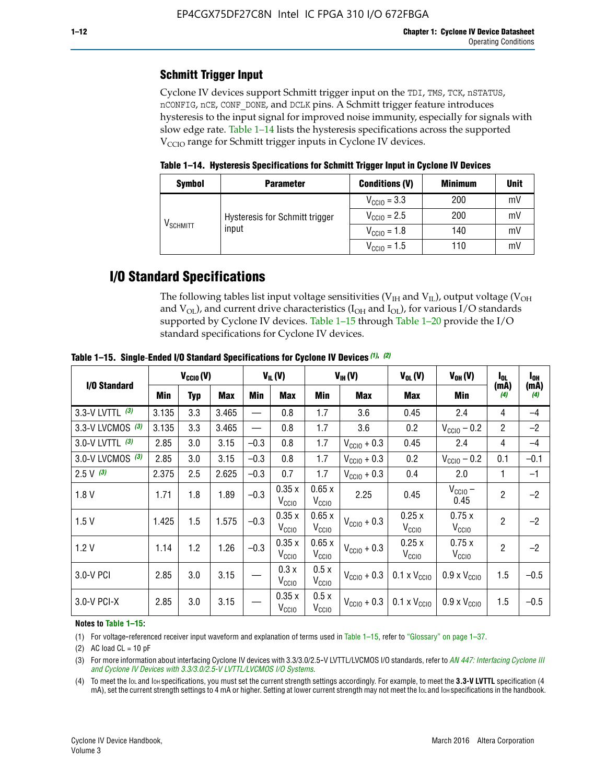### **Schmitt Trigger Input**

Cyclone IV devices support Schmitt trigger input on the TDI, TMS, TCK, nSTATUS, nCONFIG, nCE, CONF\_DONE, and DCLK pins. A Schmitt trigger feature introduces hysteresis to the input signal for improved noise immunity, especially for signals with slow edge rate. Table 1–14 lists the hysteresis specifications across the supported  $V<sub>CCIO</sub>$  range for Schmitt trigger inputs in Cyclone IV devices.

**Table 1–14. Hysteresis Specifications for Schmitt Trigger Input in Cyclone IV Devices**

| <b>Symbol</b>                  | <b>Parameter</b>                        | <b>Conditions (V)</b>   | <b>Minimum</b> | <b>Unit</b> |
|--------------------------------|-----------------------------------------|-------------------------|----------------|-------------|
|                                |                                         | $V_{\text{CCIO}} = 3.3$ | 200            | mV          |
| $\mathsf{V}_{\mathsf{SCHMIT}}$ | Hysteresis for Schmitt trigger<br>input | $V_{\text{CGI0}} = 2.5$ | 200            | mV          |
|                                |                                         | $V_{\text{CCIO}} = 1.8$ | 140            | mV          |
|                                |                                         | $V_{\text{CCIO}} = 1.5$ | 110            | mV          |

### **I/O Standard Specifications**

The following tables list input voltage sensitivities ( $V<sub>IH</sub>$  and  $V<sub>II</sub>$ ), output voltage ( $V<sub>OH</sub>$ and  $V_{OL}$ ), and current drive characteristics ( $I_{OH}$  and  $I_{OL}$ ), for various I/O standards supported by Cyclone IV devices. Table 1–15 through Table 1–20 provide the I/O standard specifications for Cyclone IV devices.

|                   | $V_{CClO}(V)$ |            | $V_{IL}(V)$ |        |                            | $V_{IH} (V)$               | $V_{OL}(V)$             | $V_{OH} (V)$                 | l <sub>OL</sub>              | $I_{0H}$       |             |
|-------------------|---------------|------------|-------------|--------|----------------------------|----------------------------|-------------------------|------------------------------|------------------------------|----------------|-------------|
| I/O Standard      | Min           | <b>Typ</b> | Max         | Min    | Max                        | Min                        | <b>Max</b>              | Max                          | Min                          | (mA)<br>(4)    | (mA)<br>(4) |
| 3.3-V LVTTL (3)   | 3.135         | 3.3        | 3.465       |        | 0.8                        | 1.7                        | 3.6                     | 0.45                         | 2.4                          | 4              | $-4$        |
| 3.3-V LVCMOS (3)  | 3.135         | 3.3        | 3.465       |        | 0.8                        | 1.7                        | 3.6                     | 0.2                          | $V_{\text{CCIO}} - 0.2$      | $\overline{2}$ | $-2$        |
| 3.0-V LVTTL $(3)$ | 2.85          | 3.0        | 3.15        | $-0.3$ | 0.8                        | 1.7                        | $V_{\text{CC10}} + 0.3$ | 0.45                         | 2.4                          | $\overline{4}$ | $-4$        |
| 3.0-V LVCMOS (3)  | 2.85          | 3.0        | 3.15        | $-0.3$ | 0.8                        | 1.7                        | $V_{\text{CCI}0}$ + 0.3 | 0.2                          | $V_{\text{CC10}} - 0.2$      | 0.1            | $-0.1$      |
| $2.5 V$ (3)       | 2.375         | 2.5        | 2.625       | $-0.3$ | 0.7                        | 1.7                        | $V_{\text{CCI}0}$ + 0.3 | 0.4                          | 2.0                          | 1              | $-1$        |
| 1.8V              | 1.71          | 1.8        | 1.89        | $-0.3$ | 0.35x<br>V <sub>CCIO</sub> | 0.65x<br>V <sub>CCIO</sub> | 2.25                    | 0.45                         | $V_{\text{CCIO}}$ –<br>0.45  | $\overline{2}$ | $-2$        |
| 1.5V              | 1.425         | 1.5        | 1.575       | $-0.3$ | 0.35x<br>V <sub>CCIO</sub> | 0.65x<br>V <sub>CCIO</sub> | $V_{\text{CGI0}} + 0.3$ | 0.25x<br>V <sub>CCIO</sub>   | 0.75x<br>V <sub>CCIO</sub>   | $\overline{2}$ | $-2$        |
| 1.2V              | 1.14          | 1.2        | 1.26        | $-0.3$ | 0.35x<br>V <sub>CCIO</sub> | 0.65x<br>V <sub>CCIO</sub> | $V_{\text{CGI0}} + 0.3$ | 0.25x<br>V <sub>CCIO</sub>   | 0.75x<br>V <sub>CCIO</sub>   | $\overline{2}$ | $-2$        |
| 3.0-V PCI         | 2.85          | 3.0        | 3.15        |        | 0.3x<br>V <sub>CCIO</sub>  | 0.5x<br>V <sub>CCIO</sub>  | $V_{\text{CC10}} + 0.3$ | $0.1 \times V_{CC10}$        | $0.9 \times V_{\text{CC10}}$ | 1.5            | $-0.5$      |
| 3.0-V PCI-X       | 2.85          | 3.0        | 3.15        |        | 0.35x<br>V <sub>CCIO</sub> | 0.5x<br>V <sub>CCIO</sub>  | $V_{\text{CC10}} + 0.3$ | $0.1 \times V_{\text{CCIO}}$ | $0.9 \times V_{\text{CC10}}$ | 1.5            | $-0.5$      |

**Table 1–15. Single**-**Ended I/O Standard Specifications for Cyclone IV Devices** *(1)***,** *(2)*

#### **Notes to Table 1–15:**

(1) For voltage-referenced receiver input waveform and explanation of terms used in Table 1–15, refer to "Glossary" on page 1–37.

(2) AC load  $CL = 10$  pF

(3) For more information about interfacing Cyclone IV devices with 3.3/3.0/2.5-V LVTTL/LVCMOS I/O standards, refer to *[AN 447: Interfacing Cyclone III](http://www.altera.com/literature/an/an447.pdf)  [and Cyclone IV Devices with 3.3/3.0/2.5-V LVTTL/LVCMOS I/O Systems](http://www.altera.com/literature/an/an447.pdf)*.

(4) To meet the IOL and IOH specifications, you must set the current strength settings accordingly. For example, to meet the **3.3-V LVTTL** specification (4 mA), set the current strength settings to 4 mA or higher. Setting at lower current strength may not meet the lou and lon specifications in the handbook.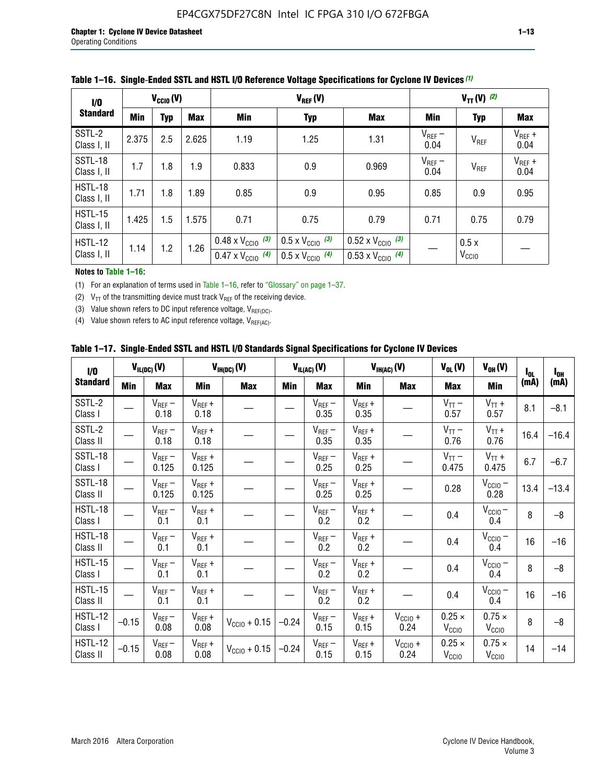| 1/0                           | $V_{\text{CC10}}(V)$ |            |       |                                                                        | $V_{TT} (V)$ (2)                                                     |                                                                        |                     |                           |                     |
|-------------------------------|----------------------|------------|-------|------------------------------------------------------------------------|----------------------------------------------------------------------|------------------------------------------------------------------------|---------------------|---------------------------|---------------------|
| <b>Standard</b>               | Min                  | <b>Typ</b> | Max   | Min                                                                    | <b>Typ</b>                                                           | Max                                                                    | Min                 | <b>Typ</b>                | <b>Max</b>          |
| SSTL-2<br>Class I, II         | 2.375                | 2.5        | 2.625 | 1.19                                                                   | 1.25                                                                 | 1.31                                                                   | $V_{REF}$ –<br>0.04 | $V_{REF}$                 | $V_{REF}$ +<br>0.04 |
| SSTL-18<br>Class I, II        | 1.7                  | 1.8        | 1.9   | 0.833                                                                  | 0.9                                                                  | 0.969                                                                  | $V_{REF}$ –<br>0.04 | V <sub>REF</sub>          | $V_{REF}$ +<br>0.04 |
| HSTL-18<br>Class I, II        | 1.71                 | 1.8        | 1.89  | 0.85                                                                   | 0.9                                                                  | 0.95                                                                   | 0.85                | 0.9                       | 0.95                |
| <b>HSTL-15</b><br>Class I, II | 1.425                | 1.5        | 1.575 | 0.71                                                                   | 0.75                                                                 | 0.79                                                                   | 0.71                | 0.75                      | 0.79                |
| HSTL-12<br>Class I, II        | 1.14                 | 1.2        | 1.26  | $0.48 \times V_{\text{CC10}}$ (3)<br>$0.47 \times V_{\text{CC10}}$ (4) | $0.5 \times V_{\text{CC10}}$ (3)<br>$0.5 \times V_{\text{CC10}}$ (4) | $0.52 \times V_{\text{CC10}}$ (3)<br>$0.53 \times V_{\text{CC10}}$ (4) |                     | 0.5x<br>V <sub>CCIO</sub> |                     |

|  |  |  |  | Table 1–16. Single-Ended SSTL and HSTL I/O Reference Voltage Specifications for Cyclone IV Devices (1) |
|--|--|--|--|--------------------------------------------------------------------------------------------------------|
|--|--|--|--|--------------------------------------------------------------------------------------------------------|

**Notes to Table 1–16:**

(1) For an explanation of terms used in Table 1–16, refer to "Glossary" on page 1–37.

(2)  $V_{TT}$  of the transmitting device must track  $V_{REF}$  of the receiving device.

(3) Value shown refers to DC input reference voltage,  $V_{REF(DC)}$ .

(4) Value shown refers to AC input reference voltage,  $V_{REF(AC)}$ .

|  |  |  |  |  | Table 1–17.  Single-Ended SSTL and HSTL I/O Standards Signal Specifications for Cyclone IV Devices |
|--|--|--|--|--|----------------------------------------------------------------------------------------------------|
|--|--|--|--|--|----------------------------------------------------------------------------------------------------|

| I/O                        |            | $V_{IL(DC)}(V)$      |                                       | $V_{IH(DC)}(V)$       |         | $V_{IL(AC)}(V)$     |                     | $V_{IH(AC)}(V)$      | $V_{OL}(V)$                        | $V_{OH} (V)$                       | $I_{0L}$ | $I_{0H}$ |
|----------------------------|------------|----------------------|---------------------------------------|-----------------------|---------|---------------------|---------------------|----------------------|------------------------------------|------------------------------------|----------|----------|
| <b>Standard</b>            | <b>Min</b> | <b>Max</b>           | Min                                   | <b>Max</b>            | Min     | <b>Max</b>          | Min                 | <b>Max</b>           | <b>Max</b>                         | Min                                | (mA)     | (mA)     |
| SSTL-2<br>Class I          |            | $V_{REF}$ –<br>0.18  | $V_{REF} +$<br>0.18                   |                       |         | $V_{REF}$ –<br>0.35 | $V_{REF} +$<br>0.35 |                      | $V_{TT}$ –<br>0.57                 | $V_{TT}$ +<br>0.57                 | 8.1      | $-8.1$   |
| SSTL-2<br>Class II         |            | $V_{REF}$ –<br>0.18  | $V_{REF} +$<br>0.18                   |                       |         | $V_{REF}$ –<br>0.35 | $V_{REF} +$<br>0.35 |                      | $V_{TT}$ –<br>0.76                 | $V_{TT}$ +<br>0.76                 | 16.4     | $-16.4$  |
| SSTL-18<br>Class I         |            | $V_{REF}$ –<br>0.125 | $V_{REF}$ +<br>0.125                  |                       |         | $V_{REF}$ –<br>0.25 | $V_{REF}$ +<br>0.25 |                      | $V_{TT}$ –<br>0.475                | $V_{TT}$ +<br>0.475                | 6.7      | $-6.7$   |
| <b>SSTL-18</b><br>Class II |            | $V_{REF}$ –<br>0.125 | $V_{REF}$ +<br>0.125                  |                       |         | $V_{REF}$ –<br>0.25 | $V_{REF}$ +<br>0.25 |                      | 0.28                               | $V_{\text{CCIO}}-$<br>0.28         | 13.4     | $-13.4$  |
| HSTL-18<br>Class I         |            | $V_{REF}$ –<br>0.1   | $V_{REF}$ +<br>0.1                    |                       |         | $V_{REF}$ –<br>0.2  | $V_{REF}$ +<br>0.2  |                      | 0.4                                | $V_{CCIO}$ –<br>0.4                | 8        | $-8$     |
| HSTL-18<br>Class II        |            | $V_{REF}$ –<br>0.1   | $V_{REF}$ +<br>0.1                    |                       |         | $V_{REF}$ –<br>0.2  | $V_{REF}$ +<br>0.2  |                      | 0.4                                | $V_{CC10} -$<br>0.4                | 16       | $-16$    |
| HSTL-15<br>Class I         |            | $V_{REF}$ –<br>0.1   | $V_{REF}$ +<br>0.1                    |                       |         | $V_{REF}$ –<br>0.2  | $V_{REF}$ +<br>0.2  |                      | 0.4                                | $V_{CCIO}$ –<br>0.4                | 8        | $-8$     |
| HSTL-15<br>Class II        |            | $V_{REF}$ –<br>0.1   | $V_{REF} +$<br>0.1                    |                       |         | $V_{REF}-$<br>0.2   | $V_{REF}$ +<br>0.2  |                      | 0.4                                | $V_{\text{CC1O}} -$<br>0.4         | 16       | $-16$    |
| <b>HSTL-12</b><br>Class I  | $-0.15$    | $V_{REF}-$<br>0.08   | $V_{REF} +$<br>0.08                   | $V_{\rm CClO} + 0.15$ | $-0.24$ | $V_{REF}$ –<br>0.15 | $V_{REF}$ +<br>0.15 | $V_{CCIO}$ +<br>0.24 | $0.25 \times$<br>$V_{\rm CClO}$    | $0.75 \times$<br>V <sub>CClO</sub> | 8        | $-8$     |
| <b>HSTL-12</b><br>Class II | $-0.15$    | $V_{REF}$ –<br>0.08  | $\mathsf{V}_{\mathsf{REF}}$ +<br>0.08 | $V_{CGI0} + 0.15$     | $-0.24$ | $V_{REF}$ –<br>0.15 | $V_{REF} +$<br>0.15 | $V_{CC10}$ +<br>0.24 | $0.25 \times$<br>V <sub>CCIO</sub> | $0.75 \times$<br>V <sub>CCIO</sub> | 14       | $-14$    |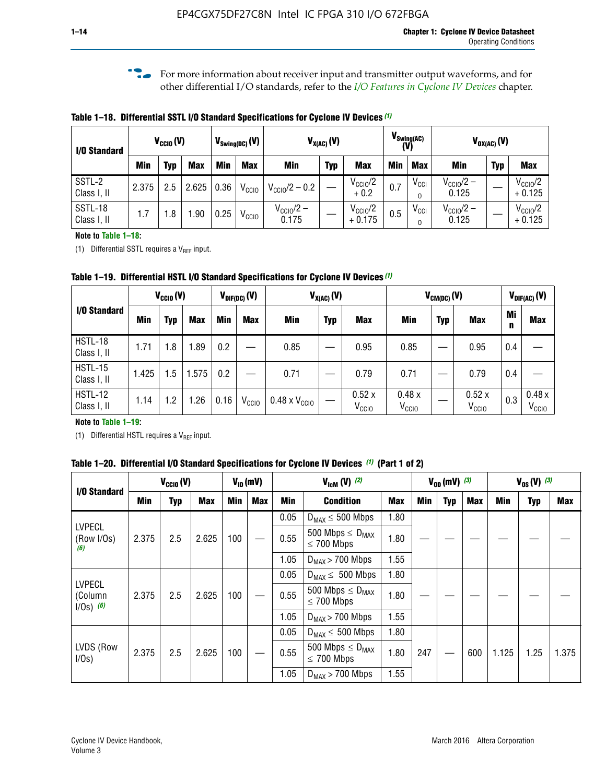**f For more information about receiver input and transmitter output waveforms, and for** other differential I/O standards, refer to the *[I/O Features in Cyclone IV Devices](http://www.altera.com/literature/hb/cyclone-iv/cyiv-51006.pdf)* chapter*.*

**Table 1–18. Differential SSTL I/O Standard Specifications for Cyclone IV Devices** *(1)*

| I/O Standard           |       | $V_{CCl0}(V)$ |            | $V_{\text{Swing(DC)}}(V)$ |                   | $V_{X(AC)}(V)$                 |            | $V_{\text{Swing(AC)}}$<br>(V)   | $V_{OX(AC)}(V)$ |               |                                |            |                                 |
|------------------------|-------|---------------|------------|---------------------------|-------------------|--------------------------------|------------|---------------------------------|-----------------|---------------|--------------------------------|------------|---------------------------------|
|                        | Min   | Typ           | <b>Max</b> | Min                       | <b>Max</b>        | <b>Min</b>                     | <b>Typ</b> | <b>Max</b>                      | <b>Min</b>      | <b>Max</b>    | Min                            | <b>Typ</b> | <b>Max</b>                      |
| SSTL-2<br>Class I, II  | 2.375 | 2.5           | 2.625      | 0.36                      | V <sub>CCIO</sub> | $V_{\text{CC10}}/2 - 0.2$      |            | $V_{\text{CC1O}}/2$<br>$+0.2$   | 0.7             | $V_{\rm CCI}$ | $V_{\text{CC10}}/2 -$<br>0.125 |            | $V_{\text{CC10}}/2$<br>$+0.125$ |
| SSTL-18<br>Class I, II | 1.7   | .8            | .90        | 0.25                      | V <sub>CCIO</sub> | $V_{\text{CC10}}/2 -$<br>0.175 |            | $V_{\text{CC10}}/2$<br>$+0.175$ | 0.5             | $V_{\rm CCI}$ | $V_{\text{CC10}}/2 -$<br>0.125 |            | $V_{\text{CC10}}/2$<br>$+0.125$ |

#### **Note to Table 1–18:**

(1) Differential SSTL requires a  $V_{REF}$  input.

**Table 1–19. Differential HSTL I/O Standard Specifications for Cyclone IV Devices** *(1)*

|                               | $V_{CClO}(V)$ |     |            | $V_{\text{DIF(DC)}}(V)$ |                   | $V_{X(AC)}(V)$                |            |                            | $V_{CM(DC)}(V)$            |            |                            |         | $V_{\text{DIF(AC)}}(V)$    |  |
|-------------------------------|---------------|-----|------------|-------------------------|-------------------|-------------------------------|------------|----------------------------|----------------------------|------------|----------------------------|---------|----------------------------|--|
| I/O Standard                  | Min           | Typ | <b>Max</b> | Min                     | <b>Max</b>        | Min                           | <b>Typ</b> | <b>Max</b>                 | Min                        | <b>Typ</b> | <b>Max</b>                 | Mi<br>n | <b>Max</b>                 |  |
| HSTL-18<br>Class I, II        | 1.71          | 1.8 | .89        | 0.2                     |                   | 0.85                          |            | 0.95                       | 0.85                       |            | 0.95                       | 0.4     |                            |  |
| <b>HSTL-15</b><br>Class I, II | 1.425         | 1.5 | .575       | $0.2\,$                 |                   | 0.71                          |            | 0.79                       | 0.71                       |            | 0.79                       | 0.4     |                            |  |
| <b>HSTL-12</b><br>Class I, II | 1.14          | 1.2 | 1.26       | 0.16                    | V <sub>CCIO</sub> | $0.48 \times V_{\text{CC10}}$ |            | 0.52x<br>V <sub>CCIO</sub> | 0.48x<br>V <sub>CCIO</sub> |            | 0.52x<br>V <sub>CCIO</sub> | 0.3     | 0.48x<br>V <sub>CCIO</sub> |  |

#### **Note to Table 1–19:**

(1) Differential HSTL requires a  $V_{REF}$  input.

**Table 1–20. Differential I/O Standard Specifications for Cyclone IV Devices** *(1)* **(Part 1 of 2)**

|                                         |       | $V_{CCl0} (V)$ |            |            | $V_{ID}$ (mV) |      | $V_{\text{lcm}}(V)^{(2)}$                  |            |     | $V_{0D}$ (mV) $(3)$ |     |       | $V_{0S} (V)^{(3)}$ |       |
|-----------------------------------------|-------|----------------|------------|------------|---------------|------|--------------------------------------------|------------|-----|---------------------|-----|-------|--------------------|-------|
| I/O Standard                            | Min   | Typ            | <b>Max</b> | <b>Min</b> | <b>Max</b>    | Min  | <b>Condition</b>                           | <b>Max</b> | Min | Typ                 | Max | Min   | <b>Typ</b>         | Max   |
|                                         |       |                |            |            |               | 0.05 | $D_{MAX} \leq 500$ Mbps                    | 1.80       |     |                     |     |       |                    |       |
| <b>LVPECL</b><br>(Row I/Os)<br>(6)      | 2.375 | 2.5            | 2.625      | 100        |               | 0.55 | 500 Mbps $\leq D_{MAX}$<br>$\leq$ 700 Mbps | 1.80       |     |                     |     |       |                    |       |
|                                         |       |                |            |            |               | 1.05 | $D_{MAX}$ > 700 Mbps                       | 1.55       |     |                     |     |       |                    |       |
|                                         |       |                |            |            |               | 0.05 | $D_{MAX} \leq 500$ Mbps                    | 1.80       |     |                     |     |       |                    |       |
| <b>LVPECL</b><br>(Column<br>$1/Os)$ (6) | 2.375 | 2.5            | 2.625      | 100        |               | 0.55 | 500 Mbps $\leq D_{MAX}$<br>$\leq$ 700 Mbps | 1.80       |     |                     |     |       |                    |       |
|                                         |       |                |            |            |               | 1.05 | $D_{MAX}$ > 700 Mbps                       | 1.55       |     |                     |     |       |                    |       |
|                                         |       |                |            |            |               | 0.05 | $D_{MAX} \leq 500$ Mbps                    | 1.80       |     |                     |     |       |                    |       |
| LVDS (Row<br>I/Os)                      | 2.375 | 2.5            | 2.625      | 100        |               | 0.55 | 500 Mbps $\leq D_{MAX}$<br>$\leq 700$ Mbps | 1.80       | 247 |                     | 600 | 1.125 | 1.25               | 1.375 |
|                                         |       |                |            |            |               | 1.05 | $D_{MAX}$ > 700 Mbps                       | 1.55       |     |                     |     |       |                    |       |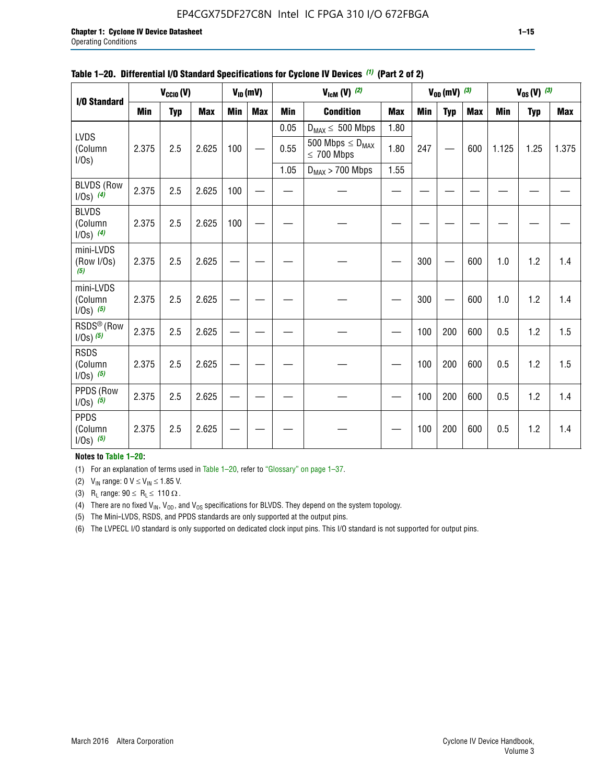#### EP4CGX75DF27C8N Intel IC FPGA 310 I/O 672FBGA

|                                          |            | $V_{\text{CCIO}}(V)$ |            |     | $V_{ID}(mV)$ |            | $V_{\text{lcm}}(V)$ (2)                    |            |     | $V_{0D}$ (mV) $(3)$ |            |            | $V_{0S} (V)$ (3) |            |
|------------------------------------------|------------|----------------------|------------|-----|--------------|------------|--------------------------------------------|------------|-----|---------------------|------------|------------|------------------|------------|
| I/O Standard                             |            |                      |            |     |              |            |                                            |            |     |                     |            |            |                  |            |
|                                          | <b>Min</b> | <b>Typ</b>           | <b>Max</b> | Min | <b>Max</b>   | <b>Min</b> | <b>Condition</b>                           | <b>Max</b> | Min | <b>Typ</b>          | <b>Max</b> | <b>Min</b> | <b>Typ</b>       | <b>Max</b> |
|                                          |            |                      |            |     |              | 0.05       | $D_{MAX} \leq 500$ Mbps                    | 1.80       |     |                     |            |            |                  |            |
| <b>LVDS</b><br>(Column<br>I/Os)          | 2.375      | 2.5                  | 2.625      | 100 |              | 0.55       | 500 Mbps $\leq D_{MAX}$<br>$\leq 700$ Mbps | 1.80       | 247 |                     | 600        | 1.125      | 1.25             | 1.375      |
|                                          |            |                      |            |     |              | 1.05       | $D_{MAX}$ > 700 Mbps                       | 1.55       |     |                     |            |            |                  |            |
| <b>BLVDS (Row</b><br>$1/0s)$ (4)         | 2.375      | 2.5                  | 2.625      | 100 |              |            |                                            |            |     |                     |            |            |                  |            |
| <b>BLVDS</b><br>(Column<br>$1/0s)$ (4)   | 2.375      | 2.5                  | 2.625      | 100 |              |            |                                            |            |     |                     |            |            |                  |            |
| mini-LVDS<br>(Row I/Os)<br>(5)           | 2.375      | 2.5                  | 2.625      |     |              |            |                                            |            | 300 |                     | 600        | 1.0        | 1.2              | 1.4        |
| mini-LVDS<br>(Column<br>$1/0s)$ (5)      | 2.375      | 2.5                  | 2.625      |     |              |            |                                            |            | 300 |                     | 600        | 1.0        | 1.2              | 1.4        |
| RSDS <sup>®</sup> (Row<br>$1/0s$ ) $(5)$ | 2.375      | 2.5                  | 2.625      |     |              |            |                                            |            | 100 | 200                 | 600        | 0.5        | 1.2              | 1.5        |
| <b>RSDS</b><br>(Column<br>$1/Os)$ (5)    | 2.375      | 2.5                  | 2.625      |     |              |            |                                            |            | 100 | 200                 | 600        | 0.5        | 1.2              | 1.5        |
| PPDS (Row<br>$1/0s)$ (5)                 | 2.375      | 2.5                  | 2.625      |     |              |            |                                            |            | 100 | 200                 | 600        | 0.5        | 1.2              | 1.4        |
| <b>PPDS</b><br>(Column<br>$1/0s)$ (5)    | 2.375      | 2.5                  | 2.625      |     |              |            |                                            |            | 100 | 200                 | 600        | 0.5        | 1.2              | 1.4        |

#### **Table 1–20. Differential I/O Standard Specifications for Cyclone IV Devices** *(1)* **(Part 2 of 2)**

**Notes to Table 1–20:**

(1) For an explanation of terms used in Table 1–20, refer to "Glossary" on page 1–37.

(2)  $V_{IN}$  range: 0  $V \le V_{IN} \le 1.85$  V.

(3) R<sub>L</sub> range:  $90 \le R_L \le 110 \Omega$ .

(4) There are no fixed  $V_{IN}$ ,  $V_{OD}$ , and  $V_{OS}$  specifications for BLVDS. They depend on the system topology.

(5) The Mini-LVDS, RSDS, and PPDS standards are only supported at the output pins.

(6) The LVPECL I/O standard is only supported on dedicated clock input pins. This I/O standard is not supported for output pins.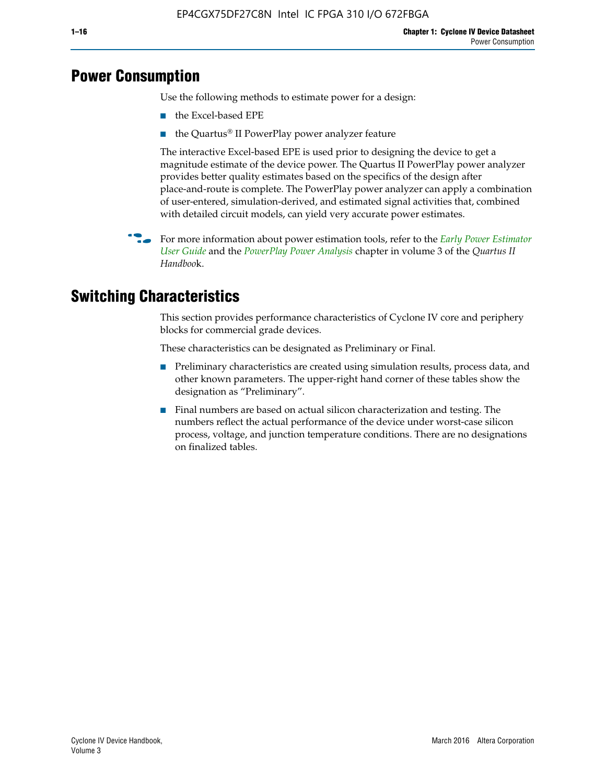# **Power Consumption**

Use the following methods to estimate power for a design:

- the Excel-based EPE
- the Quartus® II PowerPlay power analyzer feature

The interactive Excel-based EPE is used prior to designing the device to get a magnitude estimate of the device power. The Quartus II PowerPlay power analyzer provides better quality estimates based on the specifics of the design after place-and-route is complete. The PowerPlay power analyzer can apply a combination of user-entered, simulation-derived, and estimated signal activities that, combined with detailed circuit models, can yield very accurate power estimates.

f For more information about power estimation tools, refer to the *[Early Power Estimator](http://www.altera.com/literature/ug/ug_epe.pdf
)  [User Guide](http://www.altera.com/literature/ug/ug_epe.pdf
)* and the *[PowerPlay Power Analysis](http://www.altera.com/literature/hb/qts/qts_qii53013.pdf)* chapter in volume 3 of the *Quartus II Handboo*k.

# **Switching Characteristics**

This section provides performance characteristics of Cyclone IV core and periphery blocks for commercial grade devices.

These characteristics can be designated as Preliminary or Final.

- Preliminary characteristics are created using simulation results, process data, and other known parameters. The upper-right hand corner of these tables show the designation as "Preliminary".
- Final numbers are based on actual silicon characterization and testing. The numbers reflect the actual performance of the device under worst-case silicon process, voltage, and junction temperature conditions. There are no designations on finalized tables.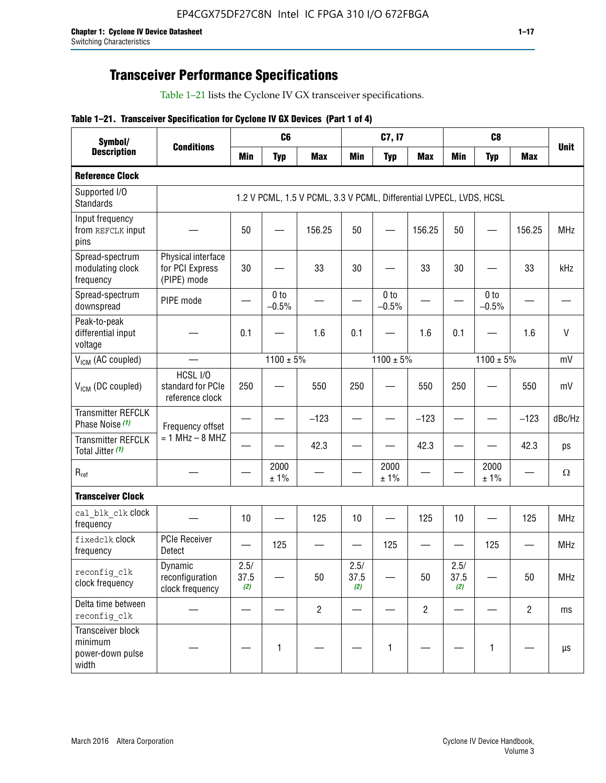# **Transceiver Performance Specifications**

Table 1–21 lists the Cyclone IV GX transceiver specifications.

|  |  |  |  | Table 1-21. Transceiver Specification for Cyclone IV GX Devices (Part 1 of 4) |  |
|--|--|--|--|-------------------------------------------------------------------------------|--|
|--|--|--|--|-------------------------------------------------------------------------------|--|

| Symbol/<br><b>Description</b>                             |                                                      |                     | C <sub>6</sub>             |                                                                     |                     | C7, I7                     |                               |                     | C <sub>8</sub>             |                |              |
|-----------------------------------------------------------|------------------------------------------------------|---------------------|----------------------------|---------------------------------------------------------------------|---------------------|----------------------------|-------------------------------|---------------------|----------------------------|----------------|--------------|
|                                                           | <b>Conditions</b>                                    | <b>Min</b>          | <b>Typ</b>                 | <b>Max</b>                                                          | <b>Min</b>          | <b>Typ</b>                 | <b>Max</b>                    | <b>Min</b>          | <b>Typ</b>                 | <b>Max</b>     | <b>Unit</b>  |
| <b>Reference Clock</b>                                    |                                                      |                     |                            |                                                                     |                     |                            |                               |                     |                            |                |              |
| Supported I/O<br><b>Standards</b>                         |                                                      |                     |                            | 1.2 V PCML, 1.5 V PCML, 3.3 V PCML, Differential LVPECL, LVDS, HCSL |                     |                            |                               |                     |                            |                |              |
| Input frequency<br>from REFCLK input<br>pins              |                                                      | 50                  |                            | 156.25                                                              | 50                  |                            | 156.25                        | 50                  | $\qquad \qquad$            | 156.25         | <b>MHz</b>   |
| Spread-spectrum<br>modulating clock<br>frequency          | Physical interface<br>for PCI Express<br>(PIPE) mode | 30                  |                            | 33                                                                  | 30                  |                            | 33                            | 30                  |                            | 33             | kHz          |
| Spread-spectrum<br>downspread                             | PIPE mode                                            |                     | 0 <sub>to</sub><br>$-0.5%$ |                                                                     |                     | 0 <sub>to</sub><br>$-0.5%$ |                               |                     | 0 <sub>to</sub><br>$-0.5%$ |                |              |
| Peak-to-peak<br>differential input<br>voltage             |                                                      | 0.1                 |                            | 1.6                                                                 | 0.1                 |                            | 1.6                           | 0.1                 |                            | 1.6            | $\mathsf{V}$ |
| V <sub>ICM</sub> (AC coupled)                             |                                                      |                     | $1100 \pm 5\%$             |                                                                     |                     | $1100 \pm 5\%$             |                               |                     | $1100 \pm 5\%$             |                | mV           |
| $V_{ICM}$ (DC coupled)                                    | HCSL I/O<br>standard for PCIe<br>reference clock     | 250                 |                            | 550                                                                 | 250                 |                            | 550                           | 250                 |                            | 550            | mV           |
| <b>Transmitter REFCLK</b><br>Phase Noise (1)              | Frequency offset                                     |                     |                            | $-123$                                                              |                     |                            | $-123$                        |                     |                            | $-123$         | dBc/Hz       |
| <b>Transmitter REFCLK</b><br>Total Jitter (1)             | $= 1$ MHz $- 8$ MHZ                                  |                     |                            | 42.3                                                                |                     |                            | 42.3                          |                     |                            | 42.3           | ps           |
| $R_{ref}$                                                 |                                                      |                     | 2000<br>± 1%               |                                                                     |                     | 2000<br>± 1%               |                               |                     | 2000<br>± 1%               |                | Ω            |
| <b>Transceiver Clock</b>                                  |                                                      |                     |                            |                                                                     |                     |                            |                               |                     |                            |                |              |
| cal blk clk clock<br>frequency                            |                                                      | 10                  |                            | 125                                                                 | 10                  |                            | 125                           | 10                  |                            | 125            | <b>MHz</b>   |
| fixedclk Clock<br>frequency                               | <b>PCIe Receiver</b><br>Detect                       |                     | 125                        |                                                                     |                     | 125                        | $\overbrace{\phantom{aaaaa}}$ |                     | 125                        |                | <b>MHz</b>   |
| reconfig clk<br>clock frequency                           | Dynamic<br>reconfiguration<br>clock frequency        | 2.5/<br>37.5<br>(2) |                            | 50                                                                  | 2.5/<br>37.5<br>(2) |                            | 50                            | 2.5/<br>37.5<br>(2) |                            | 50             | <b>MHz</b>   |
| Delta time between<br>reconfig clk                        |                                                      |                     |                            | $\overline{c}$                                                      |                     |                            | $\overline{2}$                |                     |                            | $\overline{2}$ | ms           |
| Transceiver block<br>minimum<br>power-down pulse<br>width |                                                      |                     | 1                          |                                                                     |                     | 1                          |                               |                     | $\mathbf{1}$               |                | $\mu s$      |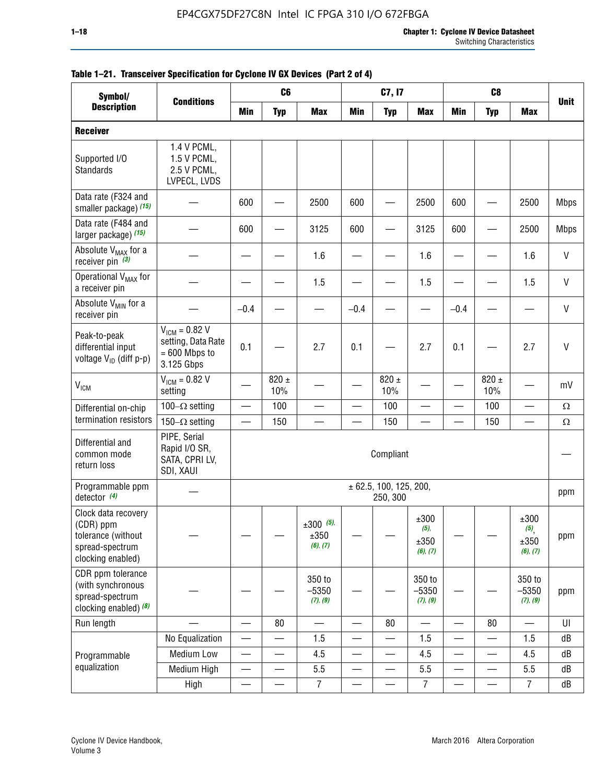| Symbol/                                                                                        |                                                                           | C <sub>6</sub><br>C <sub>8</sub><br>C7, I7 |                          |                                 |                 |                                    |                                          |                          |                          |                                                |              |
|------------------------------------------------------------------------------------------------|---------------------------------------------------------------------------|--------------------------------------------|--------------------------|---------------------------------|-----------------|------------------------------------|------------------------------------------|--------------------------|--------------------------|------------------------------------------------|--------------|
| <b>Description</b>                                                                             | <b>Conditions</b>                                                         | Min                                        | <b>Typ</b>               | <b>Max</b>                      | <b>Min</b>      | <b>Typ</b>                         | <b>Max</b>                               | <b>Min</b>               | <b>Typ</b>               | <b>Max</b>                                     | <b>Unit</b>  |
| <b>Receiver</b>                                                                                |                                                                           |                                            |                          |                                 |                 |                                    |                                          |                          |                          |                                                |              |
| Supported I/O<br>Standards                                                                     | 1.4 V PCML,<br>1.5 V PCML,<br>2.5 V PCML,<br>LVPECL, LVDS                 |                                            |                          |                                 |                 |                                    |                                          |                          |                          |                                                |              |
| Data rate (F324 and<br>smaller package) (15)                                                   |                                                                           | 600                                        |                          | 2500                            | 600             |                                    | 2500                                     | 600                      |                          | 2500                                           | <b>Mbps</b>  |
| Data rate (F484 and<br>larger package) (15)                                                    |                                                                           | 600                                        |                          | 3125                            | 600             |                                    | 3125                                     | 600                      |                          | 2500                                           | <b>Mbps</b>  |
| Absolute V <sub>MAX</sub> for a<br>receiver pin $(3)$                                          |                                                                           |                                            |                          | 1.6                             |                 |                                    | 1.6                                      |                          |                          | 1.6                                            | V            |
| Operational V <sub>MAX</sub> for<br>a receiver pin                                             |                                                                           |                                            |                          | 1.5                             |                 |                                    | 1.5                                      |                          |                          | 1.5                                            | V            |
| Absolute V <sub>MIN</sub> for a<br>receiver pin                                                |                                                                           | $-0.4$                                     |                          |                                 | $-0.4$          |                                    |                                          | $-0.4$                   |                          |                                                | V            |
| Peak-to-peak<br>differential input<br>voltage V <sub>ID</sub> (diff p-p)                       | $V_{ICM} = 0.82 V$<br>setting, Data Rate<br>$= 600$ Mbps to<br>3.125 Gbps | 0.1                                        |                          | 2.7                             | 0.1             |                                    | 2.7                                      | 0.1                      |                          | 2.7                                            | $\mathsf{V}$ |
| <b>V<sub>ICM</sub></b>                                                                         | $V_{IGM} = 0.82 V$<br>setting                                             |                                            | 820 $\pm$<br>10%         |                                 |                 | 820 $\pm$<br>10%                   |                                          |                          | $820 \pm$<br>10%         |                                                | mV           |
| Differential on-chip                                                                           | 100 $-\Omega$ setting                                                     | $\equiv$                                   | 100                      | $\qquad \qquad \qquad$          |                 | 100                                |                                          | $\overline{\phantom{0}}$ | 100                      | $\overbrace{\phantom{aaaaa}}^{x}$              | $\Omega$     |
| termination resistors                                                                          | 150 $-\Omega$ setting                                                     |                                            | 150                      |                                 |                 | 150                                |                                          | $\overline{\phantom{0}}$ | 150                      |                                                | $\Omega$     |
| Differential and<br>common mode<br>return loss                                                 | PIPE, Serial<br>Rapid I/O SR,<br>SATA, CPRI LV,<br>SDI, XAUI              |                                            |                          |                                 |                 | Compliant                          |                                          |                          |                          |                                                |              |
| Programmable ppm<br>detector $(4)$                                                             |                                                                           |                                            |                          |                                 |                 | ± 62.5, 100, 125, 200,<br>250, 300 |                                          |                          |                          |                                                | ppm          |
| Clock data recovery<br>(CDR) ppm<br>tolerance (without<br>spread-spectrum<br>clocking enabled) |                                                                           |                                            |                          | $±300$ (5),<br>±350<br>(6), (7) |                 |                                    | $\pm 300$<br>$(5)$ ,<br>±350<br>(6), (7) |                          |                          | ±300<br>$(5)$ <sub>,</sub><br>±350<br>(6), (7) | ppm          |
| CDR ppm tolerance<br>(with synchronous<br>spread-spectrum<br>clocking enabled) (8)             |                                                                           |                                            |                          | 350 to<br>$-5350$<br>(7), (9)   |                 |                                    | 350 to<br>$-5350$<br>(7), (9)            |                          |                          | 350 to<br>$-5350$<br>(7), (9)                  | ppm          |
| Run length                                                                                     |                                                                           | $\equiv$                                   | 80                       |                                 | $\equiv$        | 80                                 | $\overline{\phantom{0}}$                 | $\overline{\phantom{0}}$ | 80                       | $\overline{\phantom{0}}$                       | UI           |
|                                                                                                | No Equalization                                                           |                                            |                          | 1.5                             |                 |                                    | 1.5                                      | $\overline{\phantom{0}}$ | $\overline{\phantom{0}}$ | 1.5                                            | dB           |
| Programmable                                                                                   | Medium Low                                                                |                                            |                          | 4.5                             |                 |                                    | 4.5                                      | —                        |                          | 4.5                                            | dB           |
| equalization                                                                                   | Medium High                                                               | $\overline{\phantom{0}}$                   | $\overline{\phantom{0}}$ | 5.5                             | $\equiv$        | —                                  | 5.5                                      | $\overline{\phantom{0}}$ | $\overline{\phantom{0}}$ | 5.5                                            | dB           |
|                                                                                                | High                                                                      |                                            |                          | $\overline{7}$                  | $\qquad \qquad$ |                                    | $\overline{7}$                           |                          | $\overline{\phantom{0}}$ | $\overline{7}$                                 | dB           |

|  |  | Table 1-21. Transceiver Specification for Cyclone IV GX Devices (Part 2 of 4) |  |
|--|--|-------------------------------------------------------------------------------|--|
|  |  |                                                                               |  |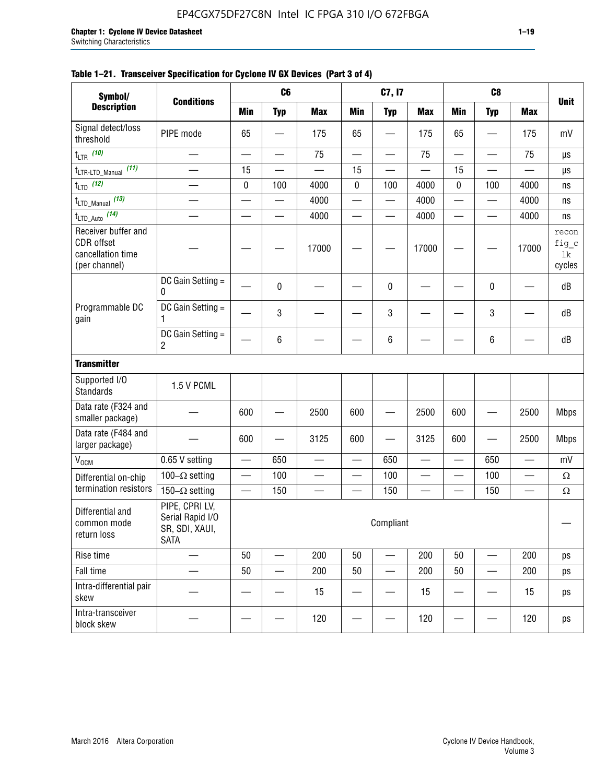| Symbol/                                                                 | <b>Conditions</b>                                                   |                          | C <sub>6</sub>           |                          |                          | C7, I7                            |                 |                          | C <sub>8</sub>           |            | <b>Unit</b>                    |
|-------------------------------------------------------------------------|---------------------------------------------------------------------|--------------------------|--------------------------|--------------------------|--------------------------|-----------------------------------|-----------------|--------------------------|--------------------------|------------|--------------------------------|
| <b>Description</b>                                                      |                                                                     | <b>Min</b>               | <b>Typ</b>               | <b>Max</b>               | <b>Min</b>               | <b>Typ</b>                        | <b>Max</b>      | <b>Min</b>               | <b>Typ</b>               | <b>Max</b> |                                |
| Signal detect/loss<br>threshold                                         | PIPE mode                                                           | 65                       |                          | 175                      | 65                       | $\overbrace{\phantom{123221111}}$ | 175             | 65                       |                          | 175        | mV                             |
| $t_{LTR}$ (10)                                                          |                                                                     | $\equiv$                 | $\overline{\phantom{0}}$ | 75                       | $\equiv$                 | $\overline{\phantom{0}}$          | 75              | $\overline{\phantom{0}}$ | $\overline{\phantom{0}}$ | 75         | μs                             |
| (11)<br>$t_{\text{LTR-LTD\_Manual}}$                                    |                                                                     | 15                       |                          |                          | 15                       |                                   |                 | 15                       |                          |            | $\mu s$                        |
| $t_{LTD}$ (12)                                                          |                                                                     | $\pmb{0}$                | 100                      | 4000                     | $\pmb{0}$                | 100                               | 4000            | $\pmb{0}$                | 100                      | 4000       | ns                             |
| $t_{\text{LTD\_Manual}}$ (13)                                           | $\overline{\phantom{0}}$                                            | $\equiv$                 | $\overline{\phantom{0}}$ | 4000                     | $\overline{\phantom{0}}$ | $\overline{\phantom{0}}$          | 4000            |                          |                          | 4000       | ns                             |
| $t_{\text{LTD\_Auto}}$ (14)                                             | $\mathcal{L}_{\mathcal{A}}$                                         |                          | $\overline{\phantom{0}}$ | 4000                     |                          | $\overline{\phantom{0}}$          | 4000            | $\overline{\phantom{0}}$ | $\overline{\phantom{0}}$ | 4000       | ns                             |
| Receiver buffer and<br>CDR offset<br>cancellation time<br>(per channel) |                                                                     |                          |                          | 17000                    |                          |                                   | 17000           |                          |                          | 17000      | recon<br>fig_c<br>lk<br>cycles |
|                                                                         | DC Gain Setting =<br>0                                              |                          | 0                        |                          |                          | $\pmb{0}$                         |                 |                          | 0                        |            | dB                             |
| Programmable DC<br>gain                                                 | DC Gain Setting =<br>1                                              |                          | 3                        |                          |                          | 3                                 |                 |                          | 3                        |            | dB                             |
|                                                                         | DC Gain Setting =<br>$\overline{2}$                                 |                          | 6                        |                          |                          | 6                                 |                 |                          | 6                        |            | dB                             |
| <b>Transmitter</b>                                                      |                                                                     |                          |                          |                          |                          |                                   |                 |                          |                          |            |                                |
| Supported I/O<br><b>Standards</b>                                       | 1.5 V PCML                                                          |                          |                          |                          |                          |                                   |                 |                          |                          |            |                                |
| Data rate (F324 and<br>smaller package)                                 |                                                                     | 600                      |                          | 2500                     | 600                      |                                   | 2500            | 600                      |                          | 2500       | <b>Mbps</b>                    |
| Data rate (F484 and<br>larger package)                                  |                                                                     | 600                      |                          | 3125                     | 600                      | —                                 | 3125            | 600                      |                          | 2500       | <b>Mbps</b>                    |
| V <sub>OCM</sub>                                                        | 0.65 V setting                                                      | $\overline{\phantom{0}}$ | 650                      | $\overline{\phantom{0}}$ | $\overline{\phantom{0}}$ | 650                               | $\qquad \qquad$ | $\overline{\phantom{0}}$ | 650                      |            | mV                             |
| Differential on-chip                                                    | 100 $-\Omega$ setting                                               |                          | 100                      |                          |                          | 100                               |                 |                          | 100                      |            | $\Omega$                       |
| termination resistors                                                   | 150 $-\Omega$ setting                                               |                          | 150                      | $\overline{\phantom{0}}$ |                          | 150                               |                 | $\overline{\phantom{0}}$ | 150                      |            | $\Omega$                       |
| Differential and<br>common mode<br>return loss                          | PIPE, CPRI LV,<br>Serial Rapid I/O<br>SR, SDI, XAUI,<br><b>SATA</b> |                          |                          |                          |                          | Compliant                         |                 |                          |                          |            |                                |
| Rise time                                                               | $\overline{\phantom{0}}$                                            | 50                       |                          | 200                      | 50                       |                                   | 200             | 50                       |                          | 200        | ps                             |
| Fall time                                                               |                                                                     | 50                       |                          | 200                      | 50                       |                                   | 200             | 50                       |                          | 200        | ps                             |
| Intra-differential pair<br>skew                                         |                                                                     |                          |                          | 15                       |                          |                                   | 15              |                          |                          | 15         | ps                             |
| Intra-transceiver<br>block skew                                         |                                                                     |                          |                          | 120                      |                          |                                   | 120             |                          |                          | 120        | ps                             |

#### **Table 1–21. Transceiver Specification for Cyclone IV GX Devices (Part 3 of 4)**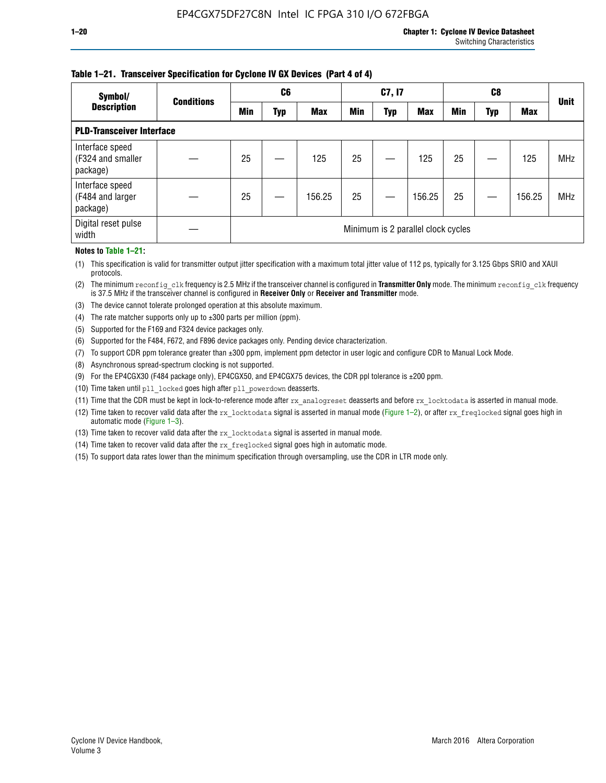#### **Table 1–21. Transceiver Specification for Cyclone IV GX Devices (Part 4 of 4)**

| Symbol/                                          | <b>Conditions</b> | C <sub>6</sub>                     |     |            | C7, I7     |            |            | C8         |     |            | <b>Unit</b> |
|--------------------------------------------------|-------------------|------------------------------------|-----|------------|------------|------------|------------|------------|-----|------------|-------------|
| <b>Description</b>                               |                   | Min                                | Typ | <b>Max</b> | <b>Min</b> | <b>Typ</b> | <b>Max</b> | <b>Min</b> | Typ | <b>Max</b> |             |
| <b>PLD-Transceiver Interface</b>                 |                   |                                    |     |            |            |            |            |            |     |            |             |
| Interface speed<br>(F324 and smaller<br>package) |                   | 25                                 |     | 125        | 25         |            | 125        | 25         |     | 125        | <b>MHz</b>  |
| Interface speed<br>(F484 and larger<br>package)  |                   | 25                                 |     | 156.25     | 25         |            | 156.25     | 25         |     | 156.25     | <b>MHz</b>  |
| Digital reset pulse<br>width                     |                   | Minimum is 2 parallel clock cycles |     |            |            |            |            |            |     |            |             |

#### **Notes to Table 1–21:**

(1) This specification is valid for transmitter output jitter specification with a maximum total jitter value of 112 ps, typically for 3.125 Gbps SRIO and XAUI protocols.

(2) The minimum reconfig\_clk frequency is 2.5 MHz if the transceiver channel is configured in **Transmitter Only** mode. The minimum reconfig\_clk frequency is 37.5 MHz if the transceiver channel is configured in **Receiver Only** or **Receiver and Transmitter** mode.

(3) The device cannot tolerate prolonged operation at this absolute maximum.

- (4) The rate matcher supports only up to  $\pm 300$  parts per million (ppm).
- (5) Supported for the F169 and F324 device packages only.
- (6) Supported for the F484, F672, and F896 device packages only. Pending device characterization.
- (7) To support CDR ppm tolerance greater than ±300 ppm, implement ppm detector in user logic and configure CDR to Manual Lock Mode.
- (8) Asynchronous spread-spectrum clocking is not supported.
- (9) For the EP4CGX30 (F484 package only), EP4CGX50, and EP4CGX75 devices, the CDR ppl tolerance is ±200 ppm.
- (10) Time taken until pll\_locked goes high after pll\_powerdown deasserts.
- (11) Time that the CDR must be kept in lock-to-reference mode after rx analogreset deasserts and before rx locktodata is asserted in manual mode.

(12) Time taken to recover valid data after the rx locktodata signal is asserted in manual mode (Figure 1–2), or after rx freqlocked signal goes high in automatic mode (Figure 1–3).

(13) Time taken to recover valid data after the rx locktodata signal is asserted in manual mode.

- (14) Time taken to recover valid data after the rx freqlocked signal goes high in automatic mode.
- (15) To support data rates lower than the minimum specification through oversampling, use the CDR in LTR mode only.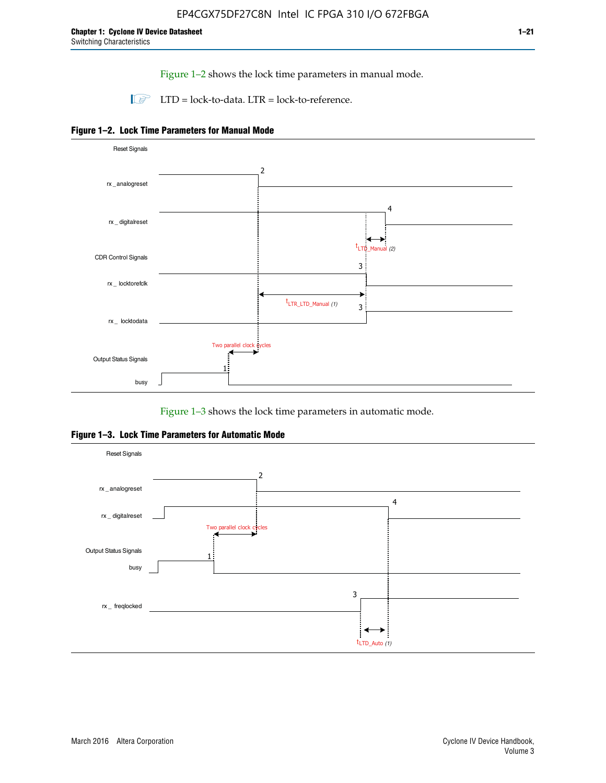Figure 1–2 shows the lock time parameters in manual mode.

 $\Box$  LTD = lock-to-data. LTR = lock-to-reference.





Figure 1–3 shows the lock time parameters in automatic mode.

**Figure 1–3. Lock Time Parameters for Automatic Mode**

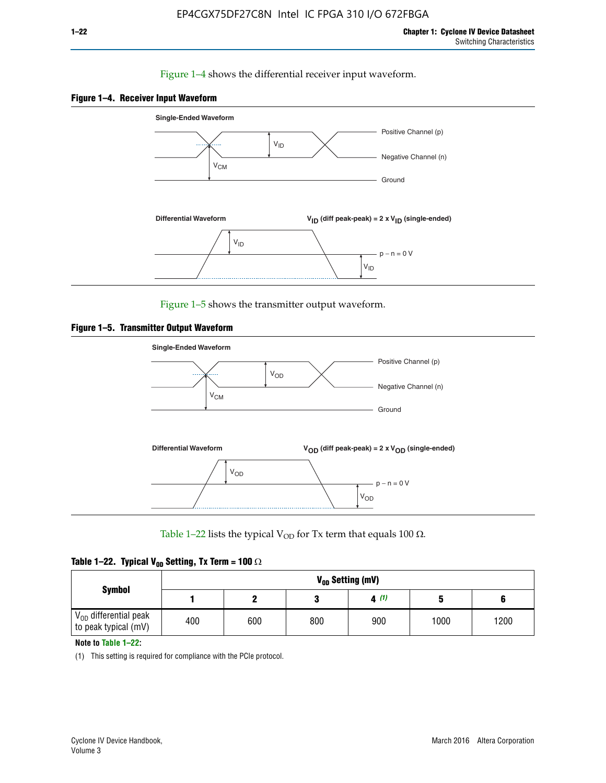#### Figure 1–4 shows the differential receiver input waveform.





Figure 1–5 shows the transmitter output waveform.





Table 1–22 lists the typical V<sub>OD</sub> for Tx term that equals 100  $\Omega$ .

| Table 1–22. Typical V <sub>0D</sub> Setting, Tx Term = 100 $\Omega$ |  |  |  |  |  |  |  |
|---------------------------------------------------------------------|--|--|--|--|--|--|--|
|---------------------------------------------------------------------|--|--|--|--|--|--|--|

| <b>Symbol</b>                                          | V <sub>on</sub> Setting (mV) |     |     |      |      |      |  |  |  |  |
|--------------------------------------------------------|------------------------------|-----|-----|------|------|------|--|--|--|--|
|                                                        |                              |     |     | 4(1) |      |      |  |  |  |  |
| $\rm V_{OD}$ differential peak<br>to peak typical (mV) | 400                          | 600 | 800 | 900  | 1000 | 1200 |  |  |  |  |

**Note to Table 1–22:**

(1) This setting is required for compliance with the PCIe protocol.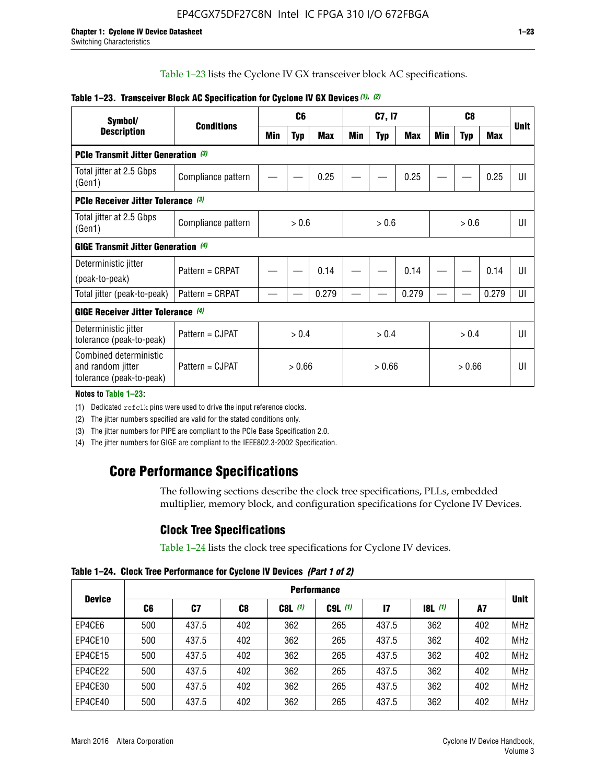Table 1–23 lists the Cyclone IV GX transceiver block AC specifications.

| Symbol/                                                                 |                    | C <sub>6</sub> |     |            | C7, I7 |            |            | C <sub>8</sub> |            |       | <b>Unit</b> |
|-------------------------------------------------------------------------|--------------------|----------------|-----|------------|--------|------------|------------|----------------|------------|-------|-------------|
| <b>Description</b>                                                      | <b>Conditions</b>  | Min            | Typ | <b>Max</b> | Min    | <b>Typ</b> | <b>Max</b> | Min            | <b>Typ</b> | Max   |             |
| PCIe Transmit Jitter Generation (3)                                     |                    |                |     |            |        |            |            |                |            |       |             |
| Total jitter at 2.5 Gbps<br>(Gen1)                                      | Compliance pattern |                |     | 0.25       |        |            | 0.25       |                |            | 0.25  | UI          |
| PCIe Receiver Jitter Tolerance (3)                                      |                    |                |     |            |        |            |            |                |            |       |             |
| Total jitter at 2.5 Gbps<br>(Gen1)                                      | Compliance pattern | > 0.6          |     | > 0.6      |        | > 0.6      |            | UI             |            |       |             |
| GIGE Transmit Jitter Generation (4)                                     |                    |                |     |            |        |            |            |                |            |       |             |
| Deterministic jitter                                                    | Pattern = CRPAT    |                |     | 0.14       |        |            | 0.14       |                |            | 0.14  | UI          |
| (peak-to-peak)                                                          |                    |                |     |            |        |            |            |                |            |       |             |
| Total jitter (peak-to-peak)                                             | Pattern = CRPAT    |                |     | 0.279      |        |            | 0.279      |                |            | 0.279 | UI          |
| <b>GIGE Receiver Jitter Tolerance (4)</b>                               |                    |                |     |            |        |            |            |                |            |       |             |
| Deterministic jitter<br>tolerance (peak-to-peak)                        | Pattern = CJPAT    | > 0.4          |     |            | > 0.4  |            | > 0.4      |                |            | UI    |             |
| Combined deterministic<br>and random jitter<br>tolerance (peak-to-peak) | Pattern = CJPAT    | > 0.66         |     | > 0.66     |        |            | > 0.66     |                |            | UI    |             |

#### **Table 1–23. Transceiver Block AC Specification for Cyclone IV GX Devices** *(1)***,** *(2)*

**Notes to Table 1–23:**

(1) Dedicated refclk pins were used to drive the input reference clocks.

(2) The jitter numbers specified are valid for the stated conditions only.

(3) The jitter numbers for PIPE are compliant to the PCIe Base Specification 2.0.

(4) The jitter numbers for GIGE are compliant to the IEEE802.3-2002 Specification.

### **Core Performance Specifications**

The following sections describe the clock tree specifications, PLLs, embedded multiplier, memory block, and configuration specifications for Cyclone IV Devices.

### **Clock Tree Specifications**

Table 1–24 lists the clock tree specifications for Cyclone IV devices.

**Table 1–24. Clock Tree Performance for Cyclone IV Devices** *(Part 1 of 2)*

|               | <b>Performance</b> |       |     |           |             |              |                  |     |             |
|---------------|--------------------|-------|-----|-----------|-------------|--------------|------------------|-----|-------------|
| <b>Device</b> | C6                 | C7    | C8  | $C8L$ (1) | $C9L$ $(1)$ | $\mathbf{I}$ | <b>18L</b> $(1)$ | A7  | <b>Unit</b> |
| EP4CE6        | 500                | 437.5 | 402 | 362       | 265         | 437.5        | 362              | 402 | <b>MHz</b>  |
| EP4CE10       | 500                | 437.5 | 402 | 362       | 265         | 437.5        | 362              | 402 | <b>MHz</b>  |
| EP4CE15       | 500                | 437.5 | 402 | 362       | 265         | 437.5        | 362              | 402 | <b>MHz</b>  |
| EP4CE22       | 500                | 437.5 | 402 | 362       | 265         | 437.5        | 362              | 402 | <b>MHz</b>  |
| EP4CE30       | 500                | 437.5 | 402 | 362       | 265         | 437.5        | 362              | 402 | <b>MHz</b>  |
| EP4CE40       | 500                | 437.5 | 402 | 362       | 265         | 437.5        | 362              | 402 | <b>MHz</b>  |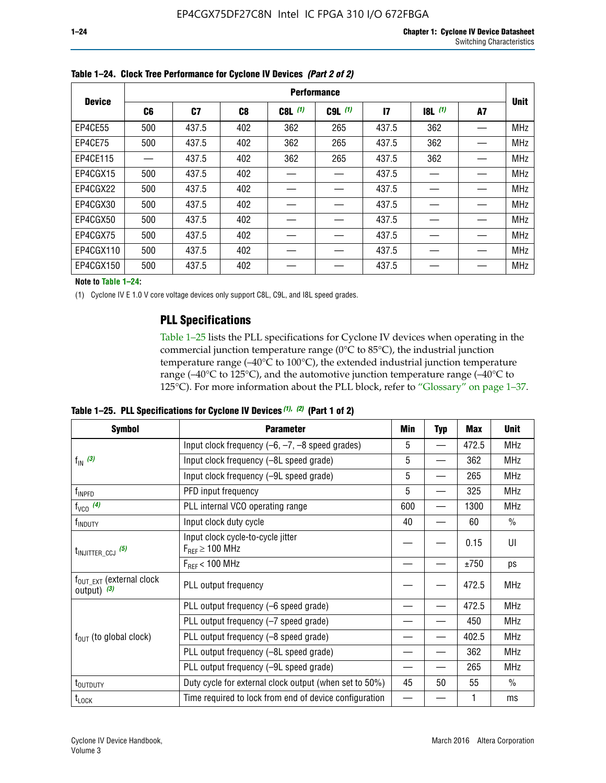|               | <b>Performance</b> |       |                |           |             |              |       |    |             |  |
|---------------|--------------------|-------|----------------|-----------|-------------|--------------|-------|----|-------------|--|
| <b>Device</b> | C6                 | C7    | C <sub>8</sub> | $C8L$ (1) | $C9L$ $(1)$ | $\mathbf{I}$ | 8L(1) | A7 | <b>Unit</b> |  |
| EP4CE55       | 500                | 437.5 | 402            | 362       | 265         | 437.5        | 362   |    | <b>MHz</b>  |  |
| EP4CE75       | 500                | 437.5 | 402            | 362       | 265         | 437.5        | 362   |    | <b>MHz</b>  |  |
| EP4CE115      |                    | 437.5 | 402            | 362       | 265         | 437.5        | 362   |    | <b>MHz</b>  |  |
| EP4CGX15      | 500                | 437.5 | 402            |           |             | 437.5        |       |    | <b>MHz</b>  |  |
| EP4CGX22      | 500                | 437.5 | 402            |           |             | 437.5        |       |    | <b>MHz</b>  |  |
| EP4CGX30      | 500                | 437.5 | 402            |           |             | 437.5        |       |    | <b>MHz</b>  |  |
| EP4CGX50      | 500                | 437.5 | 402            |           |             | 437.5        |       |    | <b>MHz</b>  |  |
| EP4CGX75      | 500                | 437.5 | 402            |           |             | 437.5        |       |    | <b>MHz</b>  |  |
| EP4CGX110     | 500                | 437.5 | 402            |           |             | 437.5        |       |    | <b>MHz</b>  |  |
| EP4CGX150     | 500                | 437.5 | 402            |           |             | 437.5        |       |    | <b>MHz</b>  |  |

**Table 1–24. Clock Tree Performance for Cyclone IV Devices** *(Part 2 of 2)*

**Note to Table 1–24:**

(1) Cyclone IV E 1.0 V core voltage devices only support C8L, C9L, and I8L speed grades.

### **PLL Specifications**

Table 1–25 lists the PLL specifications for Cyclone IV devices when operating in the commercial junction temperature range (0°C to 85°C), the industrial junction temperature range (–40°C to 100°C), the extended industrial junction temperature range (–40°C to 125°C), and the automotive junction temperature range (–40°C to 125°C). For more information about the PLL block, refer to "Glossary" on page 1–37.

|  |  | Table 1–25. PLL Specifications for Cyclone IV Devices $(1)$ , $(2)$ (Part 1 of 2) |  |
|--|--|-----------------------------------------------------------------------------------|--|
|--|--|-----------------------------------------------------------------------------------|--|

| <b>Symbol</b>                                          | <b>Parameter</b>                                            | Min | <b>Typ</b>               | Max   | <b>Unit</b>   |
|--------------------------------------------------------|-------------------------------------------------------------|-----|--------------------------|-------|---------------|
|                                                        | Input clock frequency $(-6, -7, -8)$ speed grades)          | 5   | —                        | 472.5 | <b>MHz</b>    |
| $f_{\text{IN}}$ (3)                                    | Input clock frequency (-8L speed grade)                     | 5   |                          | 362   | <b>MHz</b>    |
|                                                        | Input clock frequency (-9L speed grade)                     | 5   |                          | 265   | <b>MHz</b>    |
| f <sub>INPFD</sub>                                     | PFD input frequency                                         | 5   |                          | 325   | <b>MHz</b>    |
| $f_{VCO}$ (4)                                          | PLL internal VCO operating range                            | 600 | $\overline{\phantom{0}}$ | 1300  | <b>MHz</b>    |
| f <sub>INDUTY</sub>                                    | Input clock duty cycle                                      | 40  |                          | 60    | $\frac{0}{0}$ |
| $t_{\text{INJITTER\_CCJ}}$ (5)                         | Input clock cycle-to-cycle jitter<br>$F_{REF} \geq 100$ MHz |     |                          | 0.15  | UI            |
|                                                        | $F_{RFF}$ < 100 MHz                                         |     |                          | ±750  | ps            |
| $f_{\text{OUT\_EXT}}$ (external clock<br>output) $(3)$ | PLL output frequency                                        |     |                          | 472.5 | <b>MHz</b>    |
|                                                        | PLL output frequency (-6 speed grade)                       |     |                          | 472.5 | <b>MHz</b>    |
|                                                        | PLL output frequency (-7 speed grade)                       |     |                          | 450   | <b>MHz</b>    |
| $f_{OUT}$ (to global clock)                            | PLL output frequency (-8 speed grade)                       |     |                          | 402.5 | <b>MHz</b>    |
|                                                        | PLL output frequency (-8L speed grade)                      |     |                          | 362   | <b>MHz</b>    |
|                                                        | PLL output frequency (-9L speed grade)                      |     |                          | 265   | <b>MHz</b>    |
| t <sub>outputy</sub>                                   | Duty cycle for external clock output (when set to 50%)      | 45  | 50                       | 55    | $\frac{0}{0}$ |
| $t_{\text{LOCK}}$                                      | Time required to lock from end of device configuration      |     |                          |       | ms            |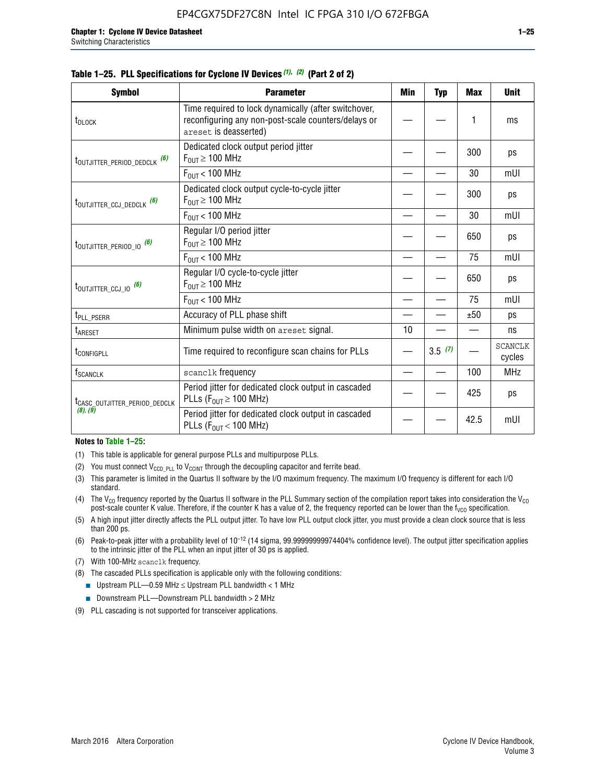|  |  | Table 1–25. PLL Specifications for Cyclone IV Devices (1), (2) (Part 2 of 2) |  |
|--|--|------------------------------------------------------------------------------|--|
|--|--|------------------------------------------------------------------------------|--|

| <b>Symbol</b>                             | <b>Parameter</b>                                                                                                                     | Min | <b>Typ</b> | <b>Max</b> | <b>Unit</b>              |
|-------------------------------------------|--------------------------------------------------------------------------------------------------------------------------------------|-----|------------|------------|--------------------------|
| t <sub>DLOCK</sub>                        | Time required to lock dynamically (after switchover,<br>reconfiguring any non-post-scale counters/delays or<br>areset is deasserted) |     |            | 1          | ms                       |
| t <sub>outjitter_period_dedclk</sub> (6)  | Dedicated clock output period jitter<br>$F_{OIII} \geq 100$ MHz                                                                      |     |            | 300        | ps                       |
|                                           | $F_{\text{OUT}}$ < 100 MHz                                                                                                           |     |            | 30         | mUI                      |
| t <sub>outjitter_ccj_dedclk</sub> (6)     | Dedicated clock output cycle-to-cycle jitter<br>$F_{OUT} \geq 100$ MHz                                                               |     |            | 300        | ps                       |
|                                           | $F_{OUT}$ < 100 MHz                                                                                                                  |     |            | 30         | mUI                      |
| t <sub>outjitter_period_io</sub> (6)      | Regular I/O period jitter<br>$F_{OIII} \geq 100$ MHz                                                                                 |     |            | 650        | ps                       |
|                                           | $F_{OUT}$ < 100 MHz                                                                                                                  |     |            | 75         | mUI                      |
| t <sub>outjitter_ccj_io</sub> (6)         | Regular I/O cycle-to-cycle jitter<br>$F_{OUT} \geq 100$ MHz                                                                          |     |            | 650        | ps                       |
|                                           | $F_{OUT}$ < 100 MHz                                                                                                                  |     |            | 75         | mUI                      |
| t <sub>PLL_PSERR</sub>                    | Accuracy of PLL phase shift                                                                                                          |     |            | ±50        | ps                       |
| <b>t</b> <sub>ARESET</sub>                | Minimum pulse width on areset signal.                                                                                                | 10  |            |            | ns                       |
| t <sub>configpll</sub>                    | Time required to reconfigure scan chains for PLLs                                                                                    |     | 3.5(7)     |            | <b>SCANCLK</b><br>cycles |
| f <sub>SCANCLK</sub>                      | scanclk frequency                                                                                                                    |     |            | 100        | <b>MHz</b>               |
| t <sub>CASC_OUTJITTER_PERIOD_DEDCLK</sub> | Period jitter for dedicated clock output in cascaded<br>PLLs ( $F_{OUT} \ge 100$ MHz)                                                |     |            | 425        | ps                       |
| (8), (9)                                  | Period jitter for dedicated clock output in cascaded<br>PLLs ( $F_{OUT}$ < 100 MHz)                                                  |     |            | 42.5       | mUI                      |

#### **Notes to Table 1–25:**

- (1) This table is applicable for general purpose PLLs and multipurpose PLLs.
- (2) You must connect  $V_{CCD-PLL}$  to  $V_{CCINT}$  through the decoupling capacitor and ferrite bead.
- (3) This parameter is limited in the Quartus II software by the I/O maximum frequency. The maximum I/O frequency is different for each I/O standard.
- (4) The  $V_{CO}$  frequency reported by the Quartus II software in the PLL Summary section of the compilation report takes into consideration the  $V_{CO}$ post-scale counter K value. Therefore, if the counter K has a value of 2, the frequency reported can be lower than the f<sub>VCO</sub> specification.
- (5) A high input jitter directly affects the PLL output jitter. To have low PLL output clock jitter, you must provide a clean clock source that is less than 200 ps.
- (6) Peak-to-peak jitter with a probability level of 10–12 (14 sigma, 99.99999999974404% confidence level). The output jitter specification applies to the intrinsic jitter of the PLL when an input jitter of 30 ps is applied.
- (7) With 100-MHz scanclk frequency.
- (8) The cascaded PLLs specification is applicable only with the following conditions:
	- **■** Upstream PLL—0.59 MHz  $\leq$  Upstream PLL bandwidth  $<$  1 MHz
	- Downstream PLL—Downstream PLL bandwidth > 2 MHz
- (9) PLL cascading is not supported for transceiver applications.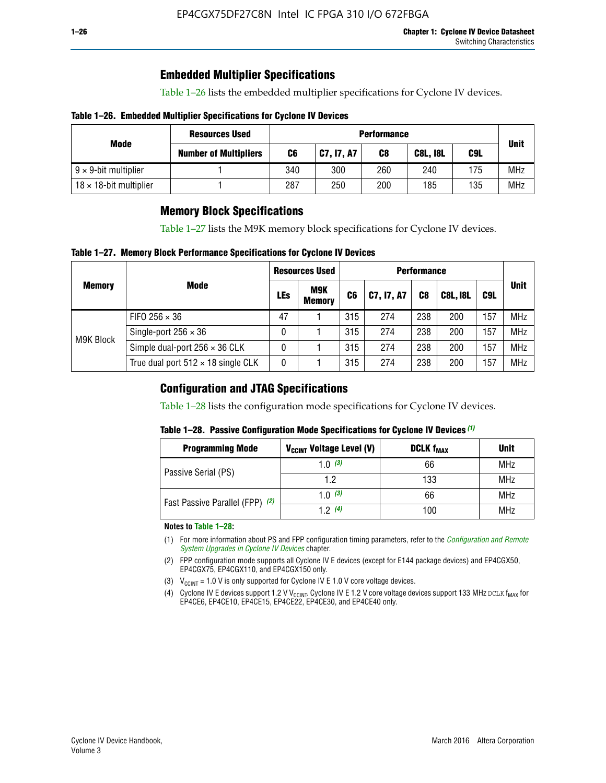### **Embedded Multiplier Specifications**

Table 1–26 lists the embedded multiplier specifications for Cyclone IV devices.

#### **Table 1–26. Embedded Multiplier Specifications for Cyclone IV Devices**

|                                | <b>Resources Used</b><br><b>Performance</b> |     |            |     |                 |     |             |
|--------------------------------|---------------------------------------------|-----|------------|-----|-----------------|-----|-------------|
| Mode                           | <b>Number of Multipliers</b>                | C6  | C7, I7, A7 | C8  | <b>C8L, I8L</b> | C9L | <b>Unit</b> |
| $9 \times 9$ -bit multiplier   |                                             | 340 | 300        | 260 | 240             | 175 | <b>MHz</b>  |
| $18 \times 18$ -bit multiplier |                                             | 287 | 250        | 200 | 185             | 135 | <b>MHz</b>  |

### **Memory Block Specifications**

Table 1–27 lists the M9K memory block specifications for Cyclone IV devices.

#### **Table 1–27. Memory Block Performance Specifications for Cyclone IV Devices**

|               |                                           | <b>Resources Used</b> |                             | <b>Performance</b> |            |                |                 |     |             |
|---------------|-------------------------------------------|-----------------------|-----------------------------|--------------------|------------|----------------|-----------------|-----|-------------|
| <b>Memory</b> | <b>Mode</b>                               | LEs                   | <b>M9K</b><br><b>Memory</b> | C <sub>6</sub>     | C7, I7, A7 | C <sub>8</sub> | <b>C8L, I8L</b> | C9L | <b>Unit</b> |
|               | FIFO 256 $\times$ 36                      | 47                    |                             | 315                | 274        | 238            | 200             | 157 | <b>MHz</b>  |
| M9K Block     | Single-port $256 \times 36$               | 0                     |                             | 315                | 274        | 238            | 200             | 157 | <b>MHz</b>  |
|               | Simple dual-port $256 \times 36$ CLK      | 0                     |                             | 315                | 274        | 238            | 200             | 157 | <b>MHz</b>  |
|               | True dual port $512 \times 18$ single CLK | 0                     |                             | 315                | 274        | 238            | 200             | 157 | <b>MHz</b>  |

### **Configuration and JTAG Specifications**

Table 1–28 lists the configuration mode specifications for Cyclone IV devices.

#### **Table 1–28. Passive Configuration Mode Specifications for Cyclone IV Devices** *(1)*

| <b>Programming Mode</b>         | V <sub>CCINT</sub> Voltage Level (V) | <b>DCLK f<sub>MAX</sub></b> | <b>Unit</b> |
|---------------------------------|--------------------------------------|-----------------------------|-------------|
| Passive Serial (PS)             | 1.0 $(3)$                            | 66                          | MHz         |
|                                 | 1.2                                  | 133                         | MHz         |
| Fast Passive Parallel (FPP) (2) | 1.0 $(3)$                            | 66                          | <b>MHz</b>  |
|                                 | 12(4)                                | 100                         | <b>MHz</b>  |

#### **Notes to Table 1–28:**

- (1) For more information about PS and FPP configuration timing parameters, refer to the *[Configuration and Remote](http://www.altera.com/literature/hb/cyclone-iv/cyiv-51008.pdf)  [System Upgrades in Cyclone IV Devices](http://www.altera.com/literature/hb/cyclone-iv/cyiv-51008.pdf)* chapter.
- (2) FPP configuration mode supports all Cyclone IV E devices (except for E144 package devices) and EP4CGX50, EP4CGX75, EP4CGX110, and EP4CGX150 only.
- (3)  $V_{CCMT}$  = 1.0 V is only supported for Cyclone IV E 1.0 V core voltage devices.
- (4) Cyclone IV E devices support 1.2 V V<sub>CCINT</sub>. Cyclone IV E 1.2 V core voltage devices support 133 MHz DCLK f<sub>MAX</sub> for EP4CE6, EP4CE10, EP4CE15, EP4CE22, EP4CE30, and EP4CE40 only.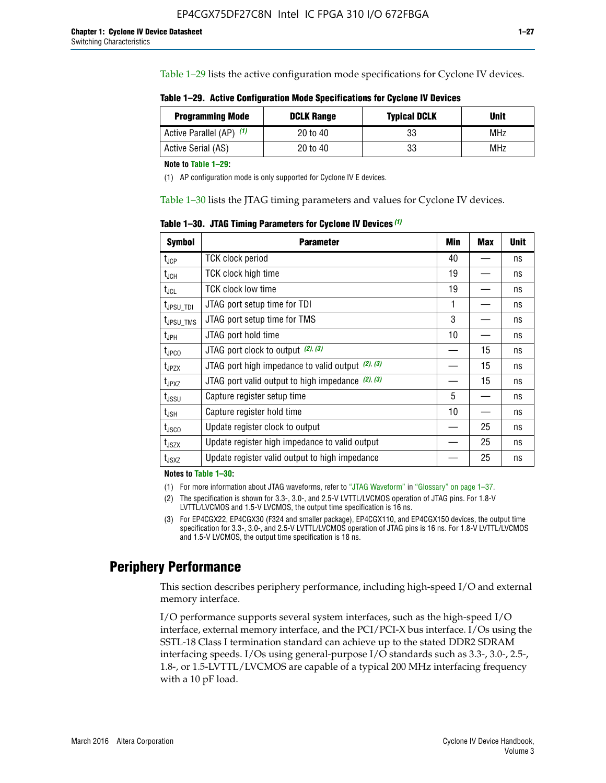Table 1–29 lists the active configuration mode specifications for Cyclone IV devices.

**Table 1–29. Active Configuration Mode Specifications for Cyclone IV Devices**

| <b>Programming Mode</b>  | <b>DCLK Range</b> | <b>Typical DCLK</b> | Unit |
|--------------------------|-------------------|---------------------|------|
| Active Parallel (AP) (1) | 20 to 40          | 33                  | MHz  |
| Active Serial (AS)       | 20 to 40          | 33                  | MHz  |

**Note to Table 1–29:**

(1) AP configuration mode is only supported for Cyclone IV E devices.

Table 1–30 lists the JTAG timing parameters and values for Cyclone IV devices.

**Table 1–30. JTAG Timing Parameters for Cyclone IV Devices** *(1)*

| Symbol                       | <b>Parameter</b>                                       | <b>Min</b> | <b>Max</b> | <b>Unit</b> |
|------------------------------|--------------------------------------------------------|------------|------------|-------------|
| t <sub>JCP</sub>             | <b>TCK clock period</b>                                | 40         |            | ns          |
| t <sub>JCH</sub>             | <b>TCK clock high time</b>                             | 19         |            | ns          |
| $t_{JCL}$                    | TCK clock low time                                     | 19         |            | ns          |
| t <sub>JPSU_TDI</sub>        | JTAG port setup time for TDI                           | 1          |            | ns          |
| t <sub>JPSU_TMS</sub>        | JTAG port setup time for TMS                           | 3          |            | ns          |
| t <sub>JPH</sub>             | JTAG port hold time                                    | 10         |            | ns          |
| t <sub>JPCO</sub>            | JTAG port clock to output $(2)$ , $(3)$                |            | 15         | ns          |
| t <sub>JPZX</sub>            | JTAG port high impedance to valid output $(2)$ , $(3)$ |            | 15         | ns          |
| t <sub>JPXZ</sub>            | JTAG port valid output to high impedance $(2)$ , $(3)$ |            | 15         | ns          |
| ${\rm t}_{\rm JSSU}$         | Capture register setup time                            | 5          |            | ns          |
| $\mathsf{t}_{\mathsf{JSH}}$  | Capture register hold time                             | 10         |            | ns          |
| $t_{\rm JSCO}$               | Update register clock to output                        |            | 25         | ns          |
| $t_{\footnotesize \rm JSZX}$ | Update register high impedance to valid output         |            | 25         | ns          |
| t <sub>JSXZ</sub>            | Update register valid output to high impedance         |            | 25         | ns          |

**Notes to Table 1–30:**

(1) For more information about JTAG waveforms, refer to "JTAG Waveform" in "Glossary" on page 1–37.

(2) The specification is shown for 3.3-, 3.0-, and 2.5-V LVTTL/LVCMOS operation of JTAG pins. For 1.8-V LVTTL/LVCMOS and 1.5-V LVCMOS, the output time specification is 16 ns.

(3) For EP4CGX22, EP4CGX30 (F324 and smaller package), EP4CGX110, and EP4CGX150 devices, the output time specification for 3.3-, 3.0-, and 2.5-V LVTTL/LVCMOS operation of JTAG pins is 16 ns. For 1.8-V LVTTL/LVCMOS and 1.5-V LVCMOS, the output time specification is 18 ns.

### **Periphery Performance**

This section describes periphery performance, including high-speed I/O and external memory interface.

I/O performance supports several system interfaces, such as the high-speed I/O interface, external memory interface, and the PCI/PCI-X bus interface. I/Os using the SSTL-18 Class I termination standard can achieve up to the stated DDR2 SDRAM interfacing speeds. I/Os using general-purpose I/O standards such as 3.3-, 3.0-, 2.5-, 1.8-, or 1.5-LVTTL/LVCMOS are capable of a typical 200 MHz interfacing frequency with a 10 pF load.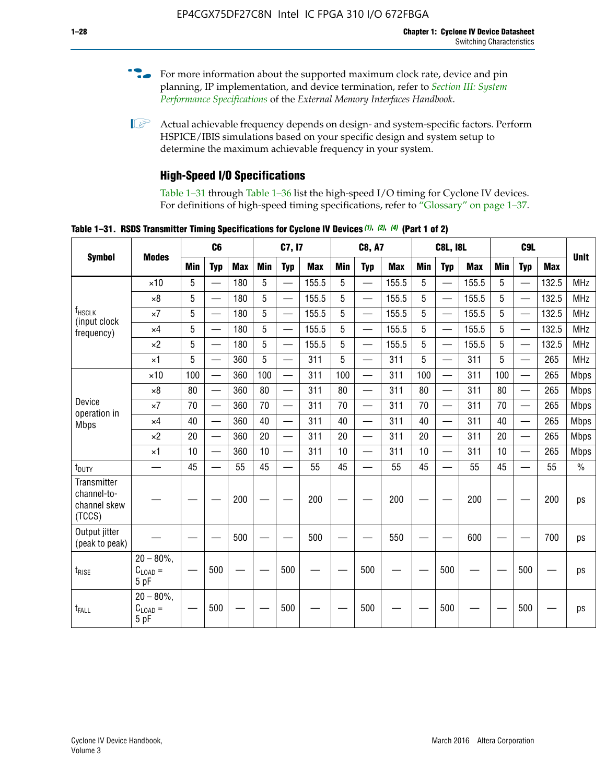- For more information about the supported maximum clock rate, device and pin planning, IP implementation, and device termination, refer to *[Section III: System](http://www.altera.com/literature/hb/external-memory/emi_intro_specs.pdf)  [Performance Specifications](http://www.altera.com/literature/hb/external-memory/emi_intro_specs.pdf)* of the *External Memory Interfaces Handbook*.
- **1 Actual achievable frequency depends on design- and system-specific factors. Perform** HSPICE/IBIS simulations based on your specific design and system setup to determine the maximum achievable frequency in your system.

### **High-Speed I/O Specifications**

Table 1–31 through Table 1–36 list the high-speed I/O timing for Cyclone IV devices. For definitions of high-speed timing specifications, refer to "Glossary" on page 1–37.

**Table 1–31. RSDS Transmitter Timing Specifications for Cyclone IV Devices** *(1)***,** *(2)***,** *(4)* **(Part 1 of 2)**

|                                                      |                                                     |                 | C6                       |            |            | C7, I7                   |            |            | <b>C8, A7</b>            |            |            | <b>C8L, I8L</b>          |            |            | C <sub>9</sub> L         |            |               |
|------------------------------------------------------|-----------------------------------------------------|-----------------|--------------------------|------------|------------|--------------------------|------------|------------|--------------------------|------------|------------|--------------------------|------------|------------|--------------------------|------------|---------------|
| <b>Symbol</b>                                        | <b>Modes</b>                                        | Min             | <b>Typ</b>               | <b>Max</b> | <b>Min</b> | <b>Typ</b>               | <b>Max</b> | <b>Min</b> | <b>Typ</b>               | <b>Max</b> | <b>Min</b> | <b>Typ</b>               | <b>Max</b> | <b>Min</b> | <b>Typ</b>               | <b>Max</b> | <b>Unit</b>   |
|                                                      | $\times$ 10                                         | 5               | —                        | 180        | 5          | ÷,                       | 155.5      | 5          | $\overline{\phantom{0}}$ | 155.5      | 5          |                          | 155.5      | 5          |                          | 132.5      | <b>MHz</b>    |
|                                                      | $\times 8$                                          | 5               |                          | 180        | 5          |                          | 155.5      | 5          | $\overline{\phantom{0}}$ | 155.5      | 5          |                          | 155.5      | 5          |                          | 132.5      | <b>MHz</b>    |
| f <sub>HSCLK</sub><br>(input clock                   | $\times 7$                                          | 5               |                          | 180        | 5          |                          | 155.5      | 5          | $\overline{\phantom{0}}$ | 155.5      | 5          |                          | 155.5      | 5          |                          | 132.5      | <b>MHz</b>    |
| frequency)                                           | $\times$ 4                                          | 5               |                          | 180        | 5          | $\overline{\phantom{0}}$ | 155.5      | 5          | $\qquad \qquad$          | 155.5      | 5          |                          | 155.5      | 5          | $\overline{\phantom{0}}$ | 132.5      | <b>MHz</b>    |
|                                                      | $\times 2$                                          | 5               |                          | 180        | 5          |                          | 155.5      | 5          | $\equiv$                 | 155.5      | 5          | $\overline{\phantom{0}}$ | 155.5      | 5          | $\overline{\phantom{0}}$ | 132.5      | <b>MHz</b>    |
|                                                      | $\times$ 1                                          | 5               |                          | 360        | 5          |                          | 311        | 5          | $\overline{\phantom{0}}$ | 311        | 5          | $\equiv$                 | 311        | 5          | $\equiv$                 | 265        | <b>MHz</b>    |
|                                                      | $\times$ 10                                         | 100             |                          | 360        | 100        |                          | 311        | 100        | $\equiv$                 | 311        | 100        |                          | 311        | 100        | $\equiv$                 | 265        | <b>Mbps</b>   |
|                                                      | $\times 8$                                          | 80              |                          | 360        | 80         |                          | 311        | 80         | $\overline{\phantom{0}}$ | 311        | 80         |                          | 311        | 80         | $\overline{\phantom{0}}$ | 265        | <b>Mbps</b>   |
| Device<br>operation in                               | $\times 7$                                          | 70              |                          | 360        | 70         | $\overline{\phantom{0}}$ | 311        | 70         | $\overline{\phantom{0}}$ | 311        | 70         |                          | 311        | 70         | $\equiv$                 | 265        | <b>Mbps</b>   |
| <b>Mbps</b>                                          | $\times$ 4                                          | 40              | $\overline{\phantom{0}}$ | 360        | 40         |                          | 311        | 40         | $\overline{\phantom{0}}$ | 311        | 40         |                          | 311        | 40         | $\overline{\phantom{0}}$ | 265        | <b>Mbps</b>   |
|                                                      | $\times 2$                                          | 20              |                          | 360        | 20         | $\overline{\phantom{0}}$ | 311        | 20         | $\overline{\phantom{0}}$ | 311        | 20         | $\qquad \qquad$          | 311        | 20         |                          | 265        | <b>Mbps</b>   |
|                                                      | $\times$ 1                                          | 10              |                          | 360        | 10         |                          | 311        | 10         | $\overline{\phantom{0}}$ | 311        | 10         | $\overline{\phantom{0}}$ | 311        | 10         | $\overline{\phantom{0}}$ | 265        | <b>Mbps</b>   |
| t <sub>DUTY</sub>                                    | —                                                   | 45              |                          | 55         | 45         |                          | 55         | 45         | $\overline{\phantom{0}}$ | 55         | 45         |                          | 55         | 45         |                          | 55         | $\frac{0}{0}$ |
| Transmitter<br>channel-to-<br>channel skew<br>(TCCS) |                                                     |                 |                          | 200        |            |                          | 200        |            |                          | 200        |            |                          | 200        |            |                          | 200        | ps            |
| Output jitter<br>(peak to peak)                      |                                                     |                 |                          | 500        |            |                          | 500        |            |                          | 550        |            |                          | 600        |            |                          | 700        | ps            |
| t <sub>rise</sub>                                    | $20 - 80\%$<br>$\mathrm{C}_{\text{LOAD}}$ =<br>5 pF | $\qquad \qquad$ | 500                      |            |            | 500                      |            |            | 500                      |            |            | 500                      |            |            | 500                      |            | ps            |
| t <sub>FALL</sub>                                    | $20 - 80\%$<br>$C_{LOAD} =$<br>5 pF                 |                 | 500                      |            |            | 500                      |            |            | 500                      |            |            | 500                      |            |            | 500                      |            | ps            |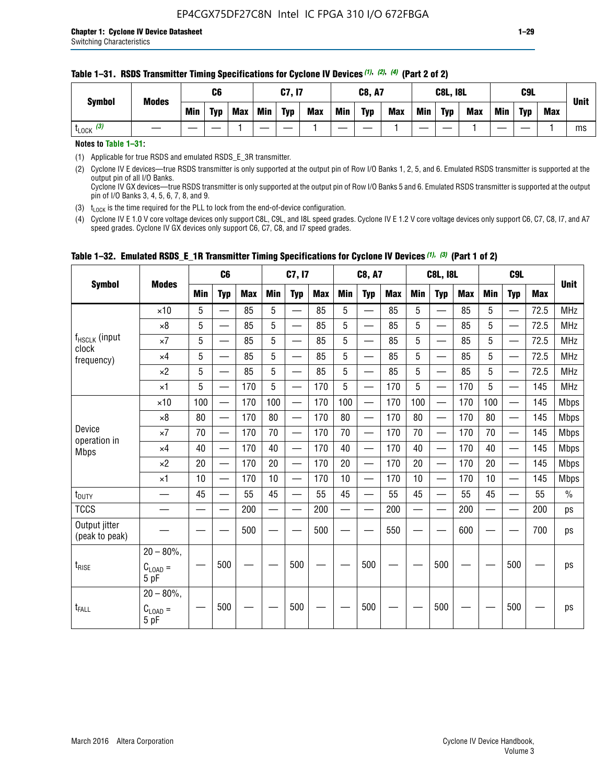| <b>Symbol</b>         | <b>Modes</b> |     | C6         |            |     | C7, I7     |            |     | <b>C8, A7</b> |            |     | <b>C8L, I8L</b> |            |     | C <sub>9</sub> L |            | <b>Unit</b> |
|-----------------------|--------------|-----|------------|------------|-----|------------|------------|-----|---------------|------------|-----|-----------------|------------|-----|------------------|------------|-------------|
|                       |              | Min | <b>Typ</b> | <b>Max</b> | Min | <b>Typ</b> | <b>Max</b> | Min | <b>Typ</b>    | <b>Max</b> | Min | <b>Typ</b>      | <b>Max</b> | Min | <b>Typ</b>       | <b>Max</b> |             |
| $t_{\text{LOCK}}$ (3) |              |     |            |            |     |            |            |     |               |            |     |                 |            |     |                  |            | ms          |

#### **Table 1–31. RSDS Transmitter Timing Specifications for Cyclone IV Devices** *(1)***,** *(2)***,** *(4)* **(Part 2 of 2)**

**Notes to Table 1–31:**

(1) Applicable for true RSDS and emulated RSDS\_E\_3R transmitter.

(2) Cyclone IV E devices—true RSDS transmitter is only supported at the output pin of Row I/O Banks 1, 2, 5, and 6. Emulated RSDS transmitter is supported at the output pin of all I/O Banks. Cyclone IV GX devices—true RSDS transmitter is only supported at the output pin of Row I/O Banks 5 and 6. Emulated RSDS transmitter is supported at the output

pin of I/O Banks 3, 4, 5, 6, 7, 8, and 9. (3)  $t_{\text{LOCK}}$  is the time required for the PLL to lock from the end-of-device configuration.

(4) Cyclone IV E 1.0 V core voltage devices only support C8L, C9L, and I8L speed grades. Cyclone IV E 1.2 V core voltage devices only support C6, C7, C8, I7, and A7 speed grades. Cyclone IV GX devices only support C6, C7, C8, and I7 speed grades.

|                                 |                                       |            | C <sub>6</sub>           |            |                          | C7, I7                   |            |                          | C8, A7                                    |            |            | <b>C8L, I8L</b>          |            |            | C <sub>9</sub> L         |            |               |
|---------------------------------|---------------------------------------|------------|--------------------------|------------|--------------------------|--------------------------|------------|--------------------------|-------------------------------------------|------------|------------|--------------------------|------------|------------|--------------------------|------------|---------------|
| <b>Symbol</b>                   | <b>Modes</b>                          | <b>Min</b> | <b>Typ</b>               | <b>Max</b> | <b>Min</b>               | <b>Typ</b>               | <b>Max</b> | <b>Min</b>               | <b>Typ</b>                                | <b>Max</b> | <b>Min</b> | <b>Typ</b>               | <b>Max</b> | <b>Min</b> | <b>Typ</b>               | <b>Max</b> | <b>Unit</b>   |
|                                 | $\times$ 10                           | 5          |                          | 85         | 5                        |                          | 85         | 5                        | $\overline{\phantom{0}}$                  | 85         | 5          | —                        | 85         | 5          |                          | 72.5       | <b>MHz</b>    |
|                                 | $\times 8$                            | 5          | —                        | 85         | 5                        | $\overline{\phantom{a}}$ | 85         | 5                        | $\overline{\phantom{0}}$                  | 85         | 5          | —                        | 85         | 5          |                          | 72.5       | <b>MHz</b>    |
| f <sub>HSCLK</sub> (input       | $\times 7$                            | 5          | $\overline{\phantom{m}}$ | 85         | 5                        |                          | 85         | $\overline{5}$           | —                                         | 85         | 5          | $\overline{\phantom{0}}$ | 85         | 5          | $\overline{\phantom{0}}$ | 72.5       | <b>MHz</b>    |
| clock<br>frequency)             | $\times 4$                            | 5          | $\overline{\phantom{0}}$ | 85         | 5                        |                          | 85         | 5                        | $\overline{\phantom{0}}$                  | 85         | 5          | —                        | 85         | 5          | $\overline{\phantom{0}}$ | 72.5       | <b>MHz</b>    |
|                                 | $\times 2$                            | 5          | $\equiv$                 | 85         | 5                        | $\overline{\phantom{a}}$ | 85         | 5                        | $\overline{\phantom{0}}$                  | 85         | 5          |                          | 85         | 5          |                          | 72.5       | <b>MHz</b>    |
|                                 | $\times$ 1                            | 5          | $\equiv$                 | 170        | 5                        |                          | 170        | 5                        | $\overline{\phantom{0}}$                  | 170        | 5          |                          | 170        | 5          |                          | 145        | <b>MHz</b>    |
|                                 | $\times$ 10                           | 100        | $\overline{\phantom{0}}$ | 170        | 100                      |                          | 170        | 100                      | $\overline{\phantom{0}}$                  | 170        | 100        | $\overline{\phantom{0}}$ | 170        | 100        |                          | 145        | <b>Mbps</b>   |
|                                 | $\times 8$                            | 80         | $\overline{\phantom{m}}$ | 170        | 80                       | —                        | 170        | 80                       |                                           | 170        | 80         | $\overline{\phantom{m}}$ | 170        | 80         | $\overline{\phantom{0}}$ | 145        | <b>Mbps</b>   |
| Device                          | $\times 7$                            | 70         | $\overline{\phantom{0}}$ | 170        | 70                       | —                        | 170        | 70                       | $\qquad \qquad \overline{\qquad \qquad }$ | 170        | 70         |                          | 170        | 70         | $\overline{\phantom{0}}$ | 145        | <b>Mbps</b>   |
| operation in<br><b>Mbps</b>     | $\times 4$                            | 40         | $\qquad \qquad$          | 170        | 40                       | $\overline{\phantom{0}}$ | 170        | 40                       |                                           | 170        | 40         |                          | 170        | 40         | $\overline{\phantom{0}}$ | 145        | <b>Mbps</b>   |
|                                 | $\times 2$                            | 20         | $\overline{\phantom{0}}$ | 170        | 20                       |                          | 170        | 20                       |                                           | 170        | 20         |                          | 170        | 20         | $\hspace{0.05cm}$        | 145        | <b>Mbps</b>   |
|                                 | $\times$ 1                            | 10         | $\overline{\phantom{0}}$ | 170        | 10                       |                          | 170        | 10                       | $\overline{\phantom{0}}$                  | 170        | 10         | $\overline{\phantom{0}}$ | 170        | 10         |                          | 145        | <b>Mbps</b>   |
| t <sub>DUTY</sub>               |                                       | 45         | $\overline{\phantom{0}}$ | 55         | 45                       | $\overline{\phantom{0}}$ | 55         | 45                       | —                                         | 55         | 45         | $\qquad \qquad$          | 55         | 45         |                          | 55         | $\frac{0}{0}$ |
| <b>TCCS</b>                     |                                       |            |                          | 200        | $\overline{\phantom{0}}$ | $\overline{\phantom{a}}$ | 200        | $\overline{\phantom{a}}$ | $\overline{\phantom{0}}$                  | 200        |            | —                        | 200        |            |                          | 200        | ps            |
| Output jitter<br>(peak to peak) |                                       |            |                          | 500        |                          |                          | 500        |                          |                                           | 550        |            |                          | 600        |            |                          | 700        | ps            |
| $t_{\text{RISE}}$               | $20 - 80\%$ ,<br>$C_{LOAD} =$<br>5 pF |            | 500                      |            |                          | 500                      |            |                          | 500                                       |            |            | 500                      |            |            | 500                      |            | ps            |
| t <sub>FALL</sub>               | $20 - 80\%$<br>$C_{LOAD} =$<br>5 pF   |            | 500                      |            |                          | 500                      |            |                          | 500                                       |            |            | 500                      |            |            | 500                      |            | ps            |

#### **Table 1–32. Emulated RSDS\_E\_1R Transmitter Timing Specifications for Cyclone IV Devices** *(1), (3)* **(Part 1 of 2)**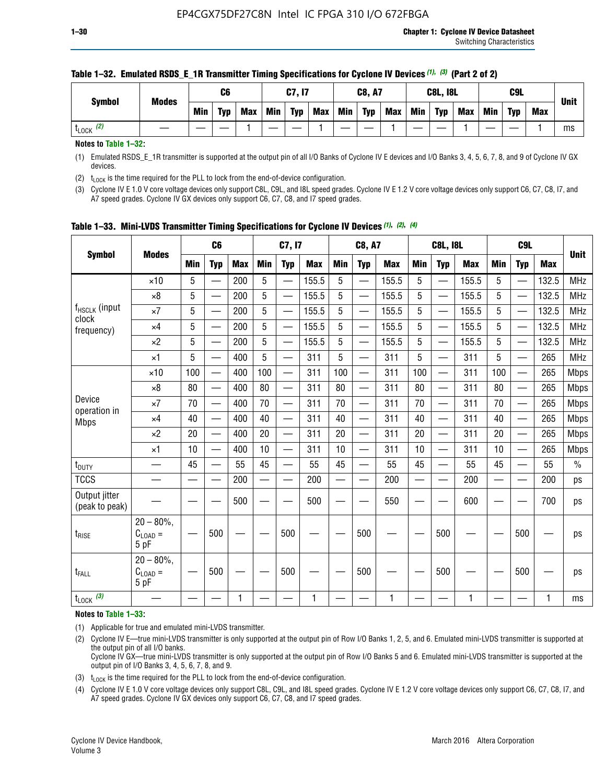| <b>Symbol</b>         | <b>Modes</b> |            | C <sub>6</sub> |     |     | C7, I7     |            |            | <b>C8, A7</b> |            |            | <b>C8L, I8L</b> |            |     | C <sub>9</sub> L |            | <b>Unit</b> |
|-----------------------|--------------|------------|----------------|-----|-----|------------|------------|------------|---------------|------------|------------|-----------------|------------|-----|------------------|------------|-------------|
|                       |              | <b>Min</b> | <b>Typ</b>     | Max | Min | <b>Typ</b> | <b>Max</b> | <b>Min</b> | <b>Typ</b>    | <b>Max</b> | <b>Min</b> | <b>Typ</b>      | <b>Max</b> | Min | <b>Typ</b>       | <b>Max</b> |             |
| $t_{\text{LOCK}}$ (2) |              |            |                |     |     |            |            |            |               |            |            |                 |            |     |                  |            | ms          |

#### **Table 1–32. Emulated RSDS\_E\_1R Transmitter Timing Specifications for Cyclone IV Devices** *(1), (3)* **(Part 2 of 2)**

**Notes to Table 1–32:**

(1) Emulated RSDS\_E\_1R transmitter is supported at the output pin of all I/O Banks of Cyclone IV E devices and I/O Banks 3, 4, 5, 6, 7, 8, and 9 of Cyclone IV GX devices.

(2)  $t_{\text{LOCK}}$  is the time required for the PLL to lock from the end-of-device configuration.

(3) Cyclone IV E 1.0 V core voltage devices only support C8L, C9L, and I8L speed grades. Cyclone IV E 1.2 V core voltage devices only support C6, C7, C8, I7, and A7 speed grades. Cyclone IV GX devices only support C6, C7, C8, and I7 speed grades.

| <b>Symbol</b>                   |                                           |            | C <sub>6</sub>           |            |                          | C7, I7                   |            |            | <b>C8, A7</b>            |              |            | <b>C8L, I8L</b>          |            |            | C <sub>9</sub> L         |            | <b>Unit</b> |
|---------------------------------|-------------------------------------------|------------|--------------------------|------------|--------------------------|--------------------------|------------|------------|--------------------------|--------------|------------|--------------------------|------------|------------|--------------------------|------------|-------------|
|                                 | <b>Modes</b>                              | <b>Min</b> | <b>Typ</b>               | <b>Max</b> | <b>Min</b>               | <b>Typ</b>               | <b>Max</b> | <b>Min</b> | <b>Typ</b>               | <b>Max</b>   | <b>Min</b> | <b>Typ</b>               | <b>Max</b> | <b>Min</b> | <b>Typ</b>               | <b>Max</b> |             |
|                                 | $\times$ 10                               | 5          |                          | 200        | 5                        | —                        | 155.5      | 5          | $\overline{\phantom{0}}$ | 155.5        | 5          | $\overline{\phantom{0}}$ | 155.5      | 5          | $\overline{\phantom{0}}$ | 132.5      | <b>MHz</b>  |
|                                 | $\times 8$                                | 5          | $\qquad \qquad$          | 200        | 5                        | $\overline{\phantom{0}}$ | 155.5      | 5          | —                        | 155.5        | 5          |                          | 155.5      | 5          |                          | 132.5      | <b>MHz</b>  |
| f <sub>HSCLK</sub> (input       | $\times 7$                                | 5          |                          | 200        | 5                        | ÷,                       | 155.5      | 5          | —                        | 155.5        | 5          |                          | 155.5      | 5          |                          | 132.5      | <b>MHz</b>  |
| clock<br>frequency)             | $\times$ 4                                | 5          | $\overline{\phantom{0}}$ | 200        | 5                        | —                        | 155.5      | 5          | $\overline{\phantom{0}}$ | 155.5        | 5          |                          | 155.5      | 5          | $\overline{\phantom{0}}$ | 132.5      | <b>MHz</b>  |
|                                 | $\times 2$                                | 5          | $\overline{\phantom{0}}$ | 200        | 5                        | $\overline{\phantom{0}}$ | 155.5      | 5          | $\overline{\phantom{0}}$ | 155.5        | 5          | $\overline{\phantom{0}}$ | 155.5      | 5          |                          | 132.5      | <b>MHz</b>  |
|                                 | $\times$ 1                                | 5          | $\overline{\phantom{0}}$ | 400        | 5                        |                          | 311        | 5          | —                        | 311          | 5          | $\overline{\phantom{0}}$ | 311        | 5          |                          | 265        | <b>MHz</b>  |
|                                 | $\times$ 10                               | 100        |                          | 400        | 100                      | $\overline{\phantom{0}}$ | 311        | 100        | $\overline{\phantom{0}}$ | 311          | 100        | $\overline{\phantom{0}}$ | 311        | 100        |                          | 265        | <b>Mbps</b> |
|                                 | $\times 8$                                | 80         | $\overline{\phantom{0}}$ | 400        | 80                       | $\overline{\phantom{0}}$ | 311        | 80         | $\overline{\phantom{0}}$ | 311          | 80         | $\overline{\phantom{0}}$ | 311        | 80         |                          | 265        | <b>Mbps</b> |
| Device                          | $\times 7$                                | 70         |                          | 400        | 70                       |                          | 311        | 70         | $\overline{\phantom{0}}$ | 311          | 70         |                          | 311        | 70         |                          | 265        | <b>Mbps</b> |
| operation in<br><b>Mbps</b>     | $\times 4$                                | 40         | $\overline{\phantom{0}}$ | 400        | 40                       |                          | 311        | 40         | $\overline{\phantom{0}}$ | 311          | 40         | —                        | 311        | 40         |                          | 265        | <b>Mbps</b> |
|                                 | $\times 2$                                | 20         |                          | 400        | 20                       | —                        | 311        | 20         | $\overline{\phantom{0}}$ | 311          | 20         | $\overline{\phantom{0}}$ | 311        | 20         |                          | 265        | <b>Mbps</b> |
|                                 | ×1                                        | 10         | $\overline{\phantom{0}}$ | 400        | 10                       |                          | 311        | 10         | $\overline{\phantom{0}}$ | 311          | 10         | —                        | 311        | 10         |                          | 265        | <b>Mbps</b> |
| t <sub>DUTY</sub>               |                                           | 45         |                          | 55         | 45                       | $\overline{\phantom{0}}$ | 55         | 45         | $\overline{\phantom{0}}$ | 55           | 45         | $\overline{\phantom{0}}$ | 55         | 45         |                          | 55         | $\%$        |
| <b>TCCS</b>                     |                                           |            |                          | 200        | $\overline{\phantom{0}}$ |                          | 200        |            |                          | 200          | —          |                          | 200        |            |                          | 200        | ps          |
| Output jitter<br>(peak to peak) |                                           |            |                          | 500        |                          |                          | 500        |            |                          | 550          |            |                          | 600        |            |                          | 700        | ps          |
| $t_{\sf RISE}$                  | $20 - 80\%$ ,<br>$C_{LOAD} =$<br>5 pF     |            | 500                      |            |                          | 500                      |            |            | 500                      |              |            | 500                      |            |            | 500                      |            | ps          |
| t <sub>FALL</sub>               | $20 - 80\%$<br>$\rm C_{LOAD}$ $=$<br>5 pF |            | 500                      |            |                          | 500                      |            |            | 500                      |              |            | 500                      |            |            | 500                      |            | ps          |
| $t_{\text{LOCK}}$ (3)           |                                           |            |                          | 1          |                          |                          | 1          |            |                          | $\mathbf{1}$ |            |                          | 1          |            |                          | 1          | ms          |

**Table 1–33. Mini-LVDS Transmitter Timing Specifications for Cyclone IV Devices** *(1)***,** *(2)***,** *(4)*

**Notes to Table 1–33:**

(1) Applicable for true and emulated mini-LVDS transmitter.

(2) Cyclone IV E—true mini-LVDS transmitter is only supported at the output pin of Row I/O Banks 1, 2, 5, and 6. Emulated mini-LVDS transmitter is supported at the output pin of all I/O banks.

Cyclone IV GX—true mini-LVDS transmitter is only supported at the output pin of Row I/O Banks 5 and 6. Emulated mini-LVDS transmitter is supported at the output pin of I/O Banks 3, 4, 5, 6, 7, 8, and 9.

(3)  $t_{\text{LOCK}}$  is the time required for the PLL to lock from the end-of-device configuration.

(4) Cyclone IV E 1.0 V core voltage devices only support C8L, C9L, and I8L speed grades. Cyclone IV E 1.2 V core voltage devices only support C6, C7, C8, I7, and A7 speed grades. Cyclone IV GX devices only support C6, C7, C8, and I7 speed grades.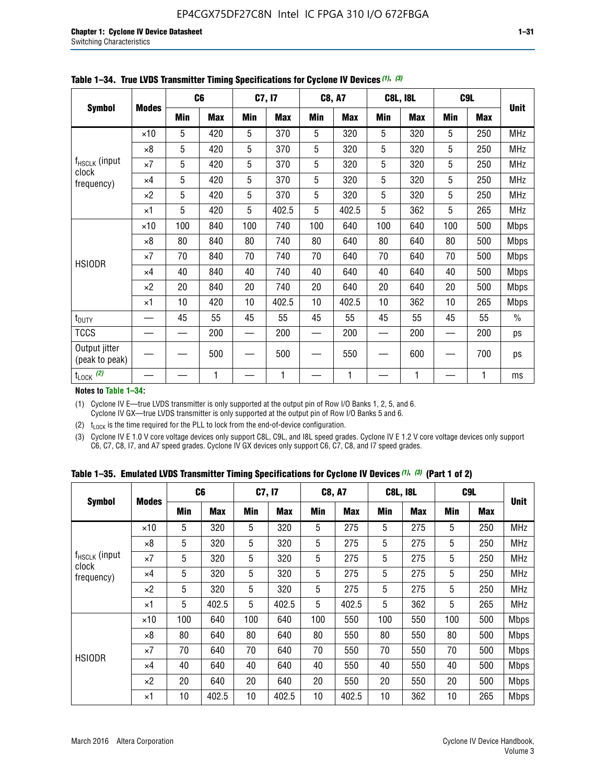|                                    |              |     | C <sub>6</sub> |     | C7, I7     |            | <b>C8, A7</b> |     | <b>C8L, I8L</b> |            | C <sub>9</sub> L | <b>Unit</b>   |
|------------------------------------|--------------|-----|----------------|-----|------------|------------|---------------|-----|-----------------|------------|------------------|---------------|
| <b>Symbol</b>                      | <b>Modes</b> | Min | <b>Max</b>     | Min | <b>Max</b> | <b>Min</b> | <b>Max</b>    | Min | <b>Max</b>      | <b>Min</b> | <b>Max</b>       |               |
|                                    | $\times$ 10  | 5   | 420            | 5   | 370        | 5          | 320           | 5   | 320             | 5          | 250              | <b>MHz</b>    |
|                                    | $\times 8$   | 5   | 420            | 5   | 370        | 5          | 320           | 5   | 320             | 5          | 250              | <b>MHz</b>    |
| f <sub>HSCLK</sub> (input<br>clock | $\times 7$   | 5   | 420            | 5   | 370        | 5          | 320           | 5   | 320             | 5          | 250              | MHz           |
| frequency)                         | $\times 4$   | 5   | 420            | 5   | 370        | 5          | 320           | 5   | 320             | 5          | 250              | <b>MHz</b>    |
|                                    | $\times 2$   | 5   | 420            | 5   | 370        | 5          | 320           | 5   | 320             | 5          | 250              | <b>MHz</b>    |
|                                    | $\times$ 1   | 5   | 420            | 5   | 402.5      | 5          | 402.5         | 5   | 362             | 5          | 265              | <b>MHz</b>    |
|                                    | $\times$ 10  | 100 | 840            | 100 | 740        | 100        | 640           | 100 | 640             | 100        | 500              | <b>Mbps</b>   |
|                                    | $\times 8$   | 80  | 840            | 80  | 740        | 80         | 640           | 80  | 640             | 80         | 500              | <b>Mbps</b>   |
| <b>HSIODR</b>                      | $\times 7$   | 70  | 840            | 70  | 740        | 70         | 640           | 70  | 640             | 70         | 500              | <b>Mbps</b>   |
|                                    | $\times$ 4   | 40  | 840            | 40  | 740        | 40         | 640           | 40  | 640             | 40         | 500              | <b>Mbps</b>   |
|                                    | $\times 2$   | 20  | 840            | 20  | 740        | 20         | 640           | 20  | 640             | 20         | 500              | <b>Mbps</b>   |
|                                    | $\times$ 1   | 10  | 420            | 10  | 402.5      | 10         | 402.5         | 10  | 362             | 10         | 265              | <b>Mbps</b>   |
| t <sub>DUTY</sub>                  |              | 45  | 55             | 45  | 55         | 45         | 55            | 45  | 55              | 45         | 55               | $\frac{0}{0}$ |
| <b>TCCS</b>                        |              |     | 200            |     | 200        |            | 200           |     | 200             |            | 200              | ps            |
| Output jitter<br>(peak to peak)    |              |     | 500            |     | 500        |            | 550           |     | 600             |            | 700              | ps            |
| $t_{\text{LOCK}}$ (2)              |              |     | 1              |     | 1          |            | 1             |     | 1               |            | 1                | ms            |

**Table 1–34. True LVDS Transmitter Timing Specifications for Cyclone IV Devices** *(1)***,** *(3)*

**Notes to Table 1–34:**

(1) Cyclone IV E—true LVDS transmitter is only supported at the output pin of Row I/O Banks 1, 2, 5, and 6. Cyclone IV GX—true LVDS transmitter is only supported at the output pin of Row I/O Banks 5 and 6.

(2)  $t_{\text{LOCK}}$  is the time required for the PLL to lock from the end-of-device configuration.

(3) Cyclone IV E 1.0 V core voltage devices only support C8L, C9L, and I8L speed grades. Cyclone IV E 1.2 V core voltage devices only support C6, C7, C8, I7, and A7 speed grades. Cyclone IV GX devices only support C6, C7, C8, and I7 speed grades.

|  |  |  |  |  |  | Table 1–35. Emulated LVDS Transmitter Timing Specifications for Cyclone IV Devices <sup>(1),</sup> <sup>(3)</sup> (Part 1 of 2) |  |  |
|--|--|--|--|--|--|---------------------------------------------------------------------------------------------------------------------------------|--|--|
|--|--|--|--|--|--|---------------------------------------------------------------------------------------------------------------------------------|--|--|

|                             |              | C <sub>6</sub> |            | C7, I7     |            | <b>C8, A7</b> |            | <b>C8L, I8L</b> |            | C <sub>9L</sub> |            |             |
|-----------------------------|--------------|----------------|------------|------------|------------|---------------|------------|-----------------|------------|-----------------|------------|-------------|
| <b>Symbol</b>               | <b>Modes</b> | Min            | <b>Max</b> | <b>Min</b> | <b>Max</b> | <b>Min</b>    | <b>Max</b> | <b>Min</b>      | <b>Max</b> | <b>Min</b>      | <b>Max</b> | Unit        |
|                             | $\times$ 10  | 5              | 320        | 5          | 320        | 5             | 275        | 5               | 275        | 5               | 250        | <b>MHz</b>  |
|                             | $\times 8$   | 5              | 320        | 5          | 320        | 5             | 275        | 5               | 275        | 5               | 250        | <b>MHz</b>  |
| $f_{HSCLK}$ (input<br>clock | $\times 7$   | 5              | 320        | 5          | 320        | 5             | 275        | 5               | 275        | 5               | 250        | <b>MHz</b>  |
| frequency)                  | $\times$ 4   | 5              | 320        | 5          | 320        | 5             | 275        | 5               | 275        | 5               | 250        | <b>MHz</b>  |
|                             | $\times 2$   | 5              | 320        | 5          | 320        | 5             | 275        | 5               | 275        | 5               | 250        | <b>MHz</b>  |
|                             | $\times$ 1   | 5              | 402.5      | 5          | 402.5      | 5             | 402.5      | 5               | 362        | 5               | 265        | <b>MHz</b>  |
|                             | $\times$ 10  | 100            | 640        | 100        | 640        | 100           | 550        | 100             | 550        | 100             | 500        | <b>Mbps</b> |
|                             | $\times 8$   | 80             | 640        | 80         | 640        | 80            | 550        | 80              | 550        | 80              | 500        | <b>Mbps</b> |
| <b>HSIODR</b>               | $\times 7$   | 70             | 640        | 70         | 640        | 70            | 550        | 70              | 550        | 70              | 500        | <b>Mbps</b> |
|                             | $\times$ 4   | 40             | 640        | 40         | 640        | 40            | 550        | 40              | 550        | 40              | 500        | <b>Mbps</b> |
|                             | $\times 2$   | 20             | 640        | 20         | 640        | 20            | 550        | 20              | 550        | 20              | 500        | <b>Mbps</b> |
|                             | ×1           | 10             | 402.5      | 10         | 402.5      | 10            | 402.5      | 10              | 362        | 10              | 265        | <b>Mbps</b> |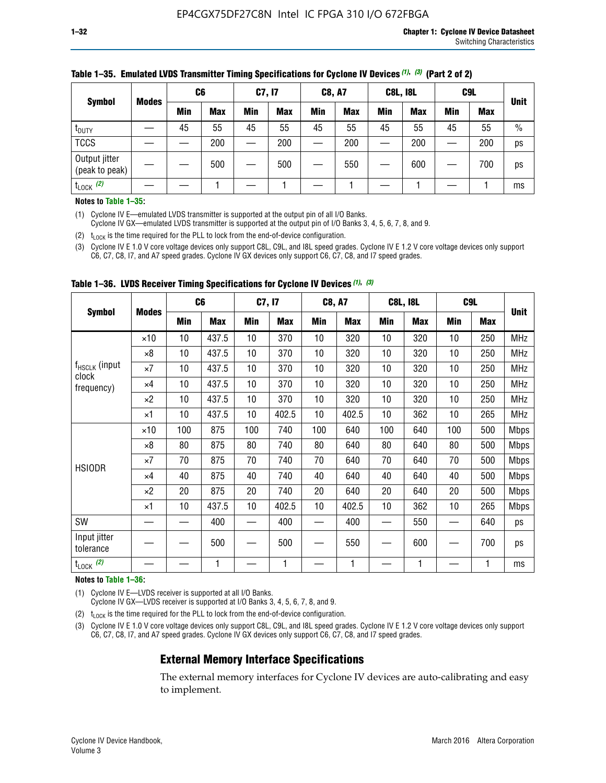|                                 |              | C <sub>6</sub> |            | C7, I7     |            | <b>C8, A7</b> |            | <b>C8L, I8L</b> |            |         | C <sub>9</sub> L |               |
|---------------------------------|--------------|----------------|------------|------------|------------|---------------|------------|-----------------|------------|---------|------------------|---------------|
| <b>Symbol</b>                   | <b>Modes</b> | Min            | <b>Max</b> | <b>Min</b> | <b>Max</b> | <b>Min</b>    | <b>Max</b> | Min             | <b>Max</b> | Min     | <b>Max</b>       | <b>Unit</b>   |
| t <sub>DUTY</sub>               |              | 45             | 55         | 45         | 55         | 45            | 55         | 45              | 55         | 45      | 55               | $\frac{0}{0}$ |
| <b>TCCS</b>                     |              |                | 200        |            | 200        |               | 200        |                 | 200        | —<br>—— | 200              | ps            |
| Output jitter<br>(peak to peak) |              |                | 500        |            | 500        |               | 550        |                 | 600        |         | 700              | ps            |
| $t_{\text{LOCK}}$ (2)           |              |                |            |            |            |               |            |                 |            |         |                  | ms            |

#### **Table 1–35. Emulated LVDS Transmitter Timing Specifications for Cyclone IV Devices** *(1)***,** *(3)* **(Part 2 of 2)**

#### **Notes to Table 1–35:**

(1) Cyclone IV E—emulated LVDS transmitter is supported at the output pin of all I/O Banks.

Cyclone IV GX—emulated LVDS transmitter is supported at the output pin of I/O Banks 3, 4, 5, 6, 7, 8, and 9.

(2)  $t_{\text{LOCK}}$  is the time required for the PLL to lock from the end-of-device configuration.

(3) Cyclone IV E 1.0 V core voltage devices only support C8L, C9L, and I8L speed grades. Cyclone IV E 1.2 V core voltage devices only support C6, C7, C8, I7, and A7 speed grades. Cyclone IV GX devices only support C6, C7, C8, and I7 speed grades.

|                                    |              |     | C <sub>6</sub> | C7, I7 |       | <b>C8, A7</b> |            |     | <b>C8L, I8L</b> | C <sub>9</sub> L |     |             |
|------------------------------------|--------------|-----|----------------|--------|-------|---------------|------------|-----|-----------------|------------------|-----|-------------|
| <b>Symbol</b>                      | <b>Modes</b> | Min | <b>Max</b>     | Min    | Max   | Min           | <b>Max</b> | Min | <b>Max</b>      | Min              | Max | <b>Unit</b> |
|                                    | $\times$ 10  | 10  | 437.5          | 10     | 370   | 10            | 320        | 10  | 320             | 10               | 250 | MHz         |
|                                    | ×8           | 10  | 437.5          | 10     | 370   | 10            | 320        | 10  | 320             | 10               | 250 | <b>MHz</b>  |
| f <sub>HSCLK</sub> (input<br>clock | ×7           | 10  | 437.5          | 10     | 370   | 10            | 320        | 10  | 320             | 10               | 250 | <b>MHz</b>  |
| frequency)                         | $\times 4$   | 10  | 437.5          | 10     | 370   | 10            | 320        | 10  | 320             | 10               | 250 | <b>MHz</b>  |
|                                    | $\times 2$   | 10  | 437.5          | 10     | 370   | 10            | 320        | 10  | 320             | 10               | 250 | <b>MHz</b>  |
|                                    | ×1           | 10  | 437.5          | 10     | 402.5 | 10            | 402.5      | 10  | 362             | 10               | 265 | <b>MHz</b>  |
|                                    | $\times$ 10  | 100 | 875            | 100    | 740   | 100           | 640        | 100 | 640             | 100              | 500 | <b>Mbps</b> |
|                                    | $\times 8$   | 80  | 875            | 80     | 740   | 80            | 640        | 80  | 640             | 80               | 500 | <b>Mbps</b> |
| <b>HSIODR</b>                      | ×7           | 70  | 875            | 70     | 740   | 70            | 640        | 70  | 640             | 70               | 500 | <b>Mbps</b> |
|                                    | $\times 4$   | 40  | 875            | 40     | 740   | 40            | 640        | 40  | 640             | 40               | 500 | <b>Mbps</b> |
|                                    | $\times 2$   | 20  | 875            | 20     | 740   | 20            | 640        | 20  | 640             | 20               | 500 | <b>Mbps</b> |
|                                    | ×1           | 10  | 437.5          | 10     | 402.5 | 10            | 402.5      | 10  | 362             | 10               | 265 | <b>Mbps</b> |
| SW                                 |              |     | 400            |        | 400   |               | 400        |     | 550             |                  | 640 | ps          |
| Input jitter<br>tolerance          |              |     | 500            |        | 500   |               | 550        |     | 600             |                  | 700 | ps          |
| $t_{\text{LOCK}}$ (2)              |              |     | 1              |        | 1     |               | 1          |     | 1               |                  | 1   | ms          |

**Table 1–36. LVDS Receiver Timing Specifications for Cyclone IV Devices** *(1)***,** *(3)*

#### **Notes to Table 1–36:**

(1) Cyclone IV E—LVDS receiver is supported at all I/O Banks.

Cyclone IV GX—LVDS receiver is supported at I/O Banks 3, 4, 5, 6, 7, 8, and 9.

(2)  $t_{\text{LOCK}}$  is the time required for the PLL to lock from the end-of-device configuration.

(3) Cyclone IV E 1.0 V core voltage devices only support C8L, C9L, and I8L speed grades. Cyclone IV E 1.2 V core voltage devices only support C6, C7, C8, I7, and A7 speed grades. Cyclone IV GX devices only support C6, C7, C8, and I7 speed grades.

#### **External Memory Interface Specifications**

The external memory interfaces for Cyclone IV devices are auto-calibrating and easy to implement.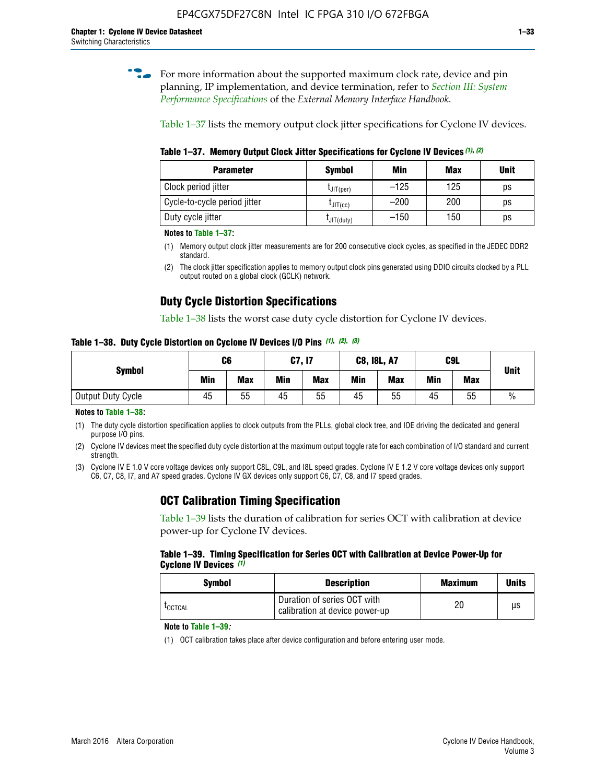**for more information about the supported maximum clock rate, device and pin** planning, IP implementation, and device termination, refer to *[Section III: System](http://www.altera.com/literature/hb/external-memory/emi_intro_specs.pdf)  [Performance Specifications](http://www.altera.com/literature/hb/external-memory/emi_intro_specs.pdf)* of the *External Memory Interface Handbook*.

Table 1–37 lists the memory output clock jitter specifications for Cyclone IV devices.

**Table 1–37. Memory Output Clock Jitter Specifications for Cyclone IV Devices** *(1)***,** *(2)*

| <b>Parameter</b>             | <b>Symbol</b>  | Min    | <b>Max</b> | <b>Unit</b> |
|------------------------------|----------------|--------|------------|-------------|
| Clock period jitter          | $L$ JIT(per)   | $-125$ | 125        | ps          |
| Cycle-to-cycle period jitter | $L$ JIT $(cc)$ | $-200$ | 200        | ps          |
| Duty cycle jitter            | LJIT(duty)     | $-150$ | 150        | рs          |

**Notes to Table 1–37:**

- (1) Memory output clock jitter measurements are for 200 consecutive clock cycles, as specified in the JEDEC DDR2 standard.
- (2) The clock jitter specification applies to memory output clock pins generated using DDIO circuits clocked by a PLL output routed on a global clock (GCLK) network.

### **Duty Cycle Distortion Specifications**

Table 1–38 lists the worst case duty cycle distortion for Cyclone IV devices.

**Table 1–38. Duty Cycle Distortion on Cyclone IV Devices I/O Pins** *(1)***,** *(2), (3)*

| <b>Symbol</b>     | C <sub>6</sub> |            | C7, I7     |            | <b>C8, I8L, A7</b> |            | C9L        |            | <b>Unit</b>   |
|-------------------|----------------|------------|------------|------------|--------------------|------------|------------|------------|---------------|
|                   | Min            | <b>Max</b> | <b>Min</b> | <b>Max</b> | Min                | <b>Max</b> | <b>Min</b> | <b>Max</b> |               |
| Output Duty Cycle | 45             | 55         | 45         | 55         | 45                 | 55         | 45         | 55         | $\frac{0}{0}$ |

**Notes to Table 1–38:**

(1) The duty cycle distortion specification applies to clock outputs from the PLLs, global clock tree, and IOE driving the dedicated and general purpose I/O pins.

(2) Cyclone IV devices meet the specified duty cycle distortion at the maximum output toggle rate for each combination of I/O standard and current strength.

(3) Cyclone IV E 1.0 V core voltage devices only support C8L, C9L, and I8L speed grades. Cyclone IV E 1.2 V core voltage devices only support C6, C7, C8, I7, and A7 speed grades. Cyclone IV GX devices only support C6, C7, C8, and I7 speed grades.

### **OCT Calibration Timing Specification**

Table 1–39 lists the duration of calibration for series OCT with calibration at device power-up for Cyclone IV devices.

#### **Table 1–39. Timing Specification for Series OCT with Calibration at Device Power-Up for Cyclone IV Devices** *(1)*

| Symbol  | <b>Description</b>                                            | <b>Maximum</b> | <b>Units</b> |
|---------|---------------------------------------------------------------|----------------|--------------|
| LOCTCAL | Duration of series OCT with<br>calibration at device power-up | 20             | μs           |

#### **Note to Table 1–39***:*

(1) OCT calibration takes place after device configuration and before entering user mode.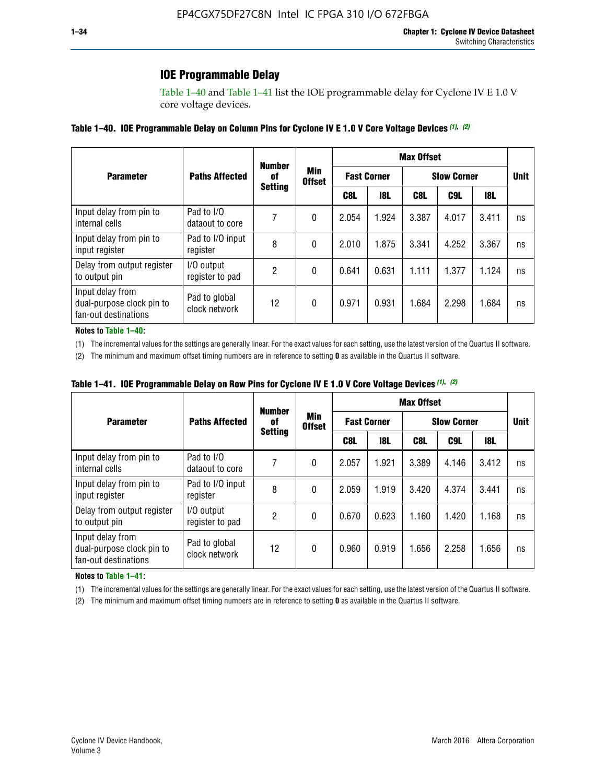### **IOE Programmable Delay**

Table 1–40 and Table 1–41 list the IOE programmable delay for Cyclone IV E 1.0 V core voltage devices.

#### **Table 1–40. IOE Programmable Delay on Column Pins for Cyclone IV E 1.0 V Core Voltage Devices** *(1)***,** *(2)*

|                                                                       |                                | <b>Number</b><br>0f | Min<br><b>Offset</b> | <b>Max Offset</b>  |            |                    |             |            |    |  |
|-----------------------------------------------------------------------|--------------------------------|---------------------|----------------------|--------------------|------------|--------------------|-------------|------------|----|--|
| <b>Parameter</b>                                                      | <b>Paths Affected</b>          |                     |                      | <b>Fast Corner</b> |            | <b>Slow Corner</b> | <b>Unit</b> |            |    |  |
|                                                                       |                                | <b>Setting</b>      |                      | C8L                | <b>18L</b> | C8L                | C9L         | <b>18L</b> |    |  |
| Input delay from pin to<br>internal cells                             | Pad to I/O<br>dataout to core  |                     | 0                    | 2.054              | 1.924      | 3.387              | 4.017       | 3.411      | ns |  |
| Input delay from pin to<br>input register                             | Pad to I/O input<br>register   | 8                   | 0                    | 2.010              | 1.875      | 3.341              | 4.252       | 3.367      | ns |  |
| Delay from output register<br>to output pin                           | I/O output<br>register to pad  | 2                   | 0                    | 0.641              | 0.631      | 1.111              | 1.377       | 1.124      | ns |  |
| Input delay from<br>dual-purpose clock pin to<br>fan-out destinations | Pad to global<br>clock network | 12                  | 0                    | 0.971              | 0.931      | 1.684              | 2.298       | 1.684      | ns |  |

#### **Notes to Table 1–40:**

(1) The incremental values for the settings are generally linear. For the exact values for each setting, use the latest version of the Quartus II software.

(2) The minimum and maximum offset timing numbers are in reference to setting **0** as available in the Quartus II software.

| Table 1–41. IOE Programmable Delay on Row Pins for Cyclone IV E 1.0 V Core Voltage Devices (1), (2) |  |  |
|-----------------------------------------------------------------------------------------------------|--|--|
|-----------------------------------------------------------------------------------------------------|--|--|

|                                                                       |                                | <b>Number</b>  |                      | <b>Max Offset</b>  |            |                    |             |            |    |  |
|-----------------------------------------------------------------------|--------------------------------|----------------|----------------------|--------------------|------------|--------------------|-------------|------------|----|--|
| <b>Parameter</b>                                                      | <b>Paths Affected</b>          | 0f             | Min<br><b>Offset</b> | <b>Fast Corner</b> |            | <b>Slow Corner</b> | <b>Unit</b> |            |    |  |
|                                                                       |                                | <b>Setting</b> |                      | C8L                | <b>18L</b> | C8L                | C9L         | <b>18L</b> |    |  |
| Input delay from pin to<br>internal cells                             | Pad to I/O<br>dataout to core  |                | 0                    | 2.057              | 1.921      | 3.389              | 4.146       | 3.412      | ns |  |
| Input delay from pin to<br>input register                             | Pad to I/O input<br>register   | 8              | 0                    | 2.059              | 1.919      | 3.420              | 4.374       | 3.441      | ns |  |
| Delay from output register<br>to output pin                           | I/O output<br>register to pad  | 2              | 0                    | 0.670              | 0.623      | 1.160              | 1.420       | 1.168      | ns |  |
| Input delay from<br>dual-purpose clock pin to<br>fan-out destinations | Pad to global<br>clock network | 12             | 0                    | 0.960              | 0.919      | 1.656              | 2.258       | 1.656      | ns |  |

#### **Notes to Table 1–41:**

(1) The incremental values for the settings are generally linear. For the exact values for each setting, use the latest version of the Quartus II software.

(2) The minimum and maximum offset timing numbers are in reference to setting **0** as available in the Quartus II software.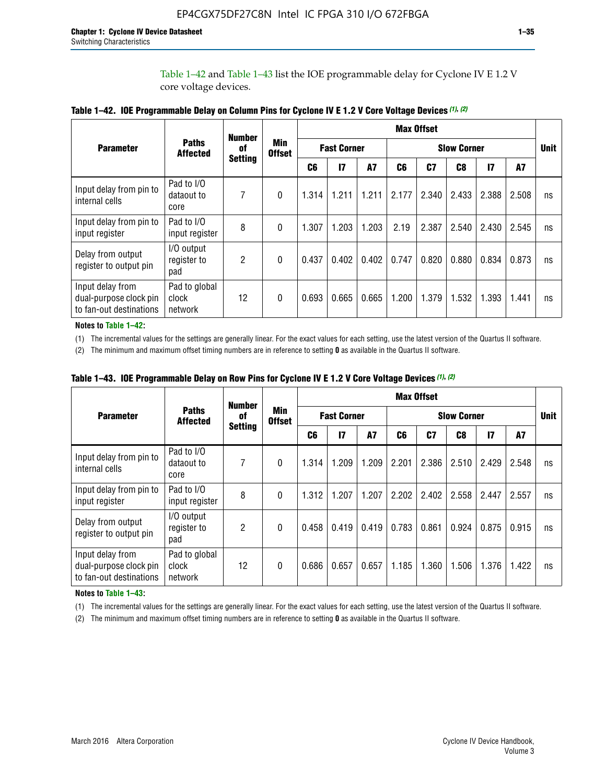Table 1–42 and Table 1–43 list the IOE programmable delay for Cyclone IV E 1.2 V core voltage devices.

|                                                                       |                                   | <b>Number</b>        | <b>Min</b><br><b>Offset</b> | <b>Max Offset</b> |                    |           |                    |       |       |               |       |             |
|-----------------------------------------------------------------------|-----------------------------------|----------------------|-----------------------------|-------------------|--------------------|-----------|--------------------|-------|-------|---------------|-------|-------------|
| <b>Parameter</b>                                                      | <b>Paths</b><br><b>Affected</b>   | of<br><b>Setting</b> |                             |                   | <b>Fast Corner</b> |           | <b>Slow Corner</b> |       |       |               |       | <b>Unit</b> |
|                                                                       |                                   |                      |                             | C <sub>6</sub>    | $\mathbf{I}$       | <b>A7</b> | C6                 | C7    | C8    | $\mathsf{I}7$ | A7    |             |
| Input delay from pin to<br>internal cells                             | Pad to I/O<br>dataout to<br>core  | 7                    | 0                           | 1.314             | 1.211              | 1.211     | 2.177              | 2.340 | 2.433 | 2.388         | 2.508 | ns          |
| Input delay from pin to<br>input register                             | Pad to I/O<br>input register      | 8                    | $\Omega$                    | 1.307             | 1.203              | 1.203     | 2.19               | 2.387 | 2.540 | 2.430         | 2.545 | ns          |
| Delay from output<br>register to output pin                           | I/O output<br>register to<br>pad  | 2                    | 0                           | 0.437             | 0.402              | 0.402     | 0.747              | 0.820 | 0.880 | 0.834         | 0.873 | ns          |
| Input delay from<br>dual-purpose clock pin<br>to fan-out destinations | Pad to global<br>clock<br>network | 12                   | 0                           | 0.693             | 0.665              | 0.665     | 1.200              | 1.379 | 1.532 | 1.393         | 1.441 | ns          |

**Table 1–42. IOE Programmable Delay on Column Pins for Cyclone IV E 1.2 V Core Voltage Devices** *(1)***,** *(2)*

**Notes to Table 1–42:**

(1) The incremental values for the settings are generally linear. For the exact values for each setting, use the latest version of the Quartus II software.

(2) The minimum and maximum offset timing numbers are in reference to setting **0** as available in the Quartus II software.

|                                                                       |                                   | <b>Number</b>        | <b>Min</b><br><b>Offset</b> | <b>Max Offset</b> |                    |           |                    |       |       |               |       |             |
|-----------------------------------------------------------------------|-----------------------------------|----------------------|-----------------------------|-------------------|--------------------|-----------|--------------------|-------|-------|---------------|-------|-------------|
| <b>Parameter</b>                                                      | <b>Paths</b><br><b>Affected</b>   | 0f<br><b>Setting</b> |                             |                   | <b>Fast Corner</b> |           | <b>Slow Corner</b> |       |       |               |       | <b>Unit</b> |
|                                                                       |                                   |                      |                             | C6                | $\mathbf{I}$       | <b>A7</b> | C6                 | C7    | C8    | $\mathsf{I}7$ | A7    |             |
| Input delay from pin to<br>internal cells                             | Pad to I/O<br>dataout to<br>core  | 7                    | $\Omega$                    | 1.314             | 1.209              | 1.209     | 2.201              | 2.386 | 2.510 | 2.429         | 2.548 | ns          |
| Input delay from pin to<br>input register                             | Pad to I/O<br>input register      | 8                    | $\Omega$                    | 1.312             | 1.207              | 1.207     | 2.202              | 2.402 | 2.558 | 2.447         | 2.557 | ns          |
| Delay from output<br>register to output pin                           | I/O output<br>register to<br>pad  | 2                    | $\Omega$                    | 0.458             | 0.419              | 0.419     | 0.783              | 0.861 | 0.924 | 0.875         | 0.915 | ns          |
| Input delay from<br>dual-purpose clock pin<br>to fan-out destinations | Pad to global<br>clock<br>network | 12                   | $\Omega$                    | 0.686             | 0.657              | 0.657     | 1.185              | 1.360 | 1.506 | 1.376         | 1.422 | ns          |

**Table 1–43. IOE Programmable Delay on Row Pins for Cyclone IV E 1.2 V Core Voltage Devices** *(1)***,** *(2)*

#### **Notes to Table 1–43:**

(1) The incremental values for the settings are generally linear. For the exact values for each setting, use the latest version of the Quartus II software.

(2) The minimum and maximum offset timing numbers are in reference to setting **0** as available in the Quartus II software.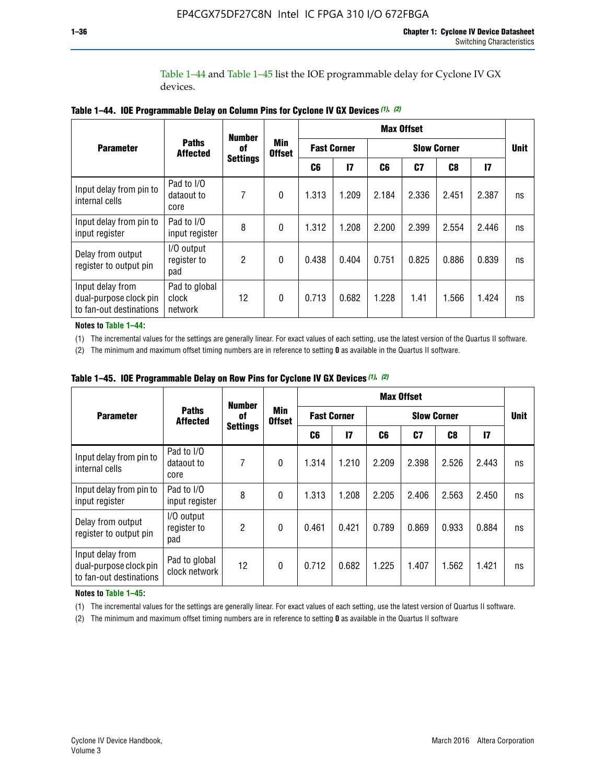Table 1–44 and Table 1–45 list the IOE programmable delay for Cyclone IV GX devices.

|                                                                       |                                   | <b>Number</b>         |                             | <b>Max Offset</b>  |              |                    |       |       |               |             |
|-----------------------------------------------------------------------|-----------------------------------|-----------------------|-----------------------------|--------------------|--------------|--------------------|-------|-------|---------------|-------------|
| <b>Parameter</b>                                                      | <b>Paths</b><br><b>Affected</b>   | 0f<br><b>Settings</b> | <b>Min</b><br><b>Offset</b> | <b>Fast Corner</b> |              | <b>Slow Corner</b> |       |       |               | <b>Unit</b> |
|                                                                       |                                   |                       |                             | C6                 | $\mathbf{I}$ | C6                 | C7    | C8    | $\mathsf{I}7$ |             |
| Input delay from pin to<br>internal cells                             | Pad to I/O<br>dataout to<br>core  | 7                     | $\mathbf{0}$                | 1.313              | 1.209        | 2.184              | 2.336 | 2.451 | 2.387         | ns          |
| Input delay from pin to<br>input register                             | Pad to I/O<br>input register      | 8                     | $\theta$                    | 1.312              | 1.208        | 2.200              | 2.399 | 2.554 | 2.446         | ns          |
| Delay from output<br>register to output pin                           | I/O output<br>register to<br>pad  | 2                     | $\mathbf 0$                 | 0.438              | 0.404        | 0.751              | 0.825 | 0.886 | 0.839         | ns          |
| Input delay from<br>dual-purpose clock pin<br>to fan-out destinations | Pad to global<br>clock<br>network | 12                    | 0                           | 0.713              | 0.682        | 1.228              | 1.41  | 1.566 | 1.424         | ns          |

**Table 1–44. IOE Programmable Delay on Column Pins for Cyclone IV GX Devices** *(1)***,** *(2)*

**Notes to Table 1–44:**

(1) The incremental values for the settings are generally linear. For exact values of each setting, use the latest version of the Quartus II software.

(2) The minimum and maximum offset timing numbers are in reference to setting **0** as available in the Quartus II software.

|                                                                       |                                  | <b>Number</b>  |                             | <b>Max Offset</b>  |       |                    |       |               |       |             |
|-----------------------------------------------------------------------|----------------------------------|----------------|-----------------------------|--------------------|-------|--------------------|-------|---------------|-------|-------------|
| <b>Parameter</b>                                                      | <b>Paths</b><br><b>Affected</b>  | of             | <b>Min</b><br><b>Offset</b> | <b>Fast Corner</b> |       | <b>Slow Corner</b> |       |               |       | <b>Unit</b> |
|                                                                       | <b>Settings</b>                  |                | C6                          | $\mathbf{I}$       | C6    | C7                 | C8    | $\mathsf{I}7$ |       |             |
| Input delay from pin to<br>internal cells                             | Pad to I/O<br>dataout to<br>core | 7              | $\mathbf{0}$                | 1.314              | 1.210 | 2.209              | 2.398 | 2.526         | 2.443 | ns          |
| Input delay from pin to<br>input register                             | Pad to I/O<br>input register     | 8              | $\theta$                    | 1.313              | 1.208 | 2.205              | 2.406 | 2.563         | 2.450 | ns          |
| Delay from output<br>register to output pin                           | I/O output<br>register to<br>pad | $\overline{2}$ | $\mathbf{0}$                | 0.461              | 0.421 | 0.789              | 0.869 | 0.933         | 0.884 | ns          |
| Input delay from<br>dual-purpose clock pin<br>to fan-out destinations | Pad to global<br>clock network   | 12             | $\mathbf{0}$                | 0.712              | 0.682 | 1.225              | 1.407 | 1.562         | 1.421 | ns          |

**Table 1–45. IOE Programmable Delay on Row Pins for Cyclone IV GX Devices** *(1)***,** *(2)*

#### **Notes to Table 1–45:**

(1) The incremental values for the settings are generally linear. For exact values of each setting, use the latest version of Quartus II software.

(2) The minimum and maximum offset timing numbers are in reference to setting **0** as available in the Quartus II software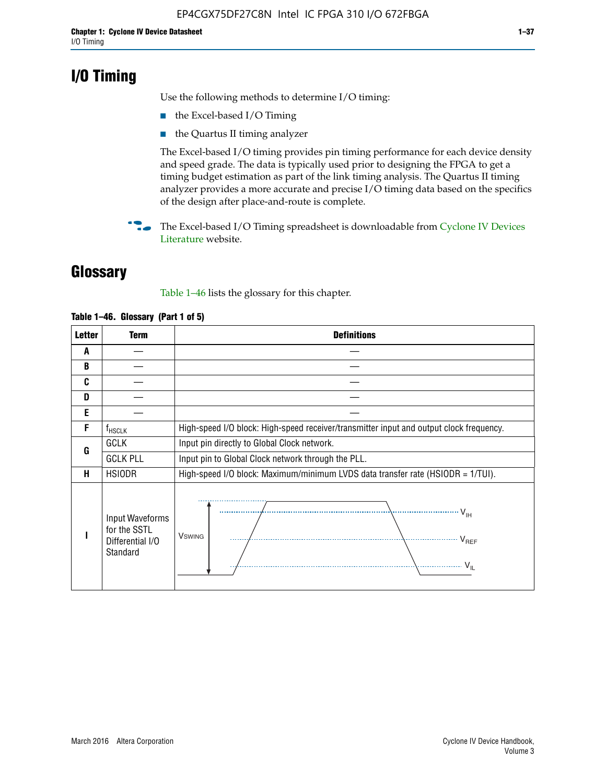# **I/O Timing**

Use the following methods to determine I/O timing:

- the Excel-based I/O Timing
- the Quartus II timing analyzer

The Excel-based I/O timing provides pin timing performance for each device density and speed grade. The data is typically used prior to designing the FPGA to get a timing budget estimation as part of the link timing analysis. The Quartus II timing analyzer provides a more accurate and precise I/O timing data based on the specifics of the design after place-and-route is complete.

**For The Excel-based I/O Timing spreadsheet is downloadable from Cyclone IV Devices** [Literature](http://www.altera.com/literature/lit-cyclone-iv.jsp) website.

# **Glossary**

Table 1–46 lists the glossary for this chapter.

| <b>Letter</b> | Term                                                            | <b>Definitions</b>                                                                                                                                                                                                                                                                                                                                                                                                                                                |
|---------------|-----------------------------------------------------------------|-------------------------------------------------------------------------------------------------------------------------------------------------------------------------------------------------------------------------------------------------------------------------------------------------------------------------------------------------------------------------------------------------------------------------------------------------------------------|
| A             |                                                                 |                                                                                                                                                                                                                                                                                                                                                                                                                                                                   |
| B             |                                                                 |                                                                                                                                                                                                                                                                                                                                                                                                                                                                   |
| C             |                                                                 |                                                                                                                                                                                                                                                                                                                                                                                                                                                                   |
| D             |                                                                 |                                                                                                                                                                                                                                                                                                                                                                                                                                                                   |
| E             |                                                                 |                                                                                                                                                                                                                                                                                                                                                                                                                                                                   |
| F             | $f_{HSCLK}$                                                     | High-speed I/O block: High-speed receiver/transmitter input and output clock frequency.                                                                                                                                                                                                                                                                                                                                                                           |
| G             | <b>GCLK</b>                                                     | Input pin directly to Global Clock network.                                                                                                                                                                                                                                                                                                                                                                                                                       |
|               | <b>GCLK PLL</b>                                                 | Input pin to Global Clock network through the PLL.                                                                                                                                                                                                                                                                                                                                                                                                                |
| н             | <b>HSIODR</b>                                                   | High-speed I/O block: Maximum/minimum LVDS data transfer rate (HSIODR = 1/TUI).                                                                                                                                                                                                                                                                                                                                                                                   |
|               | Input Waveforms<br>for the SSTL<br>Differential I/O<br>Standard | $\frac{1}{1 + \frac{1}{1 + \frac{1}{1 + \frac{1}{1 + \frac{1}{1 + \frac{1}{1 + \frac{1}{1 + \frac{1}{1 + \frac{1}{1 + \frac{1}{1 + \frac{1}{1 + \frac{1}{1 + \frac{1}{1 + \frac{1}{1 + \frac{1}{1 + \frac{1}{1 + \frac{1}{1 + \frac{1}{1 + \frac{1}{1 + \frac{1}{1 + \frac{1}{1 + \frac{1}{1 + \frac{1}{1 + \frac{1}{1 + \frac{1}{1 + \frac{1}{1 + \frac{1}{1 + \frac{1}{1 + \frac{1}{1 + \frac{1}{1 + \frac{1}{1 + \frac{$<br><b>V</b> swing<br>V <sub>REF</sub> |

#### **Table 1–46. Glossary (Part 1 of 5)**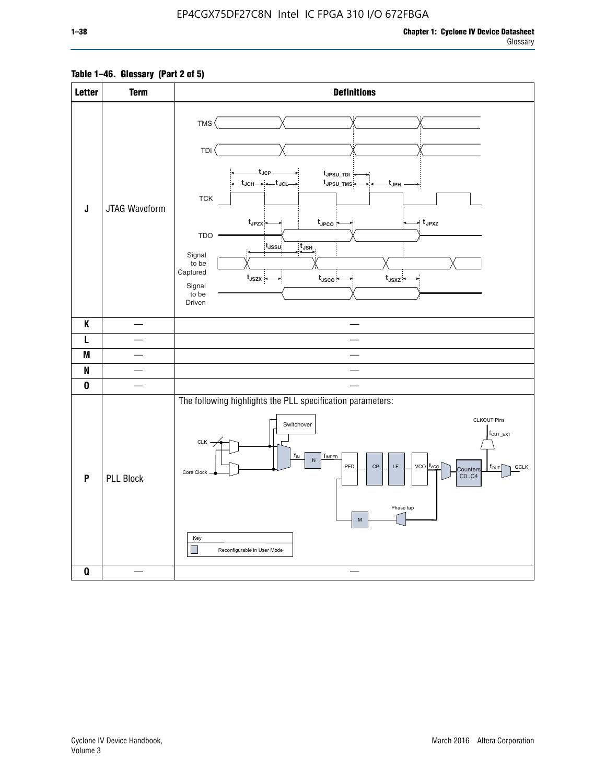#### **Table 1–46. Glossary (Part 2 of 5)**

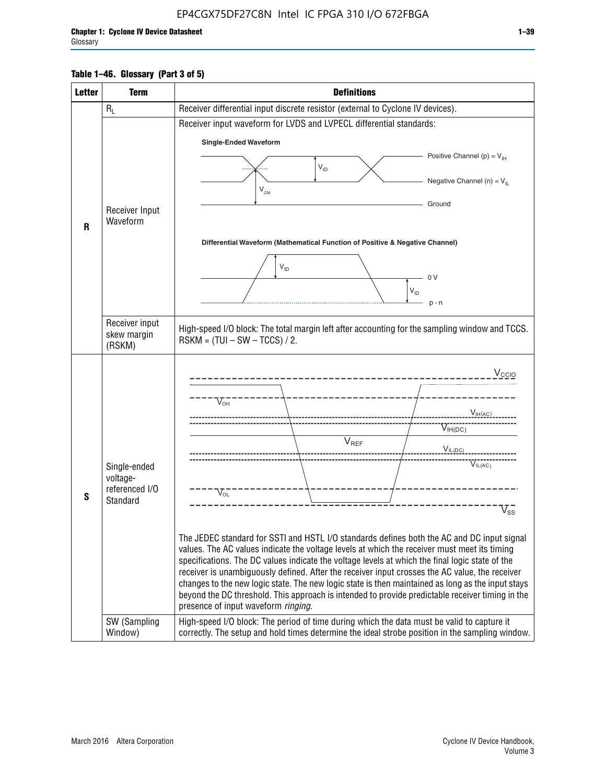#### **Table 1–46. Glossary (Part 3 of 5)**

| <b>Letter</b> | <b>Term</b>                | <b>Definitions</b>                                                                                                                                                                                |
|---------------|----------------------------|---------------------------------------------------------------------------------------------------------------------------------------------------------------------------------------------------|
|               | $R_L$                      | Receiver differential input discrete resistor (external to Cyclone IV devices).                                                                                                                   |
|               |                            | Receiver input waveform for LVDS and LVPECL differential standards:                                                                                                                               |
|               |                            | <b>Single-Ended Waveform</b>                                                                                                                                                                      |
|               |                            | Positive Channel (p) = $V_{\text{H}}$                                                                                                                                                             |
|               |                            | $V_{ID}$                                                                                                                                                                                          |
|               | Receiver Input             | Negative Channel (n) = $V_{\parallel}$<br>$V_{CM}$                                                                                                                                                |
|               |                            | Ground                                                                                                                                                                                            |
| $\mathsf{R}$  | Waveform                   |                                                                                                                                                                                                   |
|               |                            | Differential Waveform (Mathematical Function of Positive & Negative Channel)                                                                                                                      |
|               |                            |                                                                                                                                                                                                   |
|               |                            | $V_{ID}$                                                                                                                                                                                          |
|               |                            | 0 <sup>V</sup><br>$V_{ID}$                                                                                                                                                                        |
|               |                            | $p - n$                                                                                                                                                                                           |
|               | Receiver input             |                                                                                                                                                                                                   |
|               | skew margin                | High-speed I/O block: The total margin left after accounting for the sampling window and TCCS.<br>$RSKM = (TUI - SW - TCCS) / 2.$                                                                 |
|               | (RSKM)                     |                                                                                                                                                                                                   |
|               |                            | $V_{CCIO}$                                                                                                                                                                                        |
|               |                            |                                                                                                                                                                                                   |
|               |                            | $V_{\text{\tiny OH}}^-$                                                                                                                                                                           |
|               |                            | V <sub>IH</sub> (AC)                                                                                                                                                                              |
|               |                            | $V_{IH(DC)}$<br>V <sub>REF</sub>                                                                                                                                                                  |
|               |                            | $V_{I L (DC)}$                                                                                                                                                                                    |
|               | Single-ended               | $\overline{V_{IL(AC)}}$                                                                                                                                                                           |
|               | voltage-<br>referenced I/O |                                                                                                                                                                                                   |
| S             | Standard                   | $V_{OL}$                                                                                                                                                                                          |
|               |                            | $\overline{V}_{\text{SS}}$                                                                                                                                                                        |
|               |                            | The JEDEC standard for SSTI and HSTL I/O standards defines both the AC and DC input signal                                                                                                        |
|               |                            | values. The AC values indicate the voltage levels at which the receiver must meet its timing                                                                                                      |
|               |                            | specifications. The DC values indicate the voltage levels at which the final logic state of the<br>receiver is unambiguously defined. After the receiver input crosses the AC value, the receiver |
|               |                            | changes to the new logic state. The new logic state is then maintained as long as the input stays                                                                                                 |
|               |                            | beyond the DC threshold. This approach is intended to provide predictable receiver timing in the                                                                                                  |
|               | SW (Sampling               | presence of input waveform ringing.<br>High-speed I/O block: The period of time during which the data must be valid to capture it                                                                 |
|               | Window)                    | correctly. The setup and hold times determine the ideal strobe position in the sampling window.                                                                                                   |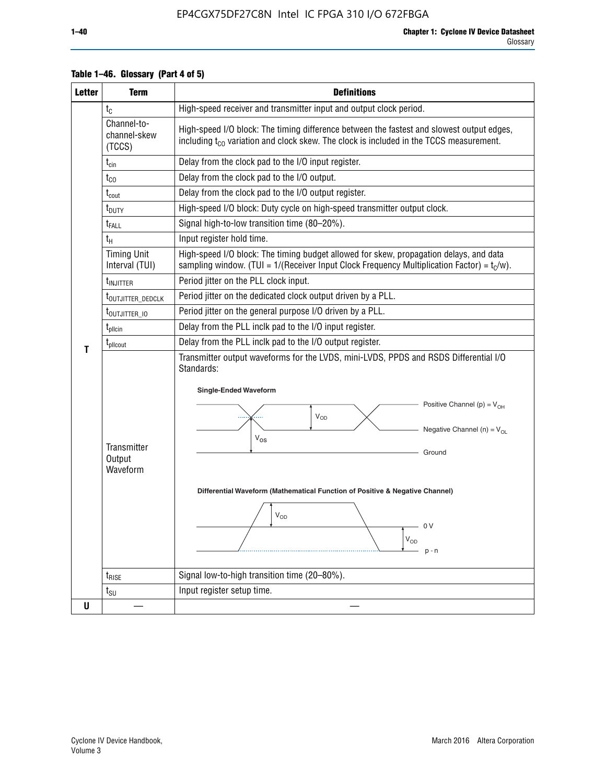| <b>Letter</b> | <b>Term</b>                           | <b>Definitions</b>                                                                                                                                                                                                                                                                                                                                                |
|---------------|---------------------------------------|-------------------------------------------------------------------------------------------------------------------------------------------------------------------------------------------------------------------------------------------------------------------------------------------------------------------------------------------------------------------|
|               | $t_{\rm C}$                           | High-speed receiver and transmitter input and output clock period.                                                                                                                                                                                                                                                                                                |
|               | Channel-to-<br>channel-skew<br>(TCCS) | High-speed I/O block: The timing difference between the fastest and slowest output edges,<br>including t <sub>co</sub> variation and clock skew. The clock is included in the TCCS measurement.                                                                                                                                                                   |
|               | $t_{\text{cin}}$                      | Delay from the clock pad to the I/O input register.                                                                                                                                                                                                                                                                                                               |
|               | $t_{CO}$                              | Delay from the clock pad to the I/O output.                                                                                                                                                                                                                                                                                                                       |
|               | $t_{\text{cout}}$                     | Delay from the clock pad to the I/O output register.                                                                                                                                                                                                                                                                                                              |
|               | t <sub>DUTY</sub>                     | High-speed I/O block: Duty cycle on high-speed transmitter output clock.                                                                                                                                                                                                                                                                                          |
|               | t <sub>FALL</sub>                     | Signal high-to-low transition time (80-20%).                                                                                                                                                                                                                                                                                                                      |
|               | $t_{H}$                               | Input register hold time.                                                                                                                                                                                                                                                                                                                                         |
|               | <b>Timing Unit</b><br>Interval (TUI)  | High-speed I/O block: The timing budget allowed for skew, propagation delays, and data<br>sampling window. (TUI = $1/($ Receiver Input Clock Frequency Multiplication Factor) = $tC/w$ ).                                                                                                                                                                         |
|               | t <sub>INJITTER</sub>                 | Period jitter on the PLL clock input.                                                                                                                                                                                                                                                                                                                             |
|               | t <sub>outjitter_dedclk</sub>         | Period jitter on the dedicated clock output driven by a PLL.                                                                                                                                                                                                                                                                                                      |
|               | t <sub>outjitter_io</sub>             | Period jitter on the general purpose I/O driven by a PLL.                                                                                                                                                                                                                                                                                                         |
|               | $t_{\text{pllcin}}$                   | Delay from the PLL inclk pad to the I/O input register.                                                                                                                                                                                                                                                                                                           |
| т             | $t_{\text{pll}\text{cout}}$           | Delay from the PLL inclk pad to the I/O output register.                                                                                                                                                                                                                                                                                                          |
|               | Transmitter<br>Output<br>Waveform     | Transmitter output waveforms for the LVDS, mini-LVDS, PPDS and RSDS Differential I/O<br>Standards:<br><b>Single-Ended Waveform</b><br>Positive Channel (p) = $V_{OH}$<br>VOD<br>Negative Channel (n) = $V_{OL}$<br>$V_{OS}$<br>Ground<br>Differential Waveform (Mathematical Function of Positive & Negative Channel)<br>$V_{OD}$<br>- 0 V<br>$V_{OD}$<br>$p - n$ |
|               | $t_{\text{RISE}}$                     | Signal low-to-high transition time (20-80%).                                                                                                                                                                                                                                                                                                                      |
|               | $t_{\scriptstyle\text{SU}}$           | Input register setup time.                                                                                                                                                                                                                                                                                                                                        |
| U             |                                       |                                                                                                                                                                                                                                                                                                                                                                   |

#### **Table 1–46. Glossary (Part 4 of 5)**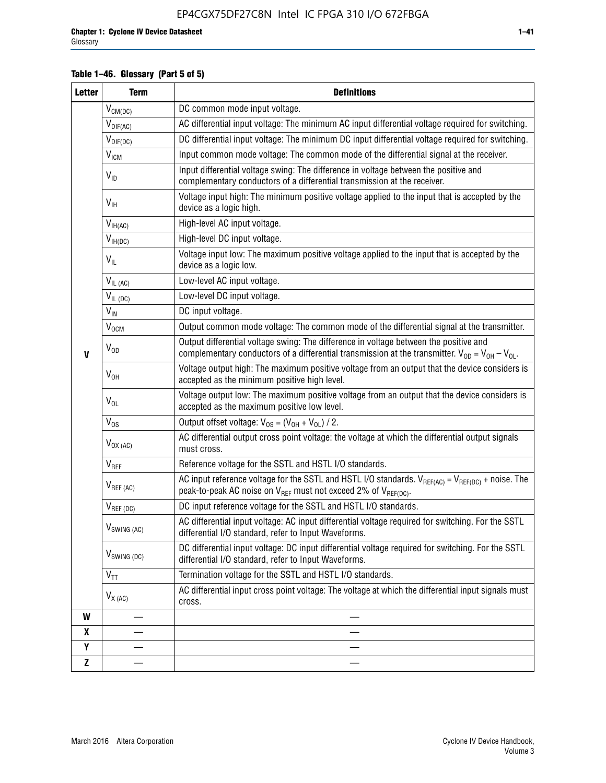#### **Table 1–46. Glossary (Part 5 of 5)**

| <b>Letter</b> | <b>Term</b>                             | <b>Definitions</b>                                                                                                                                                                                |  |  |
|---------------|-----------------------------------------|---------------------------------------------------------------------------------------------------------------------------------------------------------------------------------------------------|--|--|
|               | $V_{CM(DC)}$                            | DC common mode input voltage.                                                                                                                                                                     |  |  |
|               | $V_{DIF(AC)}$                           | AC differential input voltage: The minimum AC input differential voltage required for switching.                                                                                                  |  |  |
|               | $V_{DIF(DC)}$                           | DC differential input voltage: The minimum DC input differential voltage required for switching.                                                                                                  |  |  |
|               | V <sub>ICM</sub>                        | Input common mode voltage: The common mode of the differential signal at the receiver.                                                                                                            |  |  |
|               | $V_{ID}$                                | Input differential voltage swing: The difference in voltage between the positive and<br>complementary conductors of a differential transmission at the receiver.                                  |  |  |
|               | $V_{\text{IH}}$                         | Voltage input high: The minimum positive voltage applied to the input that is accepted by the<br>device as a logic high.                                                                          |  |  |
|               | $\mathsf{V}_{\mathsf{IH}(\mathsf{AC})}$ | High-level AC input voltage.                                                                                                                                                                      |  |  |
|               | $V_{IH(DC)}$                            | High-level DC input voltage.                                                                                                                                                                      |  |  |
|               | $V_{IL}$                                | Voltage input low: The maximum positive voltage applied to the input that is accepted by the<br>device as a logic low.                                                                            |  |  |
|               | $V_{IL(AC)}$                            | Low-level AC input voltage.                                                                                                                                                                       |  |  |
|               | $V_{IL(DC)}$                            | Low-level DC input voltage.                                                                                                                                                                       |  |  |
|               | $V_{\text{IN}}$                         | DC input voltage.                                                                                                                                                                                 |  |  |
|               | $\rm V_{\rm OCM}$                       | Output common mode voltage: The common mode of the differential signal at the transmitter.                                                                                                        |  |  |
| $\mathbf{V}$  | $V_{OD}$                                | Output differential voltage swing: The difference in voltage between the positive and<br>complementary conductors of a differential transmission at the transmitter. $V_{OD} = V_{OH} - V_{OL}$ . |  |  |
|               | $V_{OH}$                                | Voltage output high: The maximum positive voltage from an output that the device considers is<br>accepted as the minimum positive high level.                                                     |  |  |
|               | $V_{OL}$                                | Voltage output low: The maximum positive voltage from an output that the device considers is<br>accepted as the maximum positive low level.                                                       |  |  |
|               | $V_{OS}$                                | Output offset voltage: $V_{OS} = (V_{OH} + V_{OL}) / 2$ .                                                                                                                                         |  |  |
|               | $V_{OX (AC)}$                           | AC differential output cross point voltage: the voltage at which the differential output signals<br>must cross.                                                                                   |  |  |
|               | V <sub>REF</sub>                        | Reference voltage for the SSTL and HSTL I/O standards.                                                                                                                                            |  |  |
|               | $V_{REF\,(AC)}$                         | AC input reference voltage for the SSTL and HSTL I/O standards. $V_{REF(AC)} = V_{REF(DC)} +$ noise. The<br>peak-to-peak AC noise on $V_{REF}$ must not exceed 2% of $V_{REF(DC)}$ .              |  |  |
|               | $V_{REF(DC)}$                           | DC input reference voltage for the SSTL and HSTL I/O standards.                                                                                                                                   |  |  |
|               | $V_{\text{SWING (AC)}}$                 | AC differential input voltage: AC input differential voltage required for switching. For the SSTL<br>differential I/O standard, refer to Input Waveforms.                                         |  |  |
|               | $V_{SWING (DC)}$                        | DC differential input voltage: DC input differential voltage required for switching. For the SSTL<br>differential I/O standard, refer to Input Waveforms.                                         |  |  |
|               | $\text{V}_{\text{TT}}$                  | Termination voltage for the SSTL and HSTL I/O standards.                                                                                                                                          |  |  |
|               | $V_{X(AC)}$                             | AC differential input cross point voltage: The voltage at which the differential input signals must<br>cross.                                                                                     |  |  |
| W             |                                         |                                                                                                                                                                                                   |  |  |
| X             |                                         |                                                                                                                                                                                                   |  |  |
| Y             |                                         |                                                                                                                                                                                                   |  |  |
| $\mathbf{Z}$  |                                         |                                                                                                                                                                                                   |  |  |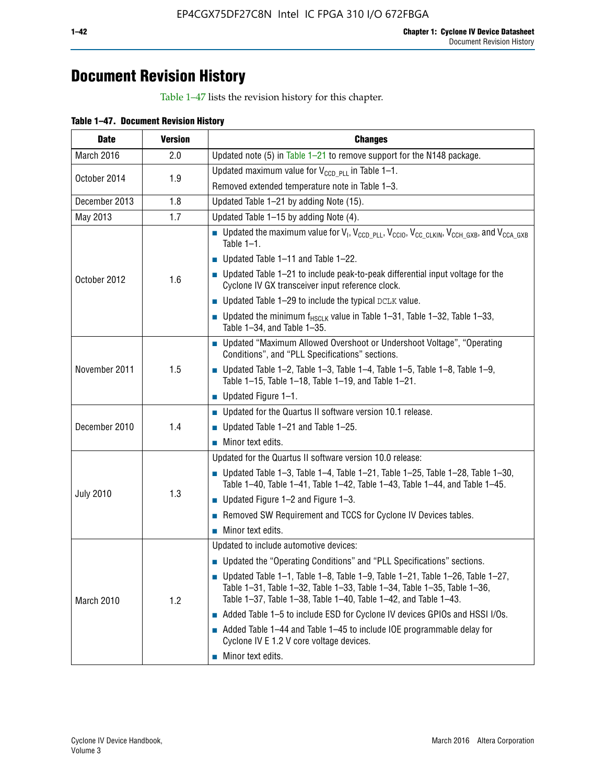# **Document Revision History**

Table 1–47 lists the revision history for this chapter.

| <b>Date</b>      | <b>Version</b> | <b>Changes</b>                                                                                                                                                                                                                            |
|------------------|----------------|-------------------------------------------------------------------------------------------------------------------------------------------------------------------------------------------------------------------------------------------|
| March 2016       | 2.0            | Updated note (5) in Table $1-21$ to remove support for the N148 package.                                                                                                                                                                  |
| October 2014     | 1.9            | Updated maximum value for $V_{CCD, PL}$ in Table 1-1.                                                                                                                                                                                     |
|                  |                | Removed extended temperature note in Table 1-3.                                                                                                                                                                                           |
| December 2013    | 1.8            | Updated Table 1-21 by adding Note (15).                                                                                                                                                                                                   |
| May 2013         | 1.7            | Updated Table 1-15 by adding Note (4).                                                                                                                                                                                                    |
|                  | 1.6            | <b>D</b> Updated the maximum value for $V_1$ , $V_{CCD}$ <sub>PLL</sub> , $V_{CC10}$ , $V_{CC_1CLKIN}$ , $V_{CCH_GXB}$ , and $V_{CCA_GXB}$<br>Table $1-1$ .                                                                               |
|                  |                | $\blacksquare$ Updated Table 1-11 and Table 1-22.                                                                                                                                                                                         |
| October 2012     |                | $\blacksquare$ Updated Table 1-21 to include peak-to-peak differential input voltage for the<br>Cyclone IV GX transceiver input reference clock.                                                                                          |
|                  |                | $\blacksquare$ Updated Table 1-29 to include the typical DCLK value.                                                                                                                                                                      |
|                  |                | <b>Updated the minimum f<sub>HSCLK</sub></b> value in Table 1-31, Table 1-32, Table 1-33,<br>Table 1-34, and Table 1-35.                                                                                                                  |
|                  | 1.5            | ■ Updated "Maximum Allowed Overshoot or Undershoot Voltage", "Operating<br>Conditions", and "PLL Specifications" sections.                                                                                                                |
| November 2011    |                | Updated Table 1-2, Table 1-3, Table 1-4, Table 1-5, Table 1-8, Table 1-9,<br>Table 1-15, Table 1-18, Table 1-19, and Table 1-21.                                                                                                          |
|                  |                | ■ Updated Figure $1-1$ .                                                                                                                                                                                                                  |
|                  | 1.4            | • Updated for the Quartus II software version 10.1 release.                                                                                                                                                                               |
| December 2010    |                | $\blacksquare$ Updated Table 1-21 and Table 1-25.                                                                                                                                                                                         |
|                  |                | $\blacksquare$ Minor text edits.                                                                                                                                                                                                          |
|                  | 1.3            | Updated for the Quartus II software version 10.0 release:                                                                                                                                                                                 |
|                  |                | Updated Table 1-3, Table 1-4, Table 1-21, Table 1-25, Table 1-28, Table 1-30,<br>Table 1-40, Table 1-41, Table 1-42, Table 1-43, Table 1-44, and Table 1-45.                                                                              |
| <b>July 2010</b> |                | ■ Updated Figure $1-2$ and Figure $1-3$ .                                                                                                                                                                                                 |
|                  |                | Removed SW Requirement and TCCS for Cyclone IV Devices tables.                                                                                                                                                                            |
|                  |                | $\blacksquare$ Minor text edits.                                                                                                                                                                                                          |
|                  | 1.2            | Updated to include automotive devices:                                                                                                                                                                                                    |
|                  |                | • Updated the "Operating Conditions" and "PLL Specifications" sections.                                                                                                                                                                   |
| March 2010       |                | $\blacksquare$ Updated Table 1-1, Table 1-8, Table 1-9, Table 1-21, Table 1-26, Table 1-27,<br>Table 1-31, Table 1-32, Table 1-33, Table 1-34, Table 1-35, Table 1-36,<br>Table 1-37, Table 1-38, Table 1-40, Table 1-42, and Table 1-43. |
|                  |                | Added Table 1-5 to include ESD for Cyclone IV devices GPIOs and HSSI I/Os.                                                                                                                                                                |
|                  |                | Added Table 1-44 and Table 1-45 to include IOE programmable delay for<br>Cyclone IV E 1.2 V core voltage devices.                                                                                                                         |
|                  |                | Minor text edits.                                                                                                                                                                                                                         |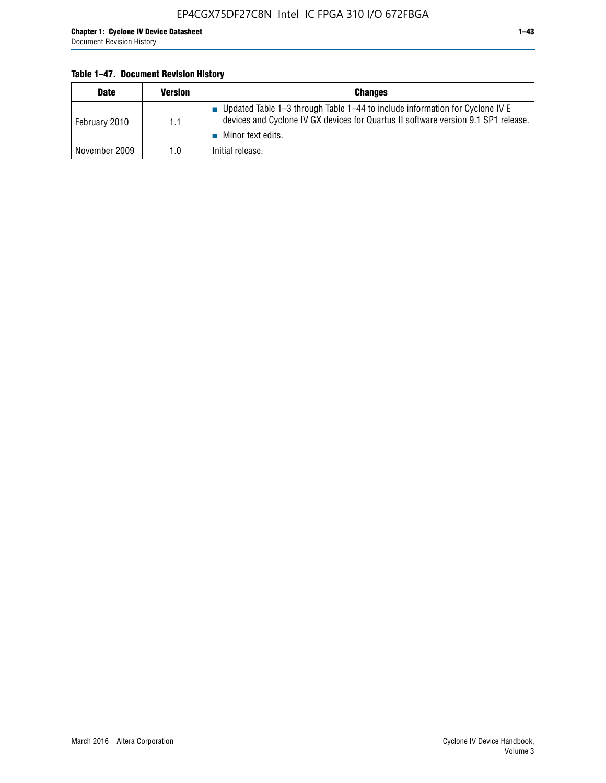#### **Table 1–47. Document Revision History**

| <b>Date</b>   | <b>Version</b> | <b>Changes</b>                                                                                                                                                       |
|---------------|----------------|----------------------------------------------------------------------------------------------------------------------------------------------------------------------|
| February 2010 | 1.1            | ■ Updated Table 1–3 through Table 1–44 to include information for Cyclone IV E<br>devices and Cyclone IV GX devices for Quartus II software version 9.1 SP1 release. |
|               |                | Minor text edits.                                                                                                                                                    |
| November 2009 | 1.0            | Initial release.                                                                                                                                                     |